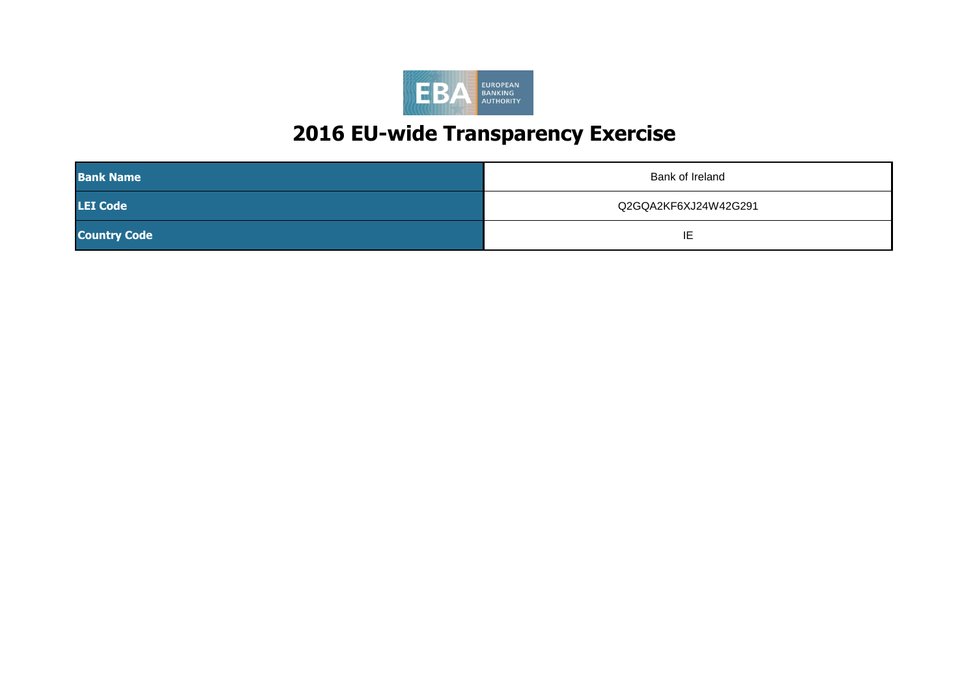

| <b>Bank Name</b>    | Bank of Ireland      |
|---------------------|----------------------|
| <b>LEI Code</b>     | Q2GQA2KF6XJ24W42G291 |
| <b>Country Code</b> | '⊢<br>. .            |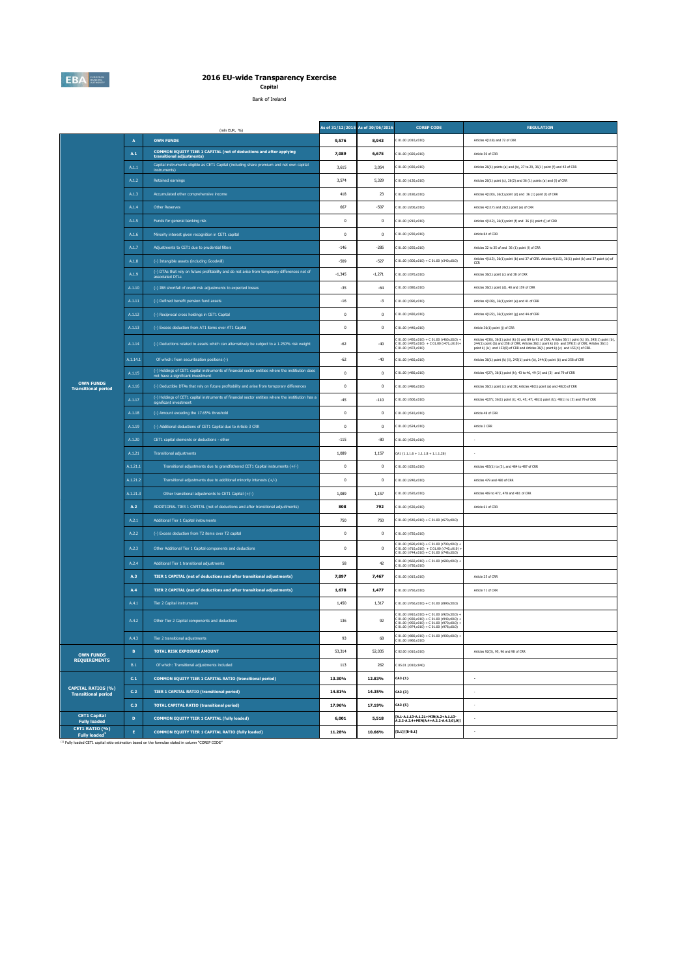

**Capital** Bank of Ireland

|                                                         |                 | (mln EUR, %)                                                                                                                          | As of 31/12/2015 As of 30/06/2016 |              | <b>COREP CODE</b>                                                                                                                                                                                                                     | <b>REGULATION</b>                                                                                                                                                                                                                                                                               |
|---------------------------------------------------------|-----------------|---------------------------------------------------------------------------------------------------------------------------------------|-----------------------------------|--------------|---------------------------------------------------------------------------------------------------------------------------------------------------------------------------------------------------------------------------------------|-------------------------------------------------------------------------------------------------------------------------------------------------------------------------------------------------------------------------------------------------------------------------------------------------|
|                                                         | $\overline{A}$  | <b>OWN FUNDS</b>                                                                                                                      | 9,576                             | 8,943        | C 01.00 (r010,c010)                                                                                                                                                                                                                   | Articles 4(118) and 72 of CRR                                                                                                                                                                                                                                                                   |
|                                                         | A.1             | COMMON EQUITY TIER 1 CAPITAL (net of deductions and after applying<br>transitional adjustments)                                       | 7.089                             | 6,675        | 01.00 (r020.c010)                                                                                                                                                                                                                     | Article 50 of CRR                                                                                                                                                                                                                                                                               |
|                                                         | A.1.1           | Capital instruments eligible as CET1 Capital (including share premium and net own capital<br>instruments)                             | 3,615                             | 3,054        | C 01.00 (r030,c010)                                                                                                                                                                                                                   | Articles 26(1) points (a) and (b), 27 to 29, 36(1) point (f) and 42 of CRR                                                                                                                                                                                                                      |
|                                                         | A.1.2           | <b>Retained earnings</b>                                                                                                              | 3,574                             | 5,329        | C 01.00 (r130,c010)                                                                                                                                                                                                                   | Articles 26(1) point (c), 26(2) and 36 (1) points (a) and (1) of CRR                                                                                                                                                                                                                            |
|                                                         | A.1.3           | Accumulated other comprehensive income                                                                                                | 418                               | 23           | C 01.00 (r180,c010)                                                                                                                                                                                                                   | Articles 4(100), 26(1) point (d) and 36 (1) point (l) of CRR                                                                                                                                                                                                                                    |
|                                                         | A.1.4           | Other Reserves                                                                                                                        | 667                               | $-507$       | C 01.00 (r200,c010)                                                                                                                                                                                                                   | Articles 4(117) and 26(1) point (e) of CRR                                                                                                                                                                                                                                                      |
|                                                         | A.1.5           | Funds for general banking risk                                                                                                        | $\mathbf 0$                       | $\,0\,$      | C 01.00 (r210,c010)                                                                                                                                                                                                                   | Articles 4(112), 26(1) point (f) and 36 (1) point (l) of CRR                                                                                                                                                                                                                                    |
|                                                         | A.1.6           | Minority interest given recognition in CET1 capital                                                                                   | $\mathbf{0}$                      | $\mathbf{0}$ | 01.00 (r230.c010)                                                                                                                                                                                                                     | Article 84 of CRR                                                                                                                                                                                                                                                                               |
|                                                         | A.1.7           | Adjustments to CET1 due to prudential filters                                                                                         | $-146$                            | $-285$       | 01.00 (r250,c010)                                                                                                                                                                                                                     | Articles 32 to 35 of and 36 (1) point (l) of CRR                                                                                                                                                                                                                                                |
|                                                         | A.1.8           | (-) Intangible assets (including Goodwill)                                                                                            | $-509$                            | $-527$       | $C 01.00 (r300, c010) + C 01.00 (r340, c010)$                                                                                                                                                                                         | Articles 4(113), 36(1) point (b) and 37 of CRR. Articles 4(115), 36(1) point (b) and 37 point (a) of<br>CCR                                                                                                                                                                                     |
|                                                         | A.1.9           | (-) DTAs that rely on future profitability and do not arise from temporary differences net of<br>associated DTLs                      | $-1.345$                          | $-1.271$     | C 01.00 (r370,c010)                                                                                                                                                                                                                   | Articles 36(1) point (c) and 38 of CRR                                                                                                                                                                                                                                                          |
|                                                         | A.1.10          | (-) IRB shortfall of credit risk adjustments to expected losses                                                                       | $-35$                             | $-64$        | C 01.00 (r380,c010)                                                                                                                                                                                                                   | Articles 36(1) point (d), 40 and 159 of CRR                                                                                                                                                                                                                                                     |
|                                                         | A.1.11          | (-) Defined benefit pension fund assets                                                                                               | $-16$                             | $-3$         | C 01.00 (r390,c010)                                                                                                                                                                                                                   | Articles 4(109), 36(1) point (e) and 41 of CRR                                                                                                                                                                                                                                                  |
|                                                         | A.1.12          | (-) Reciprocal cross holdings in CET1 Capital                                                                                         | $\mathbf{0}$                      | $\mathbf{0}$ | C 01.00 (r430,c010)                                                                                                                                                                                                                   | Articles 4(122), 36(1) point (g) and 44 of CRR                                                                                                                                                                                                                                                  |
|                                                         | A.1.13          | (-) Excess deduction from AT1 items over AT1 Capital                                                                                  | $\,0\,$                           | $\,0\,$      | 01.00 (r440,c010)                                                                                                                                                                                                                     | Article 36(1) point (j) of CRR                                                                                                                                                                                                                                                                  |
|                                                         | A.1.14          | (-) Deductions related to assets which can alternatively be subject to a 1.250% risk weight                                           | $-62$                             | $-40$        | 201.00 (r450,c010) + C 01.00 (r460,c010) +<br>$C 01.00 (r470, c010) + C 01.00 (r471, c010) +$<br>$01.00$ (r472.c010)                                                                                                                  | Articles 4(36), 36(1) point (k) (i) and 89 to 91 of CRR; Articles 36(1) point (k) (ii), 243(1) point (b), 244(1) point (b) and 258 of CRR; Articles 36(1) point k) (ii) and 379(3) of CRR; Articles 36(1)<br>point k) (iv) and 153(8) of CRR and Articles 36(1) point k) (v) and 155(4) of CRR. |
|                                                         | A.1.14.1        | Of which: from securitisation positions (-)                                                                                           | $-62$                             | $-40$        | C 01.00 (r460,c010)                                                                                                                                                                                                                   | Articles 36(1) point (k) (ii), 243(1) point (b), 244(1) point (b) and 258 of CRR                                                                                                                                                                                                                |
|                                                         | A.1.15          | (-) Holdings of CET1 capital instruments of financial sector entities where the institution does<br>not have a significant investment | $\,0\,$                           | $\,0\,$      | 01.00 (r480,c010)                                                                                                                                                                                                                     | Articles 4(27), 36(1) point (h); 43 to 46, 49 (2) and (3) and 79 of CRR                                                                                                                                                                                                                         |
| <b>OWN FUNDS</b><br><b>Transitional period</b>          | A.1.16          | (-) Deductible DTAs that rely on future profitability and arise from temporary differences                                            | $\pmb{0}$                         | $\,0\,$      | 01.00 (r490,c010)                                                                                                                                                                                                                     | Articles 36(1) point (c) and 38; Articles 48(1) point (a) and 48(2) of CRR                                                                                                                                                                                                                      |
|                                                         | A.1.17          | (-) Holdings of CET1 capital instruments of financial sector entities where the institiution has a<br>significant investmen           | $-45$                             | $-110$       | C 01.00 (r500,c010)                                                                                                                                                                                                                   | Articles 4(27); 36(1) point (i); 43, 45; 47; 48(1) point (b); 49(1) to (3) and 79 of CRR                                                                                                                                                                                                        |
|                                                         | A.1.18          | (-) Amount exceding the 17.65% threshold                                                                                              | $\,0\,$                           | $\,0\,$      | C 01.00 (r510.c010)                                                                                                                                                                                                                   | Article 48 of CRR                                                                                                                                                                                                                                                                               |
|                                                         | A.1.19          | (-) Additional deductions of CET1 Capital due to Article 3 CRR                                                                        | $\,0\,$                           | $\,0\,$      | C 01.00 (r524,c010)                                                                                                                                                                                                                   | Article 3 CRR                                                                                                                                                                                                                                                                                   |
|                                                         | A.1.20          | CET1 capital elements or deductions - other                                                                                           | $-115$                            | $-80$        | C 01.00 (r529,c010)                                                                                                                                                                                                                   |                                                                                                                                                                                                                                                                                                 |
|                                                         | A.1.21          | <b>Transitional adjustments</b>                                                                                                       | 1,089                             | 1,157        | $CA1$ {1.1.1.6 + 1.1.1.8 + 1.1.1.26}                                                                                                                                                                                                  |                                                                                                                                                                                                                                                                                                 |
|                                                         | A.1.21.1        | Transitional adjustments due to grandfathered CET1 Capital instruments (+/-)                                                          | $\,0\,$                           | $\,0\,$      | C 01.00 (r220,c010)                                                                                                                                                                                                                   | Articles 483(1) to (3), and 484 to 487 of CRR                                                                                                                                                                                                                                                   |
|                                                         | A.1.21.2        | Transitional adjustments due to additional minority interests (+/-)                                                                   | $\mathbf{0}$                      | $\mathbf{0}$ | C 01.00 (r240,c010)                                                                                                                                                                                                                   | Articles 479 and 480 of CRR                                                                                                                                                                                                                                                                     |
|                                                         | A.1.21.3        | Other transitional adjustments to CET1 Capital (+/-)                                                                                  | 1.089                             | 1.157        | C 01.00 (r520,c010)                                                                                                                                                                                                                   | Articles 469 to 472, 478 and 481 of CRR                                                                                                                                                                                                                                                         |
|                                                         | A.2             | ADDITIONAL TIER 1 CAPITAL (net of deductions and after transitional adjustments)                                                      | 808                               | 792          | C 01.00 (r530,c010)                                                                                                                                                                                                                   | Article 61 of CRR                                                                                                                                                                                                                                                                               |
|                                                         | A.2.1           | Additional Tier 1 Capital instruments                                                                                                 | 750                               | 750          | C 01.00 (r540,c010) + C 01.00 (r670,c010)                                                                                                                                                                                             |                                                                                                                                                                                                                                                                                                 |
|                                                         | A.2.2           | (-) Excess deduction from T2 items over T2 capital                                                                                    | $\mathbf{0}$                      | $^{\circ}$   | C 01.00 (r720,c010)                                                                                                                                                                                                                   |                                                                                                                                                                                                                                                                                                 |
|                                                         | A.2.3           | Other Additional Tier 1 Capital components and deductions                                                                             | $\pmb{0}$                         | $\,0\,$      | C 01.00 (r690,c010) + C 01.00 (r700,c010) +<br>C 01.00 (r710,c010) + C 01.00 (r740,c010) +<br>C 01.00 (r744,c010) + C 01.00 (r748,c010)                                                                                               |                                                                                                                                                                                                                                                                                                 |
|                                                         | A.2.4           | Additional Tier 1 transitional adjustments                                                                                            | 58                                | 42           | $201.00$ (r660,c010) + C 01.00 (r680,c010) +<br>C 01.00 (r730,c010)                                                                                                                                                                   |                                                                                                                                                                                                                                                                                                 |
|                                                         | A.3             | <b>TIER 1 CAPITAL (net of deductions and after transitional adjustments)</b>                                                          | 7,897                             | 7,467        | C 01.00 (r015,c010)                                                                                                                                                                                                                   | Article 25 of CRR                                                                                                                                                                                                                                                                               |
|                                                         | A.4             | TIER 2 CAPITAL (net of deductions and after transitional adjustments)                                                                 | 1,678                             | 1,477        | C 01.00 (r750,c010)                                                                                                                                                                                                                   | Article 71 of CRR                                                                                                                                                                                                                                                                               |
|                                                         | A.4.1           | Tier 2 Capital instruments                                                                                                            | 1,450                             | 1,317        | C 01.00 (r760,c010) + C 01.00 (r890,c010)                                                                                                                                                                                             |                                                                                                                                                                                                                                                                                                 |
|                                                         | A.4.2           | Other Tier 2 Capital components and deductions                                                                                        | 136                               | 92           | C 01.00 (r910,c010) + C 01.00 (r920,c010) +<br>C 01.00 (r930,c010) + C 01.00 (r940,c010) +<br>C 01.00 (r950,c010) + C 01.00 (r970,c010) +<br>C 01.00 (r974,c010) + C 01.00 (r978,c010) +<br>C 01.00 (r974,c010) + C 01.00 (r978,c010) |                                                                                                                                                                                                                                                                                                 |
|                                                         | A.4.3           | Tier 2 transitional adjustments                                                                                                       | 93                                | 68           | $C$ 01.00 (r880.c010) + $C$ 01.00 (r900.c010) +                                                                                                                                                                                       |                                                                                                                                                                                                                                                                                                 |
| <b>OWN FUNDS</b>                                        | $\, {\bf B} \,$ | <b>TOTAL RISK EXPOSURE AMOUNT</b>                                                                                                     | 53,314                            | 52,035       | 02.00 (r010.c010)                                                                                                                                                                                                                     | Articles 92(3), 95, 96 and 98 of CRR                                                                                                                                                                                                                                                            |
| <b>REQUIREMENTS</b>                                     | $\mathsf{B}.1$  | Of which: Transitional adjustments included                                                                                           | 113                               | 262          | C 05.01 (r010;c040)                                                                                                                                                                                                                   |                                                                                                                                                                                                                                                                                                 |
|                                                         | C.1             | COMMON EQUITY TIER 1 CAPITAL RATIO (transitional period)                                                                              | 13.30%                            | 12.83%       | CA3 (1)                                                                                                                                                                                                                               |                                                                                                                                                                                                                                                                                                 |
| <b>CAPITAL RATIOS (%)</b><br><b>Transitional period</b> | C.2             | <b>TIER 1 CAPITAL RATIO (transitional period)</b>                                                                                     | 14.81%                            | 14.35%       | CA3 {3}                                                                                                                                                                                                                               |                                                                                                                                                                                                                                                                                                 |
|                                                         | C.3             | <b>TOTAL CAPITAL RATIO (transitional period)</b>                                                                                      | 17.96%                            | 17.19%       | CA3 (5)                                                                                                                                                                                                                               | $\overline{\phantom{a}}$                                                                                                                                                                                                                                                                        |
| <b>CET1 Capital</b><br><b>Fully loaded</b>              | D               | COMMON EQUITY TIER 1 CAPITAL (fully loaded)                                                                                           | 6,001                             | 5,518        | [A.1-A.1.13-A.1.21+MIN(A.2+A.1.13-<br>A.2.2-A.2.4+MIN(A.4+A.2.2-A.4.3,0),0)]                                                                                                                                                          | $\sim$                                                                                                                                                                                                                                                                                          |
| CET1 RATIO (%)<br>Fully loaded <sup>1</sup>             | $\mathbf{E}$    | COMMON EQUITY TIER 1 CAPITAL RATIO (fully loaded)                                                                                     | 11.28%                            | 10.66%       | [D.1]/[B-B.1]                                                                                                                                                                                                                         |                                                                                                                                                                                                                                                                                                 |

(1) Fully loaded CET1 capital ratio estimation based on the formulae stated in column "COREP CODE"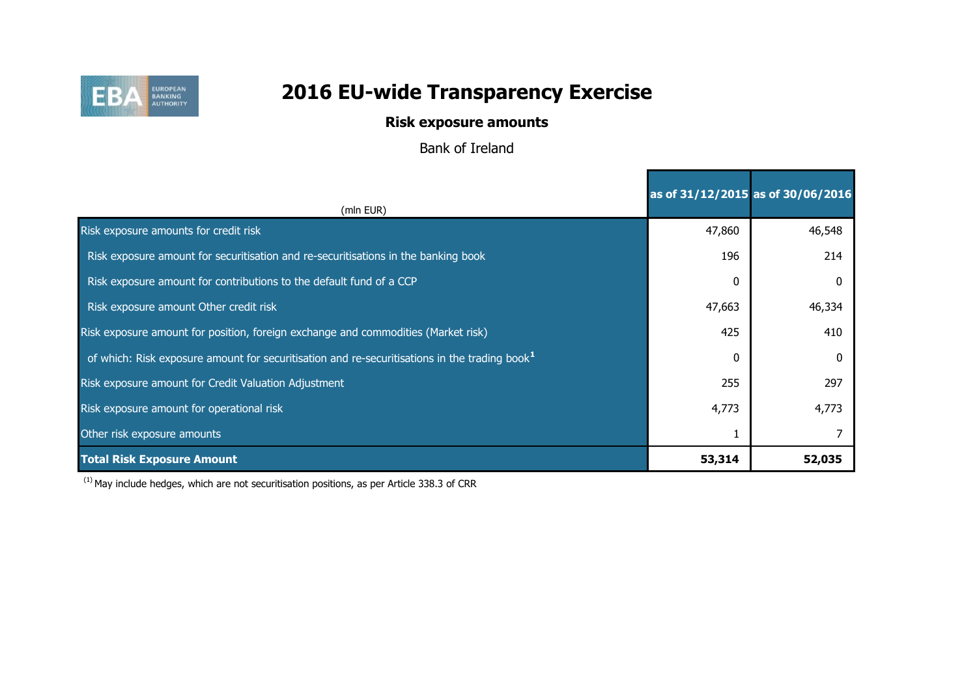

## **Risk exposure amounts**

Bank of Ireland

|                                                                                                   | as of 31/12/2015 as of 30/06/2016 |        |
|---------------------------------------------------------------------------------------------------|-----------------------------------|--------|
| (mln EUR)                                                                                         |                                   |        |
| Risk exposure amounts for credit risk                                                             | 47,860                            | 46,548 |
| Risk exposure amount for securitisation and re-securitisations in the banking book                | 196                               | 214    |
| Risk exposure amount for contributions to the default fund of a CCP                               | 0                                 |        |
| Risk exposure amount Other credit risk                                                            | 47,663                            | 46,334 |
| Risk exposure amount for position, foreign exchange and commodities (Market risk)                 | 425                               | 410    |
| of which: Risk exposure amount for securitisation and re-securitisations in the trading book $^1$ | $\Omega$                          |        |
| Risk exposure amount for Credit Valuation Adjustment                                              | 255                               | 297    |
| Risk exposure amount for operational risk                                                         | 4,773                             | 4,773  |
| Other risk exposure amounts                                                                       |                                   |        |
| <b>Total Risk Exposure Amount</b>                                                                 | 53,314                            | 52,035 |

 $(1)$  May include hedges, which are not securitisation positions, as per Article 338.3 of CRR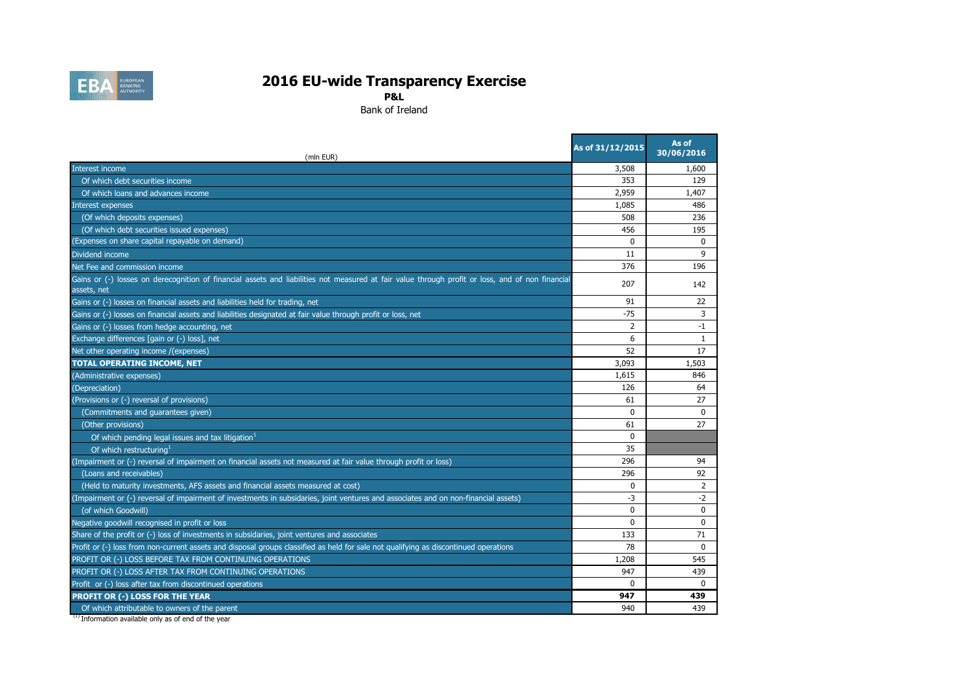

**P&L**

Bank of Ireland

| (mln EUR)                                                                                                                                                       | As of 31/12/2015 | As of<br>30/06/2016 |
|-----------------------------------------------------------------------------------------------------------------------------------------------------------------|------------------|---------------------|
| Interest income                                                                                                                                                 | 3,508            | 1,600               |
| Of which debt securities income                                                                                                                                 | 353              | 129                 |
| Of which loans and advances income                                                                                                                              | 2,959            | 1,407               |
| Interest expenses                                                                                                                                               | 1,085            | 486                 |
| (Of which deposits expenses)                                                                                                                                    | 508              | 236                 |
| (Of which debt securities issued expenses)                                                                                                                      | 456              | 195                 |
| (Expenses on share capital repayable on demand)                                                                                                                 | $\Omega$         | $\mathbf{0}$        |
| Dividend income                                                                                                                                                 | 11               | 9                   |
| Net Fee and commission income                                                                                                                                   | 376              | 196                 |
| Gains or (-) losses on derecognition of financial assets and liabilities not measured at fair value through profit or loss, and of non financial<br>assets, net | 207              | 142                 |
| Gains or (-) losses on financial assets and liabilities held for trading, net                                                                                   | 91               | 22                  |
| Gains or (-) losses on financial assets and liabilities designated at fair value through profit or loss, net                                                    | $-75$            | 3                   |
| Gains or (-) losses from hedge accounting, net                                                                                                                  | 2                | $-1$                |
| Exchange differences [gain or (-) loss], net                                                                                                                    | 6                | 1                   |
| Net other operating income /(expenses)                                                                                                                          | 52               | 17                  |
| <b>TOTAL OPERATING INCOME, NET</b>                                                                                                                              | 3,093            | 1,503               |
| (Administrative expenses)                                                                                                                                       | 1,615            | 846                 |
| (Depreciation)                                                                                                                                                  | 126              | 64                  |
| (Provisions or (-) reversal of provisions)                                                                                                                      | 61               | 27                  |
| (Commitments and guarantees given)                                                                                                                              | $\mathbf{0}$     | $\mathbf 0$         |
| (Other provisions)                                                                                                                                              | 61               | 27                  |
| Of which pending legal issues and tax litigation <sup>1</sup>                                                                                                   | $\Omega$         |                     |
| Of which restructuring <sup>1</sup>                                                                                                                             | 35               |                     |
| (Impairment or (-) reversal of impairment on financial assets not measured at fair value through profit or loss)                                                | 296              | 94                  |
| (Loans and receivables)                                                                                                                                         | 296              | 92                  |
| (Held to maturity investments, AFS assets and financial assets measured at cost)                                                                                | $\mathbf{0}$     | $\overline{2}$      |
| (Impairment or (-) reversal of impairment of investments in subsidaries, joint ventures and associates and on non-financial assets)                             | -3               | $-2$                |
| (of which Goodwill)                                                                                                                                             | $\Omega$         | $\Omega$            |
| Negative goodwill recognised in profit or loss                                                                                                                  | $\Omega$         | $\mathbf{0}$        |
| Share of the profit or (-) loss of investments in subsidaries, joint ventures and associates                                                                    | 133              | 71                  |
| Profit or (-) loss from non-current assets and disposal groups classified as held for sale not qualifying as discontinued operations                            | 78               | $\Omega$            |
| PROFIT OR (-) LOSS BEFORE TAX FROM CONTINUING OPERATIONS                                                                                                        | 1,208            | 545                 |
| PROFIT OR (-) LOSS AFTER TAX FROM CONTINUING OPERATIONS                                                                                                         | 947              | 439                 |
| Profit or (-) loss after tax from discontinued operations                                                                                                       | $\Omega$         | $\Omega$            |
| PROFIT OR (-) LOSS FOR THE YEAR                                                                                                                                 | 947              | 439                 |
| Of which attributable to owners of the parent                                                                                                                   | 940              | 439                 |

<sup>(1)</sup> Information available only as of end of the year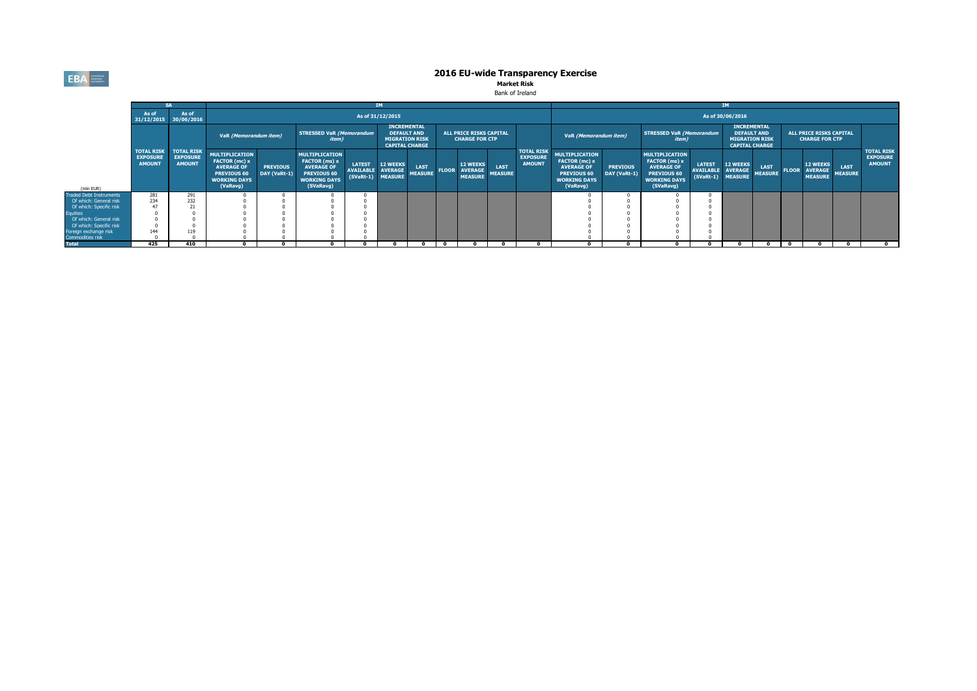**EBA** 

# **2016 EU-wide Transparency Exercise**<br>Market Risk

| Bank of Ireland |  |  |  |
|-----------------|--|--|--|
|-----------------|--|--|--|

|                                |                                                       |                                                       |                                                                                                                      |                                 |                                                                                                                |                                                         |                                                                                            |                        |              |                                                     | <b>IM</b>                     |                                                       |                                                                                                               |                                 |                                                                                                                |                                                  |                                                                                            |                               |  |                                                           |                               |                                                       |
|--------------------------------|-------------------------------------------------------|-------------------------------------------------------|----------------------------------------------------------------------------------------------------------------------|---------------------------------|----------------------------------------------------------------------------------------------------------------|---------------------------------------------------------|--------------------------------------------------------------------------------------------|------------------------|--------------|-----------------------------------------------------|-------------------------------|-------------------------------------------------------|---------------------------------------------------------------------------------------------------------------|---------------------------------|----------------------------------------------------------------------------------------------------------------|--------------------------------------------------|--------------------------------------------------------------------------------------------|-------------------------------|--|-----------------------------------------------------------|-------------------------------|-------------------------------------------------------|
|                                | As of<br>31/12/2015 30/06/2016                        | As of                                                 |                                                                                                                      |                                 |                                                                                                                |                                                         | As of 31/12/2015                                                                           |                        |              |                                                     |                               |                                                       |                                                                                                               |                                 |                                                                                                                |                                                  | As of 30/06/2016                                                                           |                               |  |                                                           |                               |                                                       |
|                                |                                                       |                                                       | VaR (Memorandum item)                                                                                                |                                 | <b>STRESSED VaR (Memorandum</b><br><i>item</i> )                                                               |                                                         | <b>INCREMENTAL</b><br><b>DEFAULT AND</b><br><b>MIGRATION RISK</b><br><b>CAPITAL CHARGE</b> |                        |              | ALL PRICE RISKS CAPITAL<br><b>CHARGE FOR CTP</b>    |                               |                                                       | VaR (Memorandum item)                                                                                         |                                 | <b>STRESSED VaR (Memorandum</b><br>item)                                                                       |                                                  | <b>INCREMENTAL</b><br><b>DEFAULT AND</b><br><b>MIGRATION RISK</b><br><b>CAPITAL CHARGE</b> |                               |  | <b>ALL PRICE RISKS CAPITAL</b><br><b>CHARGE FOR CTP</b>   |                               |                                                       |
| (mln EUR)                      | <b>TOTAL RISK</b><br><b>EXPOSURE</b><br><b>AMOUNT</b> | <b>TOTAL RISK</b><br><b>EXPOSURE</b><br><b>AMOUNT</b> | <b>MULTIPLICATION</b><br>FACTOR (mc) x<br><b>AVERAGE OF</b><br><b>PREVIOUS 60</b><br><b>WORKING DAYS</b><br>(VaRavg) | <b>PREVIOUS</b><br>DAY (VaRt-1) | <b>MULTIPLICATION</b><br>FACTOR (ms) x<br><b>AVERAGE OF</b><br>PREVIOUS 60<br><b>WORKING DAYS</b><br>(SVaRavg) | <b>LATEST</b><br>AVAILABLE AVERAGE<br>(SVaRt-1) MEASURE | 12 WEEKS                                                                                   | LAST<br><b>MEASURE</b> | <b>FLOOR</b> | <b>12 WEEKS</b><br><b>AVERAGE</b><br><b>MEASURE</b> | <b>LAST</b><br><b>MEASURE</b> | <b>TOTAL RISK</b><br><b>EXPOSURE</b><br><b>AMOUNT</b> | <b>MULTIPLICATION</b><br>FACTOR (mc) x<br><b>AVERAGE OF</b><br>PREVIOUS 60<br><b>WORKING DAYS</b><br>(VaRavg) | <b>PREVIOUS</b><br>DAY (VaRt-1) | <b>MULTIPLICATION</b><br>FACTOR (ms) x<br><b>AVERAGE OF</b><br>PREVIOUS 60<br><b>WORKING DAYS</b><br>(SVaRavg) | <b>LATEST</b><br><b>AVAILABLE</b><br>$(SVaRt-1)$ | <b>12 WEEKS</b><br><b>AVERAGE</b><br><b>MEASURE</b>                                        | <b>LAST</b><br><b>MEASURE</b> |  | <b>12 WEEKS</b><br><b>FLOOR AVERAGE</b><br><b>MEASURE</b> | <b>LAST</b><br><b>MEASURE</b> | <b>TOTAL RISK</b><br><b>EXPOSURE</b><br><b>AMOUNT</b> |
| <b>Traded Debt Instruments</b> | 281                                                   | 291                                                   |                                                                                                                      |                                 |                                                                                                                |                                                         |                                                                                            |                        |              |                                                     |                               |                                                       |                                                                                                               |                                 |                                                                                                                |                                                  |                                                                                            |                               |  |                                                           |                               |                                                       |
| Of which: General risk         | 234                                                   | 232                                                   |                                                                                                                      |                                 |                                                                                                                |                                                         |                                                                                            |                        |              |                                                     |                               |                                                       |                                                                                                               |                                 |                                                                                                                |                                                  |                                                                                            |                               |  |                                                           |                               |                                                       |
| Of which: Specific risk        |                                                       |                                                       |                                                                                                                      |                                 |                                                                                                                |                                                         |                                                                                            |                        |              |                                                     |                               |                                                       |                                                                                                               |                                 |                                                                                                                |                                                  |                                                                                            |                               |  |                                                           |                               |                                                       |
| <b>Equities</b>                |                                                       |                                                       |                                                                                                                      |                                 |                                                                                                                |                                                         |                                                                                            |                        |              |                                                     |                               |                                                       |                                                                                                               |                                 |                                                                                                                |                                                  |                                                                                            |                               |  |                                                           |                               |                                                       |
| Of which: General risk         |                                                       |                                                       |                                                                                                                      |                                 |                                                                                                                |                                                         |                                                                                            |                        |              |                                                     |                               |                                                       |                                                                                                               |                                 |                                                                                                                |                                                  |                                                                                            |                               |  |                                                           |                               |                                                       |
| Of which: Specific risk        |                                                       |                                                       |                                                                                                                      |                                 |                                                                                                                |                                                         |                                                                                            |                        |              |                                                     |                               |                                                       |                                                                                                               |                                 |                                                                                                                |                                                  |                                                                                            |                               |  |                                                           |                               |                                                       |
| Foreign exchange risk          | 144                                                   | 119                                                   |                                                                                                                      |                                 |                                                                                                                |                                                         |                                                                                            |                        |              |                                                     |                               |                                                       |                                                                                                               |                                 |                                                                                                                |                                                  |                                                                                            |                               |  |                                                           |                               |                                                       |
| Commodities risk               |                                                       |                                                       |                                                                                                                      |                                 |                                                                                                                |                                                         |                                                                                            |                        |              |                                                     |                               |                                                       |                                                                                                               |                                 |                                                                                                                |                                                  |                                                                                            |                               |  |                                                           |                               |                                                       |
| <b>Total</b>                   | 425                                                   | 410                                                   |                                                                                                                      |                                 |                                                                                                                |                                                         |                                                                                            |                        |              |                                                     |                               |                                                       |                                                                                                               |                                 |                                                                                                                |                                                  |                                                                                            |                               |  |                                                           |                               |                                                       |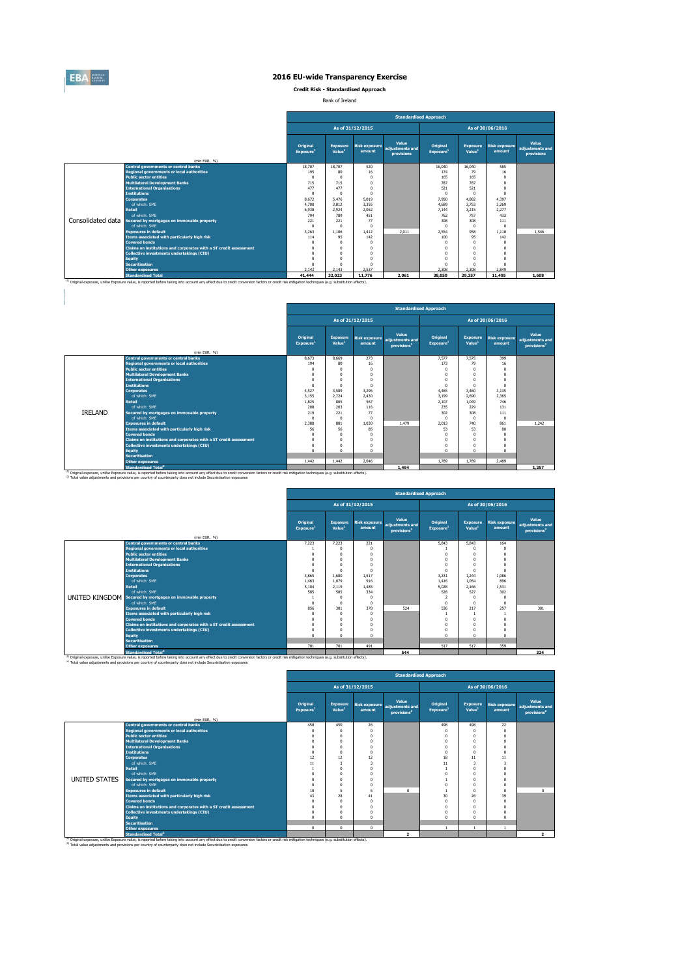

**Credit Risk - Standardised Approach**

Bank of Ireland

|                   |                                                                   |                                   |                                       |                                | <b>Standardised Approach</b>                  |                                   |                                       |                                |                                        |  |  |  |
|-------------------|-------------------------------------------------------------------|-----------------------------------|---------------------------------------|--------------------------------|-----------------------------------------------|-----------------------------------|---------------------------------------|--------------------------------|----------------------------------------|--|--|--|
|                   |                                                                   |                                   | As of 31/12/2015<br>As of 30/06/2016  |                                |                                               |                                   |                                       |                                |                                        |  |  |  |
|                   | (mln EUR. %)                                                      | Original<br>Exposure <sup>1</sup> | <b>Exposure</b><br>Value <sup>1</sup> | <b>Risk exposure</b><br>amount | Value<br>adiustments and<br><b>provisions</b> | Original<br>Exposure <sup>1</sup> | <b>Exposure</b><br>Value <sup>1</sup> | <b>Risk exposure</b><br>amount | Value<br>adjustments and<br>provisions |  |  |  |
|                   | <b>Central governments or central banks</b>                       | 18,707                            | 18,707                                | 520                            |                                               | 16.040                            | 16,040                                | 585                            |                                        |  |  |  |
|                   | <b>Regional governments or local authorities</b>                  | 195                               | 80                                    | 16                             |                                               | 174                               | 79                                    | 16                             |                                        |  |  |  |
|                   | <b>Public sector entities</b>                                     | $\mathbf{0}$                      |                                       | $\Omega$                       |                                               | 165                               | 165                                   | O                              |                                        |  |  |  |
|                   | <b>Multilateral Development Banks</b>                             | 715                               | 715                                   | $\Omega$                       |                                               | 787                               | 787                                   | n                              |                                        |  |  |  |
|                   | <b>International Organisations</b>                                | 477                               | 477                                   |                                |                                               | 521                               | 521                                   |                                |                                        |  |  |  |
|                   | <b>Institutions</b>                                               | $\Omega$                          |                                       |                                |                                               | $\Omega$                          | 0                                     | n                              |                                        |  |  |  |
|                   | <b>Corporates</b>                                                 | 8.672                             | 5.476                                 | 5.019                          |                                               | 7.950                             | 4.882                                 | 4.397                          |                                        |  |  |  |
|                   | of which: SME                                                     | 4,700                             | 3.812                                 | 3.355                          |                                               | 4.689                             | 3.753                                 | 3.269                          |                                        |  |  |  |
|                   | <b>Retail</b>                                                     | 6.938                             | 2.924                                 | 2.052                          |                                               | 7.144                             | 3.215                                 | 2.277                          |                                        |  |  |  |
|                   | of which: SME                                                     | 794                               | 789                                   | 451                            |                                               | 762                               | 757                                   | 433                            |                                        |  |  |  |
| Consolidated data | Secured by mortgages on immovable property                        | 221                               | 221                                   | 77                             |                                               | 308                               | 308                                   | 111                            |                                        |  |  |  |
|                   | of which: SMF                                                     | $\Omega$                          | $\Omega$                              | $\Omega$                       |                                               | $\Omega$                          | 0                                     | n                              |                                        |  |  |  |
|                   | <b>Exposures in default</b>                                       | 3.263                             | 1.186                                 | 1.412                          | 2.011                                         | 2.554                             | 958                                   | 1.118                          | 1.546                                  |  |  |  |
|                   | Items associated with particularly high risk                      | 114                               | 95                                    | 142                            |                                               | 100                               | 95                                    | 142                            |                                        |  |  |  |
|                   | <b>Covered bonds</b>                                              | $\sqrt{ }$                        |                                       | $\Omega$                       |                                               | $^{\circ}$                        | 0                                     |                                |                                        |  |  |  |
|                   | Claims on institutions and corporates with a ST credit assessment | $\Omega$                          |                                       |                                |                                               | $\Omega$                          | 0                                     |                                |                                        |  |  |  |
|                   | <b>Collective investments undertakings (CIU)</b>                  | $\Omega$                          |                                       |                                |                                               | $\Omega$                          | 0                                     |                                |                                        |  |  |  |
|                   | <b>Equity</b>                                                     | $\Omega$                          |                                       |                                |                                               | $\Omega$                          | 0                                     |                                |                                        |  |  |  |
|                   | <b>Securitisation</b>                                             | $\Omega$                          |                                       | $\Omega$                       |                                               | $\Omega$                          | $\mathbf{0}$                          | O                              |                                        |  |  |  |
|                   | <b>Other exposures</b>                                            | 2.143                             | 2.143                                 | 2.537                          |                                               | 2.308                             | 2,308                                 | 2.849                          |                                        |  |  |  |
|                   | <b>Standardised Total</b>                                         | 41,444                            | 32.023                                | 11,776                         | 2.061                                         | 38,050                            | 29,357                                | 11,495                         | 1,608                                  |  |  |  |

|                |                                                                   |                                          | <b>Standardised Approach</b>          |                  |                                                                   |                                   |                                       |                                |                                                     |  |  |  |
|----------------|-------------------------------------------------------------------|------------------------------------------|---------------------------------------|------------------|-------------------------------------------------------------------|-----------------------------------|---------------------------------------|--------------------------------|-----------------------------------------------------|--|--|--|
|                |                                                                   |                                          |                                       | As of 31/12/2015 |                                                                   |                                   |                                       | As of 30/06/2016               |                                                     |  |  |  |
|                | (mln EUR, %)                                                      | <b>Original</b><br>Exposure <sup>1</sup> | <b>Exposure</b><br>Value <sup>1</sup> | amount           | Value<br>Risk exposure adjustments and<br>provisions <sup>2</sup> | Original<br>Exposure <sup>1</sup> | <b>Exposure</b><br>Value <sup>1</sup> | <b>Risk exposure</b><br>amount | Value<br>adjustments and<br>provisions <sup>2</sup> |  |  |  |
|                | <b>Central governments or central banks</b>                       | 8.673                                    | 8,669                                 | 273              |                                                                   | 7.577                             | 7.575                                 | 399                            |                                                     |  |  |  |
|                | <b>Regional governments or local authorities</b>                  | 194                                      | 80                                    | 16               |                                                                   | 173                               | 79                                    | 16                             |                                                     |  |  |  |
|                | <b>Public sector entities</b>                                     | $\Omega$                                 | $\Omega$                              | $\Omega$         |                                                                   | $\Omega$                          | $\mathbf{0}$                          | $\Omega$                       |                                                     |  |  |  |
|                | <b>Multilateral Development Banks</b>                             | $\Omega$                                 | $\Omega$                              | $\Omega$         |                                                                   | $\Omega$                          | 0                                     | $\Omega$                       |                                                     |  |  |  |
|                | <b>International Organisations</b>                                | $\Omega$                                 | $\Omega$                              |                  |                                                                   | $\Omega$                          | n                                     |                                |                                                     |  |  |  |
|                | <b>Institutions</b>                                               | $\Omega$                                 | $\Omega$                              | $\Omega$         |                                                                   | $\Omega$                          | 0                                     | $\Omega$                       |                                                     |  |  |  |
|                | <b>Corporates</b>                                                 | 4.527                                    | 3.589                                 | 3.296            |                                                                   | 4.465                             | 3.460                                 | 3.135                          |                                                     |  |  |  |
|                | of which: SMF                                                     | 3.155                                    | 2.724                                 | 2.430            |                                                                   | 3.199                             | 2.690                                 | 2.365                          |                                                     |  |  |  |
|                | <b>Retail</b>                                                     | 1.825                                    | 805                                   | 567              |                                                                   | 2.107                             | 1.049                                 | 746                            |                                                     |  |  |  |
|                | of which: SMF                                                     | 208                                      | 203                                   | 116              |                                                                   | 235                               | 229                                   | 131                            |                                                     |  |  |  |
| <b>IRELAND</b> | Secured by mortgages on immovable property                        | 219                                      | 221                                   | 77               |                                                                   | 302                               | 308                                   | 111                            |                                                     |  |  |  |
|                | of which: SMF                                                     | $\Omega$                                 | $\Omega$                              | $\Omega$         |                                                                   | $\Omega$                          | $\Omega$                              | $\Omega$                       |                                                     |  |  |  |
|                | <b>Exposures in default</b>                                       | 2.388                                    | 881                                   | 1.030            | 1.479                                                             | 2.013                             | 740                                   | 861                            | 1.242                                               |  |  |  |
|                | Items associated with particularly high risk                      | 56                                       | 56                                    | 85               |                                                                   | 53                                | 53                                    | 80                             |                                                     |  |  |  |
|                | <b>Covered bonds</b>                                              |                                          | $^{\circ}$                            | $\Omega$         |                                                                   | $\Omega$                          | 0                                     | $\Omega$                       |                                                     |  |  |  |
|                | Claims on institutions and corporates with a ST credit assessment | $\Omega$                                 | $\mathbf{0}$                          | $\Omega$         |                                                                   | $\mathbf 0$                       | $\mathbf{0}$                          | $\Omega$                       |                                                     |  |  |  |
|                | <b>Collective investments undertakings (CIU)</b>                  | $\Omega$                                 | $\Omega$                              | $\Omega$         |                                                                   | $\Omega$                          | 0                                     |                                |                                                     |  |  |  |
|                | <b>Equity</b>                                                     | $\Omega$                                 | $\Omega$                              | $\Omega$         |                                                                   | $\Omega$                          | $\mathbf{0}$                          | $\Omega$                       |                                                     |  |  |  |
|                | <b>Securitisation</b>                                             |                                          |                                       |                  |                                                                   |                                   |                                       |                                |                                                     |  |  |  |
|                | <b>Other exposures</b>                                            | 1.442                                    | 1.442                                 | 2.046            |                                                                   | 1.789                             | 1.789                                 | 2.489                          |                                                     |  |  |  |
|                | <b>Standardised Total<sup>2</sup></b>                             |                                          |                                       |                  | 1.494                                                             |                                   |                                       |                                | 1,257                                               |  |  |  |

|                                                                   | <b>Standardised Approach</b>         |                    |                                  |                                                     |                                   |                                       |                                |                                                     |  |  |  |
|-------------------------------------------------------------------|--------------------------------------|--------------------|----------------------------------|-----------------------------------------------------|-----------------------------------|---------------------------------------|--------------------------------|-----------------------------------------------------|--|--|--|
|                                                                   | As of 31/12/2015<br>As of 30/06/2016 |                    |                                  |                                                     |                                   |                                       |                                |                                                     |  |  |  |
|                                                                   | Original<br>Exposure <sup>1</sup>    | Value <sup>1</sup> | Exposure Risk exposure<br>amount | Value<br>adjustments and<br>provisions <sup>2</sup> | Original<br>Exposure <sup>1</sup> | <b>Exposure</b><br>Value <sup>1</sup> | <b>Risk exposure</b><br>amount | Value<br>adjustments and<br>provisions <sup>2</sup> |  |  |  |
| (mln EUR, %)<br><b>Central governments or central banks</b>       | 7,223                                | 7,223              | 221                              |                                                     | 5,843                             | 5.843                                 | 164                            |                                                     |  |  |  |
| <b>Regional governments or local authorities</b>                  |                                      |                    |                                  |                                                     |                                   |                                       | $\Omega$                       |                                                     |  |  |  |
| <b>Public sector entities</b>                                     | $\Omega$                             |                    |                                  |                                                     |                                   |                                       | $\Omega$                       |                                                     |  |  |  |
| <b>Multilateral Development Banks</b>                             |                                      | $\Omega$           | $\Omega$                         |                                                     |                                   | $\Omega$                              | $\Omega$                       |                                                     |  |  |  |
| <b>International Organisations</b>                                |                                      |                    |                                  |                                                     |                                   | $\Omega$                              |                                |                                                     |  |  |  |
| <b>Institutions</b>                                               | $\Omega$                             | $\Omega$           | $\Omega$                         |                                                     | $\sqrt{2}$                        | $\Omega$                              | $\Omega$                       |                                                     |  |  |  |
| <b>Corporates</b>                                                 | 3.865                                | 1.680              | 1,517                            |                                                     | 3.231                             | 1.244                                 | 1,086                          |                                                     |  |  |  |
| of which: SME                                                     | 1.463                                | 1.079              | 916                              |                                                     | 1.416                             | 1.054                                 | 896                            |                                                     |  |  |  |
| <b>Retail</b>                                                     | 5.104                                | 2.119              | 1.485                            |                                                     | 5.028                             | 2.166                                 | 1.531                          |                                                     |  |  |  |
| of which: SMF                                                     | 585                                  | 585                | 334                              |                                                     | 528                               | 527                                   | 302                            |                                                     |  |  |  |
| UNITED KINGDOM Secured by mortgages on immovable property         |                                      | $\Omega$           |                                  |                                                     | $\overline{2}$                    | $\Omega$                              | $\Omega$                       |                                                     |  |  |  |
| of which: SMF                                                     | $\Omega$                             | $\Omega$           | $\Omega$                         |                                                     | $\sqrt{2}$                        | $\Omega$                              | $\Omega$                       |                                                     |  |  |  |
| <b>Exposures in default</b>                                       | 856                                  | 301                | 378                              | 524                                                 | 536                               | 217                                   | 257                            | 301                                                 |  |  |  |
| Items associated with particularly high risk                      | $\Omega$                             | $\Omega$           | $\Omega$                         |                                                     |                                   |                                       |                                |                                                     |  |  |  |
| <b>Covered bonds</b>                                              | $\Omega$                             | O                  |                                  |                                                     |                                   |                                       |                                |                                                     |  |  |  |
| Claims on institutions and corporates with a ST credit assessment | $\Omega$                             | $\Omega$           | $\Omega$                         |                                                     | $\sqrt{2}$                        | $\Omega$                              |                                |                                                     |  |  |  |
| Collective investments undertakings (CIU)                         | $\Omega$                             | n                  | $\Omega$                         |                                                     |                                   | $\Omega$                              | $\Omega$                       |                                                     |  |  |  |
| <b>Equity</b>                                                     | $\Omega$                             | $\Omega$           | $\Omega$                         |                                                     | $\sqrt{2}$                        | $\Omega$                              | $\Omega$                       |                                                     |  |  |  |
| <b>Securitisation</b>                                             |                                      |                    |                                  |                                                     |                                   |                                       |                                |                                                     |  |  |  |
| Other exposures                                                   | 701                                  | 701                | 491                              |                                                     | 517                               | 517                                   | 359                            |                                                     |  |  |  |
| the company of the company of the                                 |                                      |                    |                                  | $ -$                                                |                                   |                                       |                                | $- - -$                                             |  |  |  |

 $\overline{a}$ 

<sup>13</sup> Original exposure, unlike Exposure and archive and a state of the state of the state of the state of the state of the state of the state of the state of the state of the state of the state of the state of the state of

|               |                                                                   | <b>Standardised Approach</b>                                                                                                                                                                                                                                                                                                |            |          |                |          |          |          |                                                     |  |  |  |
|---------------|-------------------------------------------------------------------|-----------------------------------------------------------------------------------------------------------------------------------------------------------------------------------------------------------------------------------------------------------------------------------------------------------------------------|------------|----------|----------------|----------|----------|----------|-----------------------------------------------------|--|--|--|
|               |                                                                   | As of 31/12/2015<br>As of 30/06/2016<br>Value<br>Original<br>Original<br><b>Exposure</b><br><b>Risk exposure</b><br><b>Exposure</b><br><b>Risk exposure</b><br>adjustments and<br>Value <sup>1</sup><br>Value <sup>1</sup><br>Exposure <sup>1</sup><br>Exposure <sup>1</sup><br>amount<br>amount<br>provisions <sup>2</sup> |            |          |                |          |          |          |                                                     |  |  |  |
|               |                                                                   |                                                                                                                                                                                                                                                                                                                             |            |          |                |          |          |          | Value<br>adjustments and<br>provisions <sup>2</sup> |  |  |  |
|               | (mln EUR, %)<br><b>Central governments or central banks</b>       | 450                                                                                                                                                                                                                                                                                                                         | 450        | 26       |                | 498      | 498      | 22       |                                                     |  |  |  |
|               | <b>Regional governments or local authorities</b>                  | $\Omega$                                                                                                                                                                                                                                                                                                                    | $\Omega$   | $\Omega$ |                | $\Omega$ | $\Omega$ | $\Omega$ |                                                     |  |  |  |
|               | <b>Public sector entities</b>                                     | $\Omega$                                                                                                                                                                                                                                                                                                                    | $^{\circ}$ | $\Omega$ |                | $\Omega$ | $\Omega$ | $\Omega$ |                                                     |  |  |  |
|               | <b>Multilateral Development Banks</b>                             | $\Omega$                                                                                                                                                                                                                                                                                                                    | $\Omega$   | $\Omega$ |                |          | $\Omega$ | $\Omega$ |                                                     |  |  |  |
|               | <b>International Organisations</b>                                | $\Omega$                                                                                                                                                                                                                                                                                                                    | $\Omega$   | $\Omega$ |                |          | $\Omega$ |          |                                                     |  |  |  |
|               | <b>Institutions</b>                                               | $\Omega$                                                                                                                                                                                                                                                                                                                    | $\Omega$   | $\Omega$ |                | $\Omega$ |          | $\Omega$ |                                                     |  |  |  |
|               | <b>Corporates</b>                                                 | 12                                                                                                                                                                                                                                                                                                                          | 12         | 12       |                | 18       | 11       | 11       |                                                     |  |  |  |
|               | of which: SME                                                     | 11                                                                                                                                                                                                                                                                                                                          | 3          | 3        |                | 11       | 3        | ۹        |                                                     |  |  |  |
|               | <b>Retail</b>                                                     |                                                                                                                                                                                                                                                                                                                             | $\theta$   | $\Omega$ |                |          |          |          |                                                     |  |  |  |
|               | of which: SME                                                     | $\Omega$                                                                                                                                                                                                                                                                                                                    | $\Omega$   | $\Omega$ |                |          |          |          |                                                     |  |  |  |
| UNITED STATES | Secured by mortgages on immovable property                        | $\Omega$                                                                                                                                                                                                                                                                                                                    | n          | $\Omega$ |                |          |          |          |                                                     |  |  |  |
|               | of which: SMF                                                     | $\Omega$                                                                                                                                                                                                                                                                                                                    | $\Omega$   | $\Omega$ |                |          | $\Omega$ | $\Omega$ |                                                     |  |  |  |
|               | <b>Exposures in default</b>                                       | 10                                                                                                                                                                                                                                                                                                                          | 5          | 5        | $\Omega$       |          | $\Omega$ | $\Omega$ | $^{\circ}$                                          |  |  |  |
|               | Items associated with particularly high risk                      | 43                                                                                                                                                                                                                                                                                                                          | 28         | 41       |                | 30       | 26       | 39       |                                                     |  |  |  |
|               | <b>Covered bonds</b>                                              | $\Omega$                                                                                                                                                                                                                                                                                                                    | $\Omega$   | $\Omega$ |                | $\Omega$ | $\Omega$ | $\Omega$ |                                                     |  |  |  |
|               | Claims on institutions and corporates with a ST credit assessment | $\Omega$                                                                                                                                                                                                                                                                                                                    | $\Omega$   | $\Omega$ |                | $\Omega$ | $\Omega$ | $\Omega$ |                                                     |  |  |  |
|               | Collective investments undertakings (CIU)                         | $\Omega$                                                                                                                                                                                                                                                                                                                    | $\theta$   | $\Omega$ |                |          |          |          |                                                     |  |  |  |
|               | Equity                                                            | $\Omega$                                                                                                                                                                                                                                                                                                                    | $\Omega$   | $\Omega$ |                | $\Omega$ | $\Omega$ | $\Omega$ |                                                     |  |  |  |
|               | <b>Securitisation</b>                                             |                                                                                                                                                                                                                                                                                                                             |            |          |                |          |          |          |                                                     |  |  |  |
|               | <b>Other exposures</b>                                            | $\Omega$                                                                                                                                                                                                                                                                                                                    | $\Omega$   | $\Omega$ |                |          |          | ×.       |                                                     |  |  |  |
|               | <b>Standardised Total<sup>2</sup></b>                             |                                                                                                                                                                                                                                                                                                                             |            |          | $\overline{2}$ |          |          |          | $\overline{2}$                                      |  |  |  |

<sup>(1)</sup> Original exposure, unlike Exposure value, is reported before taking into account any effect due to credit conversion factors or credit risk mitigation techniques (e.g. substitution effects).<br><sup>(2)</sup> Total value adjustm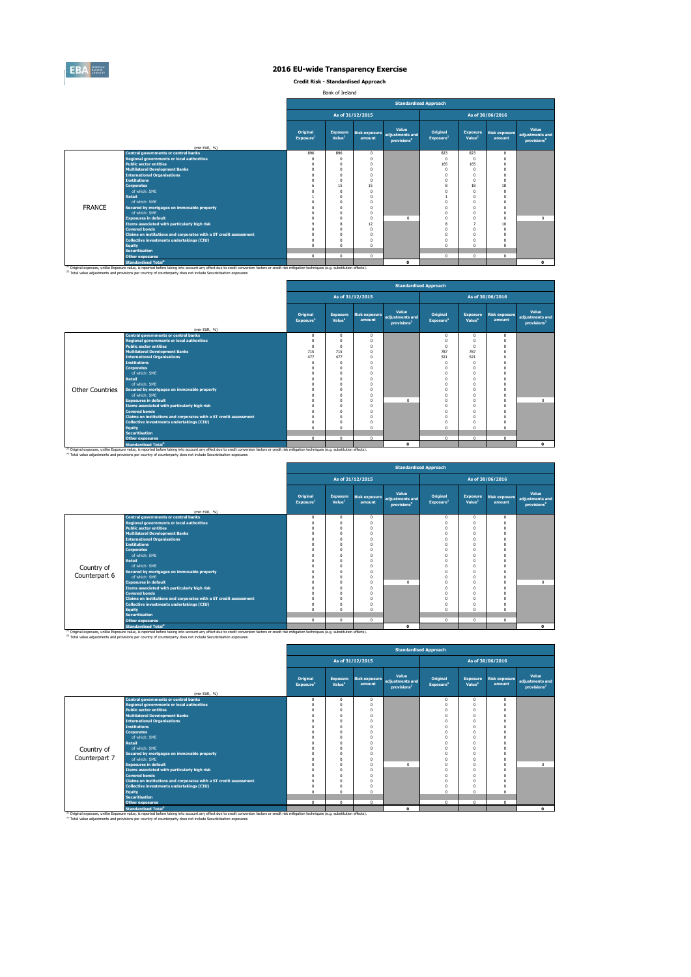

**Credit Risk - Standardised Approach**

Bank of Ireland

|               |                                                                                                                                                                                                                                                                                                                         |                                   | <b>Standardised Approach</b>          |                         |                                                     |                                   |                                       |                                |                                                     |  |  |  |  |
|---------------|-------------------------------------------------------------------------------------------------------------------------------------------------------------------------------------------------------------------------------------------------------------------------------------------------------------------------|-----------------------------------|---------------------------------------|-------------------------|-----------------------------------------------------|-----------------------------------|---------------------------------------|--------------------------------|-----------------------------------------------------|--|--|--|--|
|               |                                                                                                                                                                                                                                                                                                                         |                                   | As of 31/12/2015<br>As of 30/06/2016  |                         |                                                     |                                   |                                       |                                |                                                     |  |  |  |  |
|               | (mln EUR, %)                                                                                                                                                                                                                                                                                                            | Original<br>Exposure <sup>1</sup> | <b>Exposure</b><br>Value <sup>1</sup> | Risk exposure<br>amount | Value<br>adiustments and<br>provisions <sup>2</sup> | Original<br>Exposure <sup>1</sup> | <b>Exposure</b><br>Value <sup>1</sup> | <b>Risk exposure</b><br>amount | Value<br>adjustments and<br>provisions <sup>2</sup> |  |  |  |  |
|               | <b>Central governments or central banks</b>                                                                                                                                                                                                                                                                             | 896                               | 896                                   | $\Omega$                |                                                     | 823                               | 823                                   | $\Omega$                       |                                                     |  |  |  |  |
|               | <b>Regional governments or local authorities</b>                                                                                                                                                                                                                                                                        | $\Omega$                          | n                                     | $\Omega$                |                                                     | $^{\circ}$                        | $\Omega$                              | $\Omega$                       |                                                     |  |  |  |  |
|               | <b>Public sector entities</b>                                                                                                                                                                                                                                                                                           | O                                 |                                       |                         |                                                     | 165                               | 165                                   | $\Omega$                       |                                                     |  |  |  |  |
|               | <b>Multilateral Development Banks</b>                                                                                                                                                                                                                                                                                   | $\Omega$                          | O                                     |                         |                                                     | $\Omega$                          | $\Omega$                              | £                              |                                                     |  |  |  |  |
|               | <b>International Organisations</b>                                                                                                                                                                                                                                                                                      | $\Omega$                          | O                                     |                         |                                                     | $\Omega$                          | $\Omega$                              | £                              |                                                     |  |  |  |  |
|               | <b>Institutions</b>                                                                                                                                                                                                                                                                                                     | Ò                                 | O                                     |                         |                                                     | $\Omega$                          | $\Omega$                              | $\Omega$                       |                                                     |  |  |  |  |
|               | <b>Corporates</b>                                                                                                                                                                                                                                                                                                       | 6                                 | 15                                    | 15                      |                                                     | 8                                 | 18                                    | 18                             |                                                     |  |  |  |  |
|               | of which: SMF                                                                                                                                                                                                                                                                                                           | Ō                                 | $\theta$                              | $\Omega$                |                                                     | $\Omega$                          | $\Omega$                              | $\Omega$                       |                                                     |  |  |  |  |
|               | <b>Retail</b>                                                                                                                                                                                                                                                                                                           |                                   |                                       |                         |                                                     |                                   | $\Omega$                              | $\Omega$                       |                                                     |  |  |  |  |
|               | of which: SMF                                                                                                                                                                                                                                                                                                           | n                                 | O                                     |                         |                                                     |                                   | $\Omega$                              | $\Omega$                       |                                                     |  |  |  |  |
| <b>FRANCE</b> | Secured by mortgages on immovable property                                                                                                                                                                                                                                                                              | n                                 | n                                     |                         |                                                     | $\Omega$                          | $\Omega$                              | $\Omega$                       |                                                     |  |  |  |  |
|               | of which: SMF                                                                                                                                                                                                                                                                                                           | O                                 | n                                     | $\Omega$                |                                                     | $\Omega$                          | $\Omega$                              | $\Omega$                       |                                                     |  |  |  |  |
|               | <b>Exposures in default</b>                                                                                                                                                                                                                                                                                             |                                   |                                       | $\Omega$                | $\Omega$                                            | $\Omega$                          | $\Omega$                              | $\Omega$                       | $\Omega$                                            |  |  |  |  |
|               | Items associated with particularly high risk                                                                                                                                                                                                                                                                            | ó                                 | 8                                     | 12                      |                                                     | 8                                 | $\overline{\phantom{a}}$              | 10                             |                                                     |  |  |  |  |
|               | <b>Covered bonds</b>                                                                                                                                                                                                                                                                                                    | O                                 | O                                     | $\Omega$                |                                                     | $\Omega$                          | $\Omega$                              | $\Omega$                       |                                                     |  |  |  |  |
|               | Claims on institutions and corporates with a ST credit assessment                                                                                                                                                                                                                                                       | $\Omega$                          | O                                     |                         |                                                     | $\Omega$                          | $\Omega$                              | $\Omega$                       |                                                     |  |  |  |  |
|               | Collective investments undertakings (CIU)                                                                                                                                                                                                                                                                               | $\Omega$                          | O                                     |                         |                                                     | $\Omega$                          | $\Omega$                              |                                |                                                     |  |  |  |  |
|               | <b>Equity</b>                                                                                                                                                                                                                                                                                                           | $\Omega$                          | O                                     |                         |                                                     | $\Omega$                          | $\Omega$                              | £                              |                                                     |  |  |  |  |
|               | <b>Securitisation</b>                                                                                                                                                                                                                                                                                                   |                                   |                                       |                         |                                                     |                                   |                                       |                                |                                                     |  |  |  |  |
|               | <b>Other exposures</b>                                                                                                                                                                                                                                                                                                  | $\mathbf 0$                       | $^{\circ}$                            | $\Omega$                |                                                     | $\mathbf 0$                       | $\mathbf{0}$                          | $\circ$                        |                                                     |  |  |  |  |
|               | <b>Standardised Total<sup>2</sup></b>                                                                                                                                                                                                                                                                                   |                                   |                                       |                         | $\Omega$                                            |                                   |                                       |                                | $\bullet$                                           |  |  |  |  |
|               | (1) Original exposure, unlike Exposure value, is reported before taking into account any effect due to credit conversion factors or credit risk mitigation techniques (e.g. substitution effects).<br>(2) Total value adjustments and provisions per country of counterparty does not include Securistisation exposures |                                   |                                       |                         |                                                     |                                   |                                       |                                |                                                     |  |  |  |  |

|                        |                                                                                                                                                                                                                                                                                                                                    | <b>Standardised Approach</b>      |                                       |                                |                                                     |                                   |                                       |                                |                                                     |  |  |
|------------------------|------------------------------------------------------------------------------------------------------------------------------------------------------------------------------------------------------------------------------------------------------------------------------------------------------------------------------------|-----------------------------------|---------------------------------------|--------------------------------|-----------------------------------------------------|-----------------------------------|---------------------------------------|--------------------------------|-----------------------------------------------------|--|--|
|                        |                                                                                                                                                                                                                                                                                                                                    |                                   |                                       | As of 31/12/2015               |                                                     |                                   |                                       | As of 30/06/2016               |                                                     |  |  |
|                        | (mln EUR, %)                                                                                                                                                                                                                                                                                                                       | Original<br>Exposure <sup>1</sup> | <b>Exposure</b><br>Value <sup>1</sup> | <b>Risk exposure</b><br>amount | Value<br>adiustments and<br>provisions <sup>2</sup> | Original<br>Exposure <sup>1</sup> | <b>Exposure</b><br>Value <sup>1</sup> | <b>Risk exposure</b><br>amount | Value<br>adjustments and<br>provisions <sup>2</sup> |  |  |
|                        | <b>Central governments or central banks</b>                                                                                                                                                                                                                                                                                        | $\Omega$                          | $\mathbf{0}$                          | $\Omega$                       |                                                     | $^{\circ}$                        | 0                                     | $\mathbf{0}$                   |                                                     |  |  |
|                        | <b>Regional governments or local authorities</b>                                                                                                                                                                                                                                                                                   | 0                                 | $\Omega$                              |                                |                                                     | $\Omega$                          |                                       | $\Omega$                       |                                                     |  |  |
|                        | <b>Public sector entities</b>                                                                                                                                                                                                                                                                                                      | 0                                 | $\Omega$                              |                                |                                                     | $\Omega$                          |                                       |                                |                                                     |  |  |
|                        | <b>Multilateral Development Banks</b>                                                                                                                                                                                                                                                                                              | 715                               | 715                                   |                                |                                                     | 787                               | 787                                   |                                |                                                     |  |  |
|                        | <b>International Organisations</b>                                                                                                                                                                                                                                                                                                 | 477                               | 477                                   |                                |                                                     | 521                               | 521                                   |                                |                                                     |  |  |
|                        | <b>Institutions</b>                                                                                                                                                                                                                                                                                                                | 0                                 | $\Omega$                              |                                |                                                     | $\Omega$                          |                                       |                                |                                                     |  |  |
|                        | <b>Corporates</b>                                                                                                                                                                                                                                                                                                                  |                                   | $\Omega$                              |                                |                                                     | $\Omega$                          |                                       |                                |                                                     |  |  |
|                        | of which: SME                                                                                                                                                                                                                                                                                                                      |                                   | $\Omega$                              |                                |                                                     | O                                 |                                       |                                |                                                     |  |  |
|                        | <b>Retail</b>                                                                                                                                                                                                                                                                                                                      |                                   | $\Omega$                              |                                |                                                     | O                                 |                                       |                                |                                                     |  |  |
|                        | of which: SME                                                                                                                                                                                                                                                                                                                      |                                   | $\Omega$                              |                                |                                                     |                                   |                                       |                                |                                                     |  |  |
| <b>Other Countries</b> | Secured by mortgages on immovable property                                                                                                                                                                                                                                                                                         |                                   | $\Omega$                              |                                |                                                     |                                   |                                       |                                |                                                     |  |  |
|                        | of which: SMF                                                                                                                                                                                                                                                                                                                      |                                   | $\Omega$                              |                                |                                                     |                                   |                                       |                                |                                                     |  |  |
|                        | <b>Exposures in default</b>                                                                                                                                                                                                                                                                                                        |                                   | $\Omega$                              |                                | $\Omega$                                            | O                                 |                                       | $\Omega$                       | $\Omega$                                            |  |  |
|                        | Items associated with particularly high risk                                                                                                                                                                                                                                                                                       |                                   | $\Omega$                              |                                |                                                     | O                                 |                                       |                                |                                                     |  |  |
|                        | <b>Covered bonds</b>                                                                                                                                                                                                                                                                                                               |                                   | $\Omega$                              |                                |                                                     | O                                 |                                       |                                |                                                     |  |  |
|                        | Claims on institutions and corporates with a ST credit assessment                                                                                                                                                                                                                                                                  |                                   | $\Omega$                              |                                |                                                     | O                                 |                                       |                                |                                                     |  |  |
|                        | <b>Collective investments undertakings (CIU)</b>                                                                                                                                                                                                                                                                                   |                                   | $\Omega$                              |                                |                                                     | O                                 |                                       |                                |                                                     |  |  |
|                        | <b>Equity</b>                                                                                                                                                                                                                                                                                                                      | n                                 | $\Omega$                              |                                |                                                     | $\Omega$                          |                                       | $\Omega$                       |                                                     |  |  |
|                        | <b>Securitisation</b>                                                                                                                                                                                                                                                                                                              |                                   |                                       |                                |                                                     |                                   |                                       |                                |                                                     |  |  |
|                        | <b>Other exposures</b>                                                                                                                                                                                                                                                                                                             | $\Omega$                          | $\mathbf{0}$                          | $\Omega$                       |                                                     | $\mathbf 0$                       | $\mathbf{0}$                          | $\Omega$                       |                                                     |  |  |
|                        | <b>Standardised Total<sup>2</sup></b>                                                                                                                                                                                                                                                                                              |                                   |                                       |                                | 0                                                   |                                   |                                       |                                | $\bullet$                                           |  |  |
|                        | <sup>(1)</sup> Original exposure, unlike Exposure value, is reported before taking into account any effect due to credit conversion factors or credit risk mitigation techniques (e.g. substitution effects).<br>(2) Total value adjustments and provisions per country of counterparty does not include Securistisation exposures |                                   |                                       |                                |                                                     |                                   |                                       |                                |                                                     |  |  |

|               |                                                                                                                                                                                                                                                        |                                   |                                       |                                | <b>Standardised Approach</b>                        |                                   |                                       |                                |                                                     |
|---------------|--------------------------------------------------------------------------------------------------------------------------------------------------------------------------------------------------------------------------------------------------------|-----------------------------------|---------------------------------------|--------------------------------|-----------------------------------------------------|-----------------------------------|---------------------------------------|--------------------------------|-----------------------------------------------------|
|               |                                                                                                                                                                                                                                                        |                                   |                                       | As of 31/12/2015               |                                                     |                                   |                                       | As of 30/06/2016               |                                                     |
|               | (mln EUR, %)                                                                                                                                                                                                                                           | Original<br>Exposure <sup>1</sup> | <b>Exposure</b><br>Value <sup>1</sup> | <b>Risk exposure</b><br>amount | Value<br>adjustments and<br>provisions <sup>2</sup> | Original<br>Exposure <sup>1</sup> | <b>Exposure</b><br>Value <sup>1</sup> | <b>Risk exposure</b><br>amount | Value<br>adjustments and<br>provisions <sup>2</sup> |
|               | Central governments or central banks                                                                                                                                                                                                                   | $\Omega$                          | $^{\circ}$                            | $\Omega$                       |                                                     | $\mathbf 0$                       | $\Omega$                              | $\Omega$                       |                                                     |
|               | <b>Regional governments or local authorities</b>                                                                                                                                                                                                       |                                   | $\Omega$                              | Ō                              |                                                     | $\Omega$                          | $\Omega$                              | $\Omega$                       |                                                     |
|               | <b>Public sector entities</b>                                                                                                                                                                                                                          | O                                 | $\Omega$                              | n                              |                                                     | $\Omega$                          | $\Omega$                              | $\Omega$                       |                                                     |
|               | <b>Multilateral Development Banks</b>                                                                                                                                                                                                                  |                                   | $\Omega$                              | Ō                              |                                                     | ń                                 | $\theta$                              | $\Omega$                       |                                                     |
|               | <b>International Organisations</b>                                                                                                                                                                                                                     |                                   | $\Omega$                              | n                              |                                                     |                                   | n                                     | $\Omega$                       |                                                     |
|               | <b>Institutions</b>                                                                                                                                                                                                                                    |                                   | 0                                     | Ō                              |                                                     |                                   | n                                     |                                |                                                     |
|               | <b>Corporates</b>                                                                                                                                                                                                                                      |                                   | 0                                     | n                              |                                                     | n                                 | n                                     |                                |                                                     |
|               | of which: SME                                                                                                                                                                                                                                          |                                   | 0                                     | n                              |                                                     | n                                 | $\Omega$                              | $\Omega$                       |                                                     |
|               | <b>Retail</b>                                                                                                                                                                                                                                          |                                   | 0                                     | Ō                              |                                                     |                                   | $\theta$                              |                                |                                                     |
| Country of    | of which: SMF                                                                                                                                                                                                                                          |                                   | $\Omega$                              | n                              |                                                     | n                                 | $\Omega$                              | $\Omega$                       |                                                     |
|               | Secured by mortgages on immovable property                                                                                                                                                                                                             |                                   | $\Omega$                              | Ō                              |                                                     | 0                                 | $\Omega$                              | $\Omega$                       |                                                     |
| Counterpart 6 | of which: SMF                                                                                                                                                                                                                                          |                                   | 0                                     | n                              |                                                     | 0                                 | $\Omega$                              | $\Omega$                       |                                                     |
|               | <b>Exposures in default</b>                                                                                                                                                                                                                            |                                   | $\Omega$                              | Ō                              | $\Omega$                                            | 0                                 | $\theta$                              | $\Omega$                       | $\Omega$                                            |
|               | Items associated with particularly high risk                                                                                                                                                                                                           |                                   | $\Omega$                              | n                              |                                                     | O                                 | $\Omega$                              | $\Omega$                       |                                                     |
|               | <b>Covered bonds</b>                                                                                                                                                                                                                                   |                                   | $\Omega$                              | n                              |                                                     | 0                                 | $\Omega$                              | $\Omega$                       |                                                     |
|               | Claims on institutions and corporates with a ST credit assessment                                                                                                                                                                                      |                                   | 0                                     | n                              |                                                     | 0                                 | $\Omega$                              | $\Omega$                       |                                                     |
|               | Collective investments undertakings (CIU)                                                                                                                                                                                                              | O                                 | 0                                     | n                              |                                                     | $\Omega$                          | $\Omega$                              | $\Omega$                       |                                                     |
|               | <b>Equity</b>                                                                                                                                                                                                                                          | $\Omega$                          | $\Omega$                              | Ō.                             |                                                     | $\Omega$                          | $\Omega$                              | $\Omega$                       |                                                     |
|               | <b>Securitisation</b>                                                                                                                                                                                                                                  |                                   |                                       |                                |                                                     | $\Omega$                          | $\Omega$                              | $\Omega$                       |                                                     |
|               | <b>Other exposures</b>                                                                                                                                                                                                                                 | $\mathbf 0$                       | $\mathbf{0}$                          | $^{\circ}$                     |                                                     |                                   |                                       |                                |                                                     |
|               | <b>Standardised Total<sup>2</sup></b><br><sup>(1)</sup> Original exposure, unlike Exposure value, is reported before taking into account any effect due to credit conversion factors or credit risk mitigation techniques (e.g. substitution effects). |                                   |                                       |                                | $\mathbf{o}$                                        |                                   |                                       |                                | $\Omega$                                            |

|               |                                                                   |                                   |                                       |                  | <b>Standardised Approach</b>                                      |                                   |                                       |                                |                                                     |
|---------------|-------------------------------------------------------------------|-----------------------------------|---------------------------------------|------------------|-------------------------------------------------------------------|-----------------------------------|---------------------------------------|--------------------------------|-----------------------------------------------------|
|               |                                                                   |                                   |                                       | As of 31/12/2015 |                                                                   |                                   |                                       | As of 30/06/2016               |                                                     |
|               |                                                                   | Original<br>Exposure <sup>1</sup> | <b>Exposure</b><br>Value <sup>1</sup> | amount           | Value<br>Risk exposure adjustments and<br>provisions <sup>2</sup> | Original<br>Exposure <sup>1</sup> | <b>Exposure</b><br>Value <sup>1</sup> | <b>Risk exposure</b><br>amount | Value<br>adjustments and<br>provisions <sup>2</sup> |
|               | (mln EUR, %)                                                      |                                   |                                       |                  |                                                                   |                                   |                                       |                                |                                                     |
|               | <b>Central governments or central banks</b>                       | $\mathbf 0$                       | $\Omega$                              | $^{\circ}$       |                                                                   | $^{\circ}$                        | $\mathbf{0}$                          | $\mathbf{0}$                   |                                                     |
|               | <b>Regional governments or local authorities</b>                  | $\Omega$                          | O                                     | $\Omega$         |                                                                   | $\Omega$                          | $\Omega$                              | 0                              |                                                     |
|               | <b>Public sector entities</b>                                     |                                   | O                                     | $\Omega$         |                                                                   |                                   | n                                     |                                |                                                     |
|               | <b>Multilateral Development Banks</b>                             | $\Omega$                          | n                                     | $\Omega$         |                                                                   | n                                 | n                                     | n                              |                                                     |
|               | <b>International Organisations</b>                                |                                   | O                                     | $\Omega$         |                                                                   |                                   | n                                     |                                |                                                     |
|               | <b>Institutions</b>                                               |                                   | O                                     | n                |                                                                   |                                   | n                                     |                                |                                                     |
|               | <b>Corporates</b>                                                 |                                   | O                                     |                  |                                                                   |                                   | n                                     |                                |                                                     |
|               | of which: SMF                                                     |                                   | O                                     |                  |                                                                   |                                   | n                                     |                                |                                                     |
|               | <b>Retail</b>                                                     |                                   | O                                     | n                |                                                                   |                                   | n                                     |                                |                                                     |
| Country of    | of which: SMF                                                     |                                   | O                                     |                  |                                                                   |                                   | $\theta$                              |                                |                                                     |
|               | Secured by mortgages on immovable property                        |                                   | O                                     | $\Omega$         |                                                                   |                                   | O                                     |                                |                                                     |
| Counterpart 7 | of which: SMF                                                     |                                   | $\Omega$                              | $^{\circ}$       |                                                                   |                                   | n                                     | $\Omega$                       |                                                     |
|               | <b>Exposures in default</b>                                       |                                   | O                                     | $\Omega$         | $\Omega$                                                          |                                   | n                                     | O                              | $\Omega$                                            |
|               | Items associated with particularly high risk                      |                                   | O                                     | $\Omega$         |                                                                   | $\Omega$                          | n                                     | n                              |                                                     |
|               | <b>Covered bonds</b>                                              |                                   | O                                     |                  |                                                                   |                                   | O                                     |                                |                                                     |
|               | Claims on institutions and corporates with a ST credit assessment |                                   | n                                     | $\Omega$         |                                                                   |                                   | n                                     | n                              |                                                     |
|               | <b>Collective investments undertakings (CIU)</b>                  |                                   | O                                     | $\Omega$         |                                                                   |                                   | n                                     | O                              |                                                     |
|               | Equity                                                            |                                   | $\Omega$                              | $\Omega$         |                                                                   | $\sqrt{2}$                        | $\Omega$                              | n.                             |                                                     |
|               | <b>Securitisation</b>                                             |                                   |                                       |                  |                                                                   |                                   |                                       |                                |                                                     |
|               | <b>Other exposures</b>                                            | $\Omega$                          | $\Omega$                              | $\Omega$         |                                                                   | $^{\circ}$                        | 0                                     | $\Omega$                       |                                                     |
|               | <b>Standardised Total<sup>2</sup></b>                             |                                   |                                       |                  | $\Omega$                                                          |                                   |                                       |                                | $\mathbf{o}$                                        |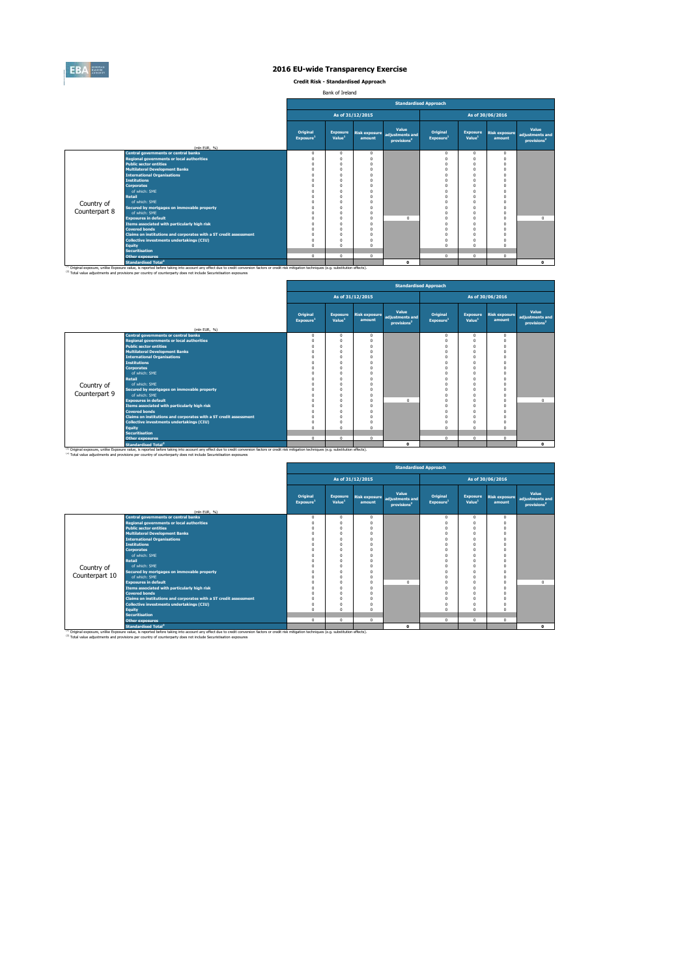

**Credit Risk - Standardised Approach**

Bank of Ireland

|               |                                                                                                                                                                                                                                                                                                                         |                                   |                                       |                                |                                                     | <b>Standardised Approach</b>      |                                       |                                |                                                     |
|---------------|-------------------------------------------------------------------------------------------------------------------------------------------------------------------------------------------------------------------------------------------------------------------------------------------------------------------------|-----------------------------------|---------------------------------------|--------------------------------|-----------------------------------------------------|-----------------------------------|---------------------------------------|--------------------------------|-----------------------------------------------------|
|               |                                                                                                                                                                                                                                                                                                                         |                                   |                                       | As of 31/12/2015               |                                                     |                                   |                                       | As of 30/06/2016               |                                                     |
|               | (mln EUR, %)                                                                                                                                                                                                                                                                                                            | Original<br>Exposure <sup>1</sup> | <b>Exposure</b><br>Value <sup>1</sup> | <b>Risk exposure</b><br>amount | Value<br>adiustments and<br>provisions <sup>2</sup> | Original<br>Exposure <sup>1</sup> | <b>Exposure</b><br>Value <sup>1</sup> | <b>Risk exposure</b><br>amount | Value<br>adjustments and<br>provisions <sup>2</sup> |
|               | <b>Central governments or central banks</b>                                                                                                                                                                                                                                                                             | $\mathbf 0$                       | $\mathbf{0}$                          | $\Omega$                       |                                                     | $\mathbf 0$                       | $\mathbf 0$                           | $\Omega$                       |                                                     |
|               | <b>Regional governments or local authorities</b>                                                                                                                                                                                                                                                                        | $\Omega$                          | O                                     | $\Omega$                       |                                                     | $\Omega$                          | $\Omega$                              | $\Omega$                       |                                                     |
|               | <b>Public sector entities</b>                                                                                                                                                                                                                                                                                           | O                                 | O                                     |                                |                                                     | $\Omega$                          | $\Omega$                              | $\Omega$                       |                                                     |
|               | <b>Multilateral Development Banks</b>                                                                                                                                                                                                                                                                                   | O                                 |                                       |                                |                                                     | $\Omega$                          | $\Omega$                              |                                |                                                     |
|               | <b>International Organisations</b>                                                                                                                                                                                                                                                                                      | O                                 | Ò                                     |                                |                                                     | $\Omega$                          | $\Omega$                              |                                |                                                     |
|               | <b>Institutions</b>                                                                                                                                                                                                                                                                                                     |                                   |                                       |                                |                                                     |                                   | $\Omega$                              |                                |                                                     |
|               | <b>Corporates</b>                                                                                                                                                                                                                                                                                                       |                                   |                                       |                                |                                                     | $\Omega$                          | $\Omega$                              | £                              |                                                     |
|               | of which: SMF                                                                                                                                                                                                                                                                                                           | O                                 | O                                     |                                |                                                     | $\Omega$                          | $\Omega$                              | $\Omega$                       |                                                     |
|               | <b>Retail</b>                                                                                                                                                                                                                                                                                                           | n                                 |                                       |                                |                                                     |                                   | $\Omega$                              |                                |                                                     |
| Country of    | of which: SME                                                                                                                                                                                                                                                                                                           | n                                 | O                                     |                                |                                                     |                                   | $\Omega$                              | O                              |                                                     |
|               | Secured by mortgages on immovable property                                                                                                                                                                                                                                                                              | n                                 | n                                     |                                |                                                     | $\Omega$                          | $\Omega$                              | $\Omega$                       |                                                     |
| Counterpart 8 | of which: SMF                                                                                                                                                                                                                                                                                                           | O                                 | n                                     | $\Omega$                       |                                                     | $\Omega$                          | $\Omega$                              | $\Omega$                       |                                                     |
|               | <b>Exposures in default</b>                                                                                                                                                                                                                                                                                             |                                   |                                       | $\Omega$                       | $\Omega$                                            | $\Omega$                          | $\Omega$                              | $\Omega$                       | $\Omega$                                            |
|               | Items associated with particularly high risk                                                                                                                                                                                                                                                                            | O                                 | n                                     | $\Omega$                       |                                                     | $\Omega$                          | $\Omega$                              | $\Omega$                       |                                                     |
|               | <b>Covered bonds</b>                                                                                                                                                                                                                                                                                                    | O                                 | O                                     |                                |                                                     | $\Omega$                          | $\Omega$                              | $\Omega$                       |                                                     |
|               | Claims on institutions and corporates with a ST credit assessment                                                                                                                                                                                                                                                       | $\Omega$                          | O                                     |                                |                                                     | $\Omega$                          | $\Omega$                              | O                              |                                                     |
|               | Collective investments undertakings (CIU)                                                                                                                                                                                                                                                                               | $\Omega$                          | O                                     |                                |                                                     | $\Omega$                          | $\Omega$                              |                                |                                                     |
|               | <b>Equity</b>                                                                                                                                                                                                                                                                                                           | $\Omega$                          | O                                     |                                |                                                     | $\Omega$                          | $\Omega$                              | C                              |                                                     |
|               | <b>Securitisation</b>                                                                                                                                                                                                                                                                                                   |                                   |                                       | $\Omega$                       |                                                     |                                   |                                       |                                |                                                     |
|               | <b>Other exposures</b>                                                                                                                                                                                                                                                                                                  | $^{\circ}$                        | $\mathbf{0}$                          |                                |                                                     | $\mathbf 0$                       | $\mathbf{0}$                          | $\mathbf{0}$                   |                                                     |
|               | <b>Standardised Total<sup>2</sup></b>                                                                                                                                                                                                                                                                                   |                                   |                                       |                                | $\Omega$                                            |                                   |                                       |                                | $\bullet$                                           |
|               | (1) Original exposure, unlike Exposure value, is reported before taking into account any effect due to credit conversion factors or credit risk mitigation techniques (e.g. substitution effects).<br>(2) Total value adjustments and provisions per country of counterparty does not include Securistisation exposures |                                   |                                       |                                |                                                     |                                   |                                       |                                |                                                     |

|               |                                                                   |                                   |                                       |                                |                                                     | <b>Standardised Approach</b>      |                                       |                                |                                                     |
|---------------|-------------------------------------------------------------------|-----------------------------------|---------------------------------------|--------------------------------|-----------------------------------------------------|-----------------------------------|---------------------------------------|--------------------------------|-----------------------------------------------------|
|               |                                                                   |                                   |                                       | As of 31/12/2015               |                                                     |                                   |                                       | As of 30/06/2016               |                                                     |
|               |                                                                   | Original<br>Exposure <sup>1</sup> | <b>Exposure</b><br>Value <sup>1</sup> | <b>Risk exposure</b><br>amount | Value<br>adjustments and<br>provisions <sup>2</sup> | Original<br>Exposure <sup>1</sup> | <b>Exposure</b><br>Value <sup>1</sup> | <b>Risk exposure</b><br>amount | Value<br>adjustments and<br>provisions <sup>2</sup> |
|               | (mln EUR, %)                                                      |                                   |                                       |                                |                                                     |                                   |                                       |                                |                                                     |
|               | <b>Central governments or central banks</b>                       | $^{\circ}$                        | $\mathbf{0}$                          | 0                              |                                                     | $\mathbf 0$                       | $\Omega$                              | $\mathbf{0}$                   |                                                     |
|               | <b>Regional governments or local authorities</b>                  | $^{\circ}$                        | $\mathbf{0}$                          |                                |                                                     | 0                                 | $\Omega$                              | $\Omega$                       |                                                     |
|               | <b>Public sector entities</b>                                     | $\Omega$                          | $^{\circ}$                            |                                |                                                     | $\Omega$                          | $\Omega$                              | $\Omega$                       |                                                     |
|               | <b>Multilateral Development Banks</b>                             | $\Omega$                          | $\Omega$                              |                                |                                                     | $\Omega$                          | $\Omega$                              | $\Omega$                       |                                                     |
|               | <b>International Organisations</b>                                | $\Omega$                          | $\Omega$                              |                                |                                                     | $\Omega$                          |                                       |                                |                                                     |
|               | <b>Institutions</b>                                               | $\Omega$                          | $\Omega$                              |                                |                                                     |                                   |                                       |                                |                                                     |
|               | <b>Corporates</b>                                                 | $\Omega$                          | $\Omega$                              |                                |                                                     | $\Omega$                          | n                                     | $\Omega$                       |                                                     |
|               | of which: SME                                                     | $\Omega$                          | $\Omega$                              |                                |                                                     | $\Omega$                          |                                       |                                |                                                     |
|               | Retail                                                            | $\Omega$                          | $\Omega$                              |                                |                                                     | $\Omega$                          | $\Omega$                              |                                |                                                     |
| Country of    | of which: SME                                                     | $\Omega$                          | $\Omega$                              |                                |                                                     | $\Omega$                          |                                       |                                |                                                     |
| Counterpart 9 | Secured by mortgages on immovable property                        | $\Omega$                          | $\Omega$                              |                                |                                                     | $\Omega$                          | $\Omega$                              | $\Omega$                       |                                                     |
|               | of which: SME                                                     | $\Omega$                          | $\mathbf 0$                           |                                |                                                     | $\Omega$                          | $\Omega$                              | $\Omega$                       |                                                     |
|               | <b>Exposures in default</b>                                       | $\Omega$                          | $\Omega$                              |                                | $\Omega$                                            | $\Omega$                          | $\Omega$                              | $\Omega$                       | $^{\circ}$                                          |
|               | Items associated with particularly high risk                      | $\Omega$                          | $\Omega$                              |                                |                                                     | $\Omega$                          |                                       | $\Omega$                       |                                                     |
|               | <b>Covered bonds</b>                                              | $\Omega$<br>$\Omega$              | $\Omega$<br>$\Omega$                  |                                |                                                     | $\Omega$<br>$\Omega$              | $\Omega$                              | $\Omega$                       |                                                     |
|               | Claims on institutions and corporates with a ST credit assessment |                                   |                                       |                                |                                                     |                                   |                                       |                                |                                                     |
|               | <b>Collective investments undertakings (CIU)</b>                  | $^{\circ}$                        | $\Omega$                              |                                |                                                     | $\mathbf 0$                       |                                       |                                |                                                     |
|               | <b>Equity</b>                                                     | $\Omega$                          | $\Omega$                              |                                |                                                     | $\Omega$                          | $\Omega$                              | $\Omega$                       |                                                     |
|               | <b>Securitisation</b>                                             |                                   |                                       | $\mathbf{r}$                   |                                                     |                                   |                                       |                                |                                                     |
|               | <b>Other exposures</b>                                            | $\Omega$                          | $\mathbf{0}$                          |                                |                                                     | $\mathbf 0$                       | $\Omega$                              | $\Omega$                       |                                                     |
|               | <b>Standardised Total<sup>2</sup></b>                             |                                   |                                       |                                | $\mathbf{0}$                                        |                                   |                                       |                                | $\mathbf{0}$                                        |

<sup>10</sup> Original exposure, unlike Exposure Total of Total Total Total Count any effect due to credit conversion factors or credit risk mitigation techniques (e.g. substitution effects).<br><sup>21</sup> Total value adjustments and provis

|                |                                                                   |                                   |                                       |                  |                                                                   | <b>Standardised Approach</b>      |                                       |                                |                                                     |
|----------------|-------------------------------------------------------------------|-----------------------------------|---------------------------------------|------------------|-------------------------------------------------------------------|-----------------------------------|---------------------------------------|--------------------------------|-----------------------------------------------------|
|                |                                                                   |                                   |                                       | As of 31/12/2015 |                                                                   |                                   |                                       | As of 30/06/2016               |                                                     |
|                | (mln EUR, %)                                                      | Original<br>Exposure <sup>1</sup> | <b>Exposure</b><br>Value <sup>1</sup> | amount           | Value<br>Risk exposure adjustments and<br>provisions <sup>2</sup> | Original<br>Exposure <sup>1</sup> | <b>Exposure</b><br>Value <sup>1</sup> | <b>Risk exposure</b><br>amount | Value<br>adjustments and<br>provisions <sup>2</sup> |
|                | <b>Central governments or central banks</b>                       | $\Omega$                          | $\Omega$                              | $\Omega$         |                                                                   | $^{\circ}$                        | 0                                     | $\Omega$                       |                                                     |
|                | <b>Regional governments or local authorities</b>                  | n                                 | $\Omega$                              | $\Omega$         |                                                                   | O                                 | n                                     |                                |                                                     |
|                | <b>Public sector entities</b>                                     | n                                 | $\Omega$                              | $\Omega$         |                                                                   |                                   | O                                     |                                |                                                     |
|                | <b>Multilateral Development Banks</b>                             |                                   | $\Omega$                              | $\Omega$         |                                                                   |                                   |                                       |                                |                                                     |
|                | <b>International Organisations</b>                                |                                   | $\Omega$                              | $\Omega$         |                                                                   |                                   | n                                     |                                |                                                     |
|                | <b>Institutions</b>                                               |                                   | $\Omega$                              |                  |                                                                   |                                   |                                       |                                |                                                     |
|                | Corporates                                                        |                                   | $\Omega$                              | $\Omega$         |                                                                   |                                   | O                                     |                                |                                                     |
|                | of which: SME                                                     |                                   | $\Omega$                              | $\Omega$         |                                                                   |                                   |                                       |                                |                                                     |
|                | Retail                                                            |                                   | $\Omega$                              | $\Omega$         |                                                                   |                                   | O                                     |                                |                                                     |
| Country of     | of which: SME                                                     |                                   | $\Omega$                              | $\Omega$         |                                                                   |                                   |                                       |                                |                                                     |
|                | Secured by mortgages on immovable property                        |                                   | $\Omega$                              | $\Omega$         |                                                                   |                                   | O                                     |                                |                                                     |
| Counterpart 10 | of which: SMF                                                     |                                   | $\Omega$                              | $\Omega$         |                                                                   |                                   | O                                     |                                |                                                     |
|                | <b>Exposures in default</b>                                       |                                   | $\Omega$                              | $\Omega$         | $\Omega$                                                          |                                   | O                                     |                                | $\circ$                                             |
|                | Items associated with particularly high risk                      |                                   | $\Omega$                              | $\Omega$         |                                                                   |                                   | O                                     |                                |                                                     |
|                | <b>Covered bonds</b>                                              | O                                 | $\Omega$                              | $\Omega$         |                                                                   |                                   | O                                     |                                |                                                     |
|                | Claims on institutions and corporates with a ST credit assessment | 0                                 | $\Omega$                              | $\Omega$         |                                                                   |                                   | O                                     |                                |                                                     |
|                | Collective investments undertakings (CIU)                         | $\Omega$                          | $\Omega$                              | $\Omega$         |                                                                   | 0                                 | O                                     |                                |                                                     |
|                | Equity                                                            | $\Omega$                          | $\Omega$                              | $\Omega$         |                                                                   | $\Omega$                          | $\theta$                              |                                |                                                     |
|                | <b>Securitisation</b>                                             |                                   |                                       |                  |                                                                   |                                   |                                       |                                |                                                     |
|                | <b>Other exposures</b>                                            | $\mathbf{0}$                      | $\mathbf{0}$                          | $\Omega$         |                                                                   | 0                                 | $^{\circ}$                            | $\Omega$                       |                                                     |
|                | <b>Standardised Total</b> <sup>2</sup>                            |                                   |                                       |                  | $\Omega$                                                          |                                   |                                       |                                | $\Omega$                                            |

<sup>10</sup> Original exposure, unlike Exposure Total of Total Total Total Count any effect due to credit conversion factors or credit risk mitigation techniques (e.g. substitution effects).<br><sup>21</sup> Total value adjustments and provis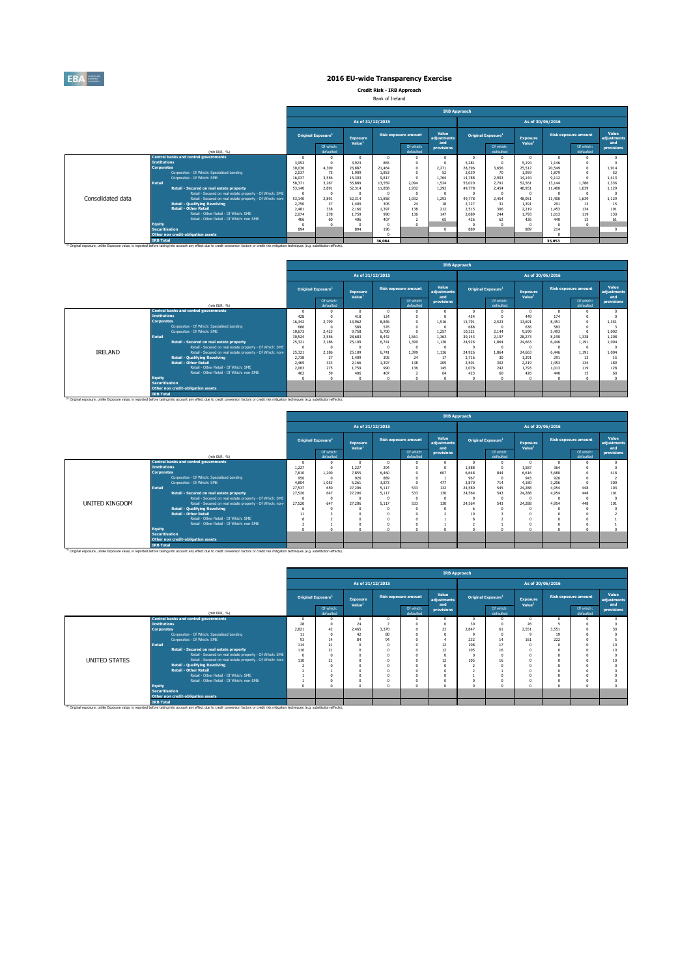

**Credit Risk - IRB Approach** Bank of Ireland

|                   |                                                                                                                                                                                                               |                                |                        |                                       |                                                                                                                                                                                                                            |                        | <b>IRB Approach</b>         |          |                           |                                       |                                                                                                                                                                                                                          |                        |                             |
|-------------------|---------------------------------------------------------------------------------------------------------------------------------------------------------------------------------------------------------------|--------------------------------|------------------------|---------------------------------------|----------------------------------------------------------------------------------------------------------------------------------------------------------------------------------------------------------------------------|------------------------|-----------------------------|----------|---------------------------|---------------------------------------|--------------------------------------------------------------------------------------------------------------------------------------------------------------------------------------------------------------------------|------------------------|-----------------------------|
|                   |                                                                                                                                                                                                               |                                |                        |                                       |                                                                                                                                                                                                                            |                        |                             |          |                           |                                       |                                                                                                                                                                                                                          |                        |                             |
|                   |                                                                                                                                                                                                               | Original Exposure <sup>1</sup> |                        | <b>Exposure</b><br>Value <sup>1</sup> |                                                                                                                                                                                                                            |                        | Value<br>adiustments<br>and |          | <b>Original Exposure1</b> | <b>Exposure</b><br>Value <sup>1</sup> |                                                                                                                                                                                                                          |                        | Value<br>adiustments<br>and |
|                   | (mln EUR, %)                                                                                                                                                                                                  |                                | Of which:<br>defaulted |                                       |                                                                                                                                                                                                                            | Of which:<br>defaulted | provisions                  |          | Of which:<br>defaulted    |                                       |                                                                                                                                                                                                                          | Of which:<br>defaulted | provisions                  |
|                   | <b>Central banks and central governments</b>                                                                                                                                                                  |                                |                        | $\Omega$                              |                                                                                                                                                                                                                            |                        | $\Omega$                    | $\Omega$ |                           |                                       |                                                                                                                                                                                                                          |                        |                             |
|                   | <b>Institutions</b>                                                                                                                                                                                           | 3.993                          |                        | 3.923                                 |                                                                                                                                                                                                                            |                        |                             | 5.281    |                           | 5.194                                 |                                                                                                                                                                                                                          |                        |                             |
|                   | <b>Corporates</b>                                                                                                                                                                                             | 30.036                         | 4.309                  | 26.887                                |                                                                                                                                                                                                                            |                        | 2.271                       | 28,396   | 3.656                     | 25.517                                | As of 30/06/2016<br><b>Risk exposure amount</b><br>1.146<br>20,549<br>1.879<br>9.112<br>1.786<br>13.144<br>1.639<br>11,400<br>1.639<br>11,400<br>291<br>13<br>134<br>1.453<br>1.013<br>119<br>440<br>15<br>214<br>35,053 | 1.914                  |                             |
|                   | Corporates - Of Which: Specialised Lending                                                                                                                                                                    | 2.037                          | 75                     | 1.909                                 |                                                                                                                                                                                                                            |                        | 52                          | 2.039    | 70                        | 1.959                                 |                                                                                                                                                                                                                          |                        | 52                          |
|                   | Corporates - Of Which: SME                                                                                                                                                                                    | 16.037                         | 3.556                  | 15.303                                | As of 31/12/2015<br><b>Risk exposure amount</b><br>865<br>21.464<br>1.853<br>9.817<br>13,559<br>2.094<br>11,858<br>1.932<br>$\Omega$<br>1.932<br>11,858<br>305<br>24<br>138<br>1.397<br>136<br>990<br>407<br>196<br>36,084 |                        | 1.764                       | 14.788   | 2.903                     | 14.144                                |                                                                                                                                                                                                                          |                        | 1.413                       |
|                   | Retail                                                                                                                                                                                                        | 58.371                         | 3.267                  | 55,889                                |                                                                                                                                                                                                                            |                        | 1.524                       | 55,020   | 2.791                     | 52.561                                |                                                                                                                                                                                                                          |                        | 1.336                       |
|                   | Retail - Secured on real estate property                                                                                                                                                                      | 53,140                         | 2.891                  | 52.314                                |                                                                                                                                                                                                                            |                        | 1.293                       | 49,778   | 2.454                     | 48.951                                |                                                                                                                                                                                                                          |                        | 1.129                       |
|                   | Retail - Secured on real estate property - Of Which: SME                                                                                                                                                      | n                              | $\Omega$               | $\Omega$                              |                                                                                                                                                                                                                            |                        | $\Omega$                    | n        |                           |                                       |                                                                                                                                                                                                                          |                        |                             |
| Consolidated data | Retail - Secured on real estate property - Of Which: non-                                                                                                                                                     | 53,140                         | 2.891                  | 52.314                                |                                                                                                                                                                                                                            |                        | 1.293                       | 49,778   | 2.454                     | 48.951                                |                                                                                                                                                                                                                          |                        | 1.129                       |
|                   | <b>Retail - Qualifying Revolving</b>                                                                                                                                                                          | 2.750                          | 37                     | 1,409                                 |                                                                                                                                                                                                                            |                        | 18                          | 2.727    | 31                        | 1.391                                 |                                                                                                                                                                                                                          |                        | 15                          |
|                   | <b>Retail - Other Retail</b>                                                                                                                                                                                  | 2.481                          | 338                    | 2.166                                 |                                                                                                                                                                                                                            |                        | 212                         | 2.515    | 306                       | 2.219                                 |                                                                                                                                                                                                                          |                        | 191                         |
|                   | Retail - Other Retail - Of Which: SME                                                                                                                                                                         | 2.074                          | 278                    | 1.759                                 |                                                                                                                                                                                                                            |                        | 147                         | 2.089    | 244                       | 1.793                                 |                                                                                                                                                                                                                          |                        | 130                         |
|                   | Retail - Other Retail - Of Which: non-SME                                                                                                                                                                     | 406                            | 60                     | 406                                   |                                                                                                                                                                                                                            |                        | 65                          | 426      | 62                        | 426                                   |                                                                                                                                                                                                                          |                        | 61                          |
|                   | <b>Equity</b>                                                                                                                                                                                                 |                                |                        |                                       |                                                                                                                                                                                                                            |                        |                             |          |                           |                                       |                                                                                                                                                                                                                          |                        |                             |
|                   | <b>Securitisation</b>                                                                                                                                                                                         | 894                            |                        | 894                                   |                                                                                                                                                                                                                            |                        | $\Omega$                    | 889      |                           | 889                                   |                                                                                                                                                                                                                          |                        | $\Omega$                    |
|                   | Other non credit-obligation assets                                                                                                                                                                            |                                |                        |                                       |                                                                                                                                                                                                                            |                        |                             |          |                           |                                       |                                                                                                                                                                                                                          |                        |                             |
|                   | <b>TRB Total</b>                                                                                                                                                                                              |                                |                        |                                       |                                                                                                                                                                                                                            |                        |                             |          |                           |                                       |                                                                                                                                                                                                                          |                        |                             |
|                   | <sup>(1)</sup> Original exposure, unlike Exposure value, is reported before taking into account any effect due to credit conversion factors or credit risk mitigation techniques (e.g. substitution effects). |                                |                        |                                       |                                                                                                                                                                                                                            |                        |                             |          |                           |                                       |                                                                                                                                                                                                                          |                        |                             |

|         |                       |                                                                                                                                                                                                               |          |                                       |                                       |                  |                             | <b>IRB Approach</b>         |          |                                |                                |       |                             |                                    |
|---------|-----------------------|---------------------------------------------------------------------------------------------------------------------------------------------------------------------------------------------------------------|----------|---------------------------------------|---------------------------------------|------------------|-----------------------------|-----------------------------|----------|--------------------------------|--------------------------------|-------|-----------------------------|------------------------------------|
|         |                       |                                                                                                                                                                                                               |          |                                       |                                       | As of 31/12/2015 |                             |                             |          |                                | As of 30/06/2016               |       |                             |                                    |
|         |                       |                                                                                                                                                                                                               |          | <b>Original Exposure</b> <sup>1</sup> | <b>Exposure</b><br>Value <sup>1</sup> |                  | <b>Risk exposure amount</b> | Value<br>adiustments<br>and |          | Original Exposure <sup>1</sup> | Exposure<br>Value <sup>1</sup> |       | <b>Risk exposure amount</b> | Value<br><b>adiustments</b><br>and |
|         |                       | (min EUR. %)                                                                                                                                                                                                  |          | Of which:<br>defaulted                |                                       |                  | Of which:<br>defaulted      | provisions                  |          | Of which:<br>defaulted         |                                |       | Of which:<br>defaulted      | provisions                         |
|         |                       | <b>Central banks and central governments</b>                                                                                                                                                                  | $\Omega$ |                                       |                                       |                  |                             | 0                           | $\Omega$ |                                |                                |       |                             |                                    |
|         | <b>Institutions</b>   |                                                                                                                                                                                                               | 428      |                                       | 418                                   | 124              | $\Omega$                    |                             | 454      |                                | 449                            | 174   |                             |                                    |
|         | <b>Corporates</b>     |                                                                                                                                                                                                               | 16.342   | 2.799                                 | 13.962                                | 8.846            | $\Omega$                    | 1.516                       | 15.791   | 2.523                          | 13.691                         | 8.451 |                             | 1.351                              |
|         |                       | Corporates - Of Which: Specialised Lending                                                                                                                                                                    | 680      |                                       | 589                                   | 576              | n                           | $\theta$                    | 688      |                                | 636                            | 583   |                             |                                    |
|         |                       | Corporates - Of Which: SME                                                                                                                                                                                    | 10.673   | 2.423                                 | 9.758                                 | 5.700            | $\Omega$                    | 1.257                       | 10.321   | 2.144                          | 9.599                          | 5.493 |                             | 1.092                              |
|         | <b>Retail</b>         |                                                                                                                                                                                                               | 30.524   | 2.556                                 | 28,683                                | 8.442            | 1.561                       | 1.363                       | 30.143   | 2.197                          | 28.273                         | 8.190 | 1.338                       | 1,208                              |
|         |                       | Retail - Secured on real estate property                                                                                                                                                                      | 25.321   | 2.186                                 | 25.109                                | 6.741            | 1.399                       | 1.136                       | 24,926   | 1.864                          | 24.663                         | 6.446 | 1.191                       | 1.004                              |
|         |                       | Retail - Secured on real estate property - Of Which: SME                                                                                                                                                      | - O      |                                       | -C                                    |                  | n                           | $\theta$                    |          |                                |                                |       |                             |                                    |
| IRELAND |                       | Retail - Secured on real estate property - Of Which: non-                                                                                                                                                     | 25,321   | 2.186                                 | 25.109                                | 6,741            | 1,399                       | 1.136                       | 24,926   | 1.864                          | 24,663                         | 6,446 | 1.191                       | 1.004                              |
|         |                       | <b>Retail - Qualifying Revolving</b>                                                                                                                                                                          | 2.738    | 37                                    | 1,409                                 | 305              | 24                          | 17                          | 2.716    | 30                             | 1.391                          | 291   | 13                          | 15                                 |
|         |                       | <b>Retail - Other Retail</b>                                                                                                                                                                                  | 2.465    | 333                                   | 2.166                                 | 1.397            | 138                         | 209                         | 2.501    | 302                            | 2.219                          | 1.453 | 134                         | 189                                |
|         |                       | Retail - Other Retail - Of Which: SME                                                                                                                                                                         | 2.063    | 275                                   | 1.759                                 | 990              | 136                         | 145                         | 2.078    | 242                            | 1.793                          | 1.013 | 119                         | 128                                |
|         |                       | Retail - Other Retail - Of Which: non-SME                                                                                                                                                                     | 402      | 59                                    | 406                                   | 407              |                             | 64                          | 423      | 60                             | 426                            | 440   | 15                          | 60                                 |
|         | <b>Equity</b>         |                                                                                                                                                                                                               | n        |                                       |                                       |                  |                             | O                           | $\Omega$ |                                |                                |       |                             |                                    |
|         | <b>Securitisation</b> |                                                                                                                                                                                                               |          |                                       |                                       |                  |                             |                             |          |                                |                                |       |                             |                                    |
|         |                       | Other non credit-obligation assets                                                                                                                                                                            |          |                                       |                                       |                  |                             |                             |          |                                |                                |       |                             |                                    |
|         | <b>IRB Total</b>      |                                                                                                                                                                                                               |          |                                       |                                       |                  |                             |                             |          |                                |                                |       |                             |                                    |
|         |                       | <sup>(3)</sup> Original exposure, unlike Exposure value, is reported before taking into account any effect due to credit conversion factors or credit risk mitigation techniques (e.g. substitution effects). |          |                                       |                                       |                  |                             |                             |          |                                |                                |       |                             |                                    |

|                                                                                                                                                                                                                                                                                                                                                                                                                                                                                                                                                                                                                                                                                                                                                                                                                                                                                                                                                                                                                                                                                                                                                                                                                                                                                                                                                                                                                                                     |    |                        | <b>IRB Approach</b> |  |                        |                      |   |                        |          |   |                        |                      |  |  |  |
|-----------------------------------------------------------------------------------------------------------------------------------------------------------------------------------------------------------------------------------------------------------------------------------------------------------------------------------------------------------------------------------------------------------------------------------------------------------------------------------------------------------------------------------------------------------------------------------------------------------------------------------------------------------------------------------------------------------------------------------------------------------------------------------------------------------------------------------------------------------------------------------------------------------------------------------------------------------------------------------------------------------------------------------------------------------------------------------------------------------------------------------------------------------------------------------------------------------------------------------------------------------------------------------------------------------------------------------------------------------------------------------------------------------------------------------------------------|----|------------------------|---------------------|--|------------------------|----------------------|---|------------------------|----------|---|------------------------|----------------------|--|--|--|
|                                                                                                                                                                                                                                                                                                                                                                                                                                                                                                                                                                                                                                                                                                                                                                                                                                                                                                                                                                                                                                                                                                                                                                                                                                                                                                                                                                                                                                                     |    |                        |                     |  |                        |                      |   |                        |          |   |                        |                      |  |  |  |
|                                                                                                                                                                                                                                                                                                                                                                                                                                                                                                                                                                                                                                                                                                                                                                                                                                                                                                                                                                                                                                                                                                                                                                                                                                                                                                                                                                                                                                                     |    |                        | <b>Exposure</b>     |  |                        | Value<br>adiustments |   |                        | Exposure |   |                        | Value<br>adjustments |  |  |  |
| (min EUR, %)                                                                                                                                                                                                                                                                                                                                                                                                                                                                                                                                                                                                                                                                                                                                                                                                                                                                                                                                                                                                                                                                                                                                                                                                                                                                                                                                                                                                                                        |    | Of which:<br>defaulted |                     |  | Of which:<br>defaulted | provisions           |   | Of which:<br>defaulted |          |   | Of which:<br>defaulted | and<br>provisions    |  |  |  |
|                                                                                                                                                                                                                                                                                                                                                                                                                                                                                                                                                                                                                                                                                                                                                                                                                                                                                                                                                                                                                                                                                                                                                                                                                                                                                                                                                                                                                                                     |    |                        |                     |  |                        |                      |   |                        | $\Omega$ | n |                        |                      |  |  |  |
|                                                                                                                                                                                                                                                                                                                                                                                                                                                                                                                                                                                                                                                                                                                                                                                                                                                                                                                                                                                                                                                                                                                                                                                                                                                                                                                                                                                                                                                     |    |                        |                     |  |                        |                      |   |                        |          |   |                        |                      |  |  |  |
|                                                                                                                                                                                                                                                                                                                                                                                                                                                                                                                                                                                                                                                                                                                                                                                                                                                                                                                                                                                                                                                                                                                                                                                                                                                                                                                                                                                                                                                     |    |                        |                     |  |                        |                      |   |                        |          |   |                        | 418                  |  |  |  |
|                                                                                                                                                                                                                                                                                                                                                                                                                                                                                                                                                                                                                                                                                                                                                                                                                                                                                                                                                                                                                                                                                                                                                                                                                                                                                                                                                                                                                                                     |    |                        |                     |  |                        |                      |   |                        |          |   |                        |                      |  |  |  |
|                                                                                                                                                                                                                                                                                                                                                                                                                                                                                                                                                                                                                                                                                                                                                                                                                                                                                                                                                                                                                                                                                                                                                                                                                                                                                                                                                                                                                                                     |    |                        |                     |  |                        |                      |   |                        |          |   |                        | 300                  |  |  |  |
|                                                                                                                                                                                                                                                                                                                                                                                                                                                                                                                                                                                                                                                                                                                                                                                                                                                                                                                                                                                                                                                                                                                                                                                                                                                                                                                                                                                                                                                     |    |                        |                     |  |                        |                      |   |                        |          |   | 448                    | 103                  |  |  |  |
|                                                                                                                                                                                                                                                                                                                                                                                                                                                                                                                                                                                                                                                                                                                                                                                                                                                                                                                                                                                                                                                                                                                                                                                                                                                                                                                                                                                                                                                     |    |                        |                     |  |                        |                      |   |                        |          |   | 448                    | 101                  |  |  |  |
|                                                                                                                                                                                                                                                                                                                                                                                                                                                                                                                                                                                                                                                                                                                                                                                                                                                                                                                                                                                                                                                                                                                                                                                                                                                                                                                                                                                                                                                     |    |                        |                     |  |                        |                      |   |                        | n        |   |                        |                      |  |  |  |
|                                                                                                                                                                                                                                                                                                                                                                                                                                                                                                                                                                                                                                                                                                                                                                                                                                                                                                                                                                                                                                                                                                                                                                                                                                                                                                                                                                                                                                                     |    |                        |                     |  |                        |                      |   |                        |          |   | 448                    | 101                  |  |  |  |
|                                                                                                                                                                                                                                                                                                                                                                                                                                                                                                                                                                                                                                                                                                                                                                                                                                                                                                                                                                                                                                                                                                                                                                                                                                                                                                                                                                                                                                                     |    |                        |                     |  |                        |                      | 6 |                        |          |   |                        |                      |  |  |  |
|                                                                                                                                                                                                                                                                                                                                                                                                                                                                                                                                                                                                                                                                                                                                                                                                                                                                                                                                                                                                                                                                                                                                                                                                                                                                                                                                                                                                                                                     |    |                        |                     |  |                        |                      |   |                        |          |   |                        |                      |  |  |  |
|                                                                                                                                                                                                                                                                                                                                                                                                                                                                                                                                                                                                                                                                                                                                                                                                                                                                                                                                                                                                                                                                                                                                                                                                                                                                                                                                                                                                                                                     |    |                        |                     |  |                        |                      |   |                        |          |   |                        |                      |  |  |  |
|                                                                                                                                                                                                                                                                                                                                                                                                                                                                                                                                                                                                                                                                                                                                                                                                                                                                                                                                                                                                                                                                                                                                                                                                                                                                                                                                                                                                                                                     |    |                        |                     |  |                        |                      |   |                        |          |   |                        |                      |  |  |  |
|                                                                                                                                                                                                                                                                                                                                                                                                                                                                                                                                                                                                                                                                                                                                                                                                                                                                                                                                                                                                                                                                                                                                                                                                                                                                                                                                                                                                                                                     | ×, |                        |                     |  |                        |                      |   |                        | $\sim$   |   |                        |                      |  |  |  |
|                                                                                                                                                                                                                                                                                                                                                                                                                                                                                                                                                                                                                                                                                                                                                                                                                                                                                                                                                                                                                                                                                                                                                                                                                                                                                                                                                                                                                                                     |    |                        |                     |  |                        |                      |   |                        |          |   |                        |                      |  |  |  |
|                                                                                                                                                                                                                                                                                                                                                                                                                                                                                                                                                                                                                                                                                                                                                                                                                                                                                                                                                                                                                                                                                                                                                                                                                                                                                                                                                                                                                                                     |    |                        |                     |  |                        |                      |   |                        |          |   |                        |                      |  |  |  |
|                                                                                                                                                                                                                                                                                                                                                                                                                                                                                                                                                                                                                                                                                                                                                                                                                                                                                                                                                                                                                                                                                                                                                                                                                                                                                                                                                                                                                                                     |    |                        |                     |  |                        |                      |   |                        |          |   |                        |                      |  |  |  |
| As of 31/12/2015<br>As of 30/06/2016<br><b>Risk exposure amount</b><br><b>Risk exposure amount</b><br>Original Exposure <sup>1</sup><br><b>Original Exposure</b><br>Value <sup>1</sup><br>Value <sup>1</sup><br>and<br><b>Central banks and central governments</b><br><b>Institutions</b><br>1.227<br>294<br>1.227<br>1.588<br>364<br>1.587<br>$\Omega$<br><b>Corporates</b><br>1.200<br>607<br>5,680<br>7.810<br>7.855<br>6,460<br>844<br>6,648<br>6.616<br>Corporates - Of Which: Specialised Lending<br>889<br>956<br>926<br>967<br>943<br>926<br>$\Omega$<br>Corporates - Of Which: SME<br>3.873<br>477<br>4.804<br>5.261<br>3.870<br>714<br>4.180<br>3.206<br>1.053<br>533<br>132<br><b>Retail</b><br>650<br>27,206<br>545<br>27.537<br>24,580<br>24,288<br>5.117<br>4.954<br>533<br>130<br>27,206<br>27,520<br>543<br>647<br>5.117<br>24,564<br>24,288<br>4.954<br><b>Retail - Secured on real estate property</b><br>Retail - Secured on real estate property - Of Which: SME<br>- O<br>$\Omega$<br>533<br>130<br>Retail - Secured on real estate property - Of Which: non-<br>27,520<br>647<br>27,206<br>5.117<br>24,564<br>543<br>24,288<br>4.954<br><b>Retail - Qualifying Revolving</b><br><b>Retail - Other Retail</b><br>10<br>s<br>Retail - Other Retail - Of Which: SME<br>٠<br>Retail - Other Retail - Of Which: non-SME<br><b>Equity</b><br>×,<br><b>Securitisation</b><br>Other non credit-obligation assets<br><b>IRB Total</b> |    |                        |                     |  |                        |                      |   |                        |          |   |                        |                      |  |  |  |

|               |                          |                                                                                                                                                                                                               |          |                                |                                       |                  |                             | <b>IRB Approach</b>         |                                |                        |                                |       |                             |                             |
|---------------|--------------------------|---------------------------------------------------------------------------------------------------------------------------------------------------------------------------------------------------------------|----------|--------------------------------|---------------------------------------|------------------|-----------------------------|-----------------------------|--------------------------------|------------------------|--------------------------------|-------|-----------------------------|-----------------------------|
|               |                          |                                                                                                                                                                                                               |          |                                |                                       | As of 31/12/2015 |                             |                             |                                |                        | As of 30/06/2016               |       |                             |                             |
|               |                          |                                                                                                                                                                                                               |          | Original Exposure <sup>1</sup> | <b>Exposure</b><br>Value <sup>1</sup> |                  | <b>Risk exposure amount</b> | Value<br>adjustments<br>and | Original Exposure <sup>1</sup> |                        | Exposure<br>Value <sup>1</sup> |       | <b>Risk exposure amount</b> | Value<br>adjustments<br>and |
|               |                          | (min EUR, %)                                                                                                                                                                                                  |          | Of which:<br>defaulted         |                                       |                  | Of which:<br>defaulted      | provisions                  |                                | Of which:<br>defaulted |                                |       | Of which:<br>defaulted      | provisions                  |
|               |                          | <b>Central banks and central governments</b>                                                                                                                                                                  |          |                                |                                       |                  |                             |                             |                                |                        | $\Omega$                       |       |                             |                             |
|               | <b>Institutions</b>      |                                                                                                                                                                                                               | 28       |                                | 24                                    |                  |                             |                             | 30                             |                        | 26                             |       |                             |                             |
|               | <b>Corporates</b>        |                                                                                                                                                                                                               | 2.821    | 42                             | 2.465                                 | 3,370            |                             | 23                          | 2.847                          | 61                     | 2.551                          | 3.551 |                             |                             |
|               |                          | Corporates - Of Which: Specialised Lending                                                                                                                                                                    | 11       |                                | 42                                    | 80               |                             |                             |                                |                        | $^{\circ}$                     | 19    |                             |                             |
|               |                          | Corporates - Of Which: SME                                                                                                                                                                                    | 93       | 14                             | 84                                    | 94               |                             |                             | 232                            | 14                     | 161                            | 222   |                             |                             |
|               | <b>Retail</b>            |                                                                                                                                                                                                               | 114      | 21                             |                                       |                  |                             | 12                          | 108                            | 17                     |                                |       |                             |                             |
|               |                          | Retail - Secured on real estate property                                                                                                                                                                      | 110      | 21                             |                                       |                  |                             | 12                          | 105                            | 16                     |                                |       |                             | 10                          |
|               |                          | Retail - Secured on real estate property - Of Which: SME                                                                                                                                                      | $\Omega$ |                                |                                       |                  |                             |                             |                                |                        |                                |       |                             |                             |
| UNITED STATES |                          | Retail - Secured on real estate property - Of Which: non-                                                                                                                                                     | 110      | 21                             |                                       |                  |                             | 12                          | 105                            | 16                     |                                |       |                             | ۱Ń                          |
|               |                          | <b>Retail - Qualifying Revolving</b>                                                                                                                                                                          |          |                                |                                       |                  |                             |                             |                                |                        |                                |       |                             |                             |
|               |                          | <b>Retail - Other Retail</b>                                                                                                                                                                                  |          |                                |                                       |                  |                             |                             |                                |                        |                                |       |                             |                             |
|               |                          | Retail - Other Retail - Of Which: SME                                                                                                                                                                         |          |                                |                                       |                  |                             |                             |                                |                        |                                |       |                             |                             |
|               |                          | Retail - Other Retail - Of Which: non-SME                                                                                                                                                                     |          |                                |                                       |                  |                             |                             |                                |                        |                                |       |                             |                             |
|               | Equity<br>Securitisation |                                                                                                                                                                                                               |          |                                |                                       |                  |                             |                             |                                |                        |                                |       |                             |                             |
|               |                          |                                                                                                                                                                                                               |          |                                |                                       |                  |                             |                             |                                |                        |                                |       |                             |                             |
|               |                          | Other non credit-obligation assets                                                                                                                                                                            |          |                                |                                       |                  |                             |                             |                                |                        |                                |       |                             |                             |
|               | <b>IRB Total</b>         |                                                                                                                                                                                                               |          |                                |                                       |                  |                             |                             |                                |                        |                                |       |                             |                             |
|               |                          | <sup>(1)</sup> Original exposure, unlike Exposure value, is reported before taking into account any effect due to credit conversion factors or credit risk mitigation techniques (e.g. substitution effects). |          |                                |                                       |                  |                             |                             |                                |                        |                                |       |                             |                             |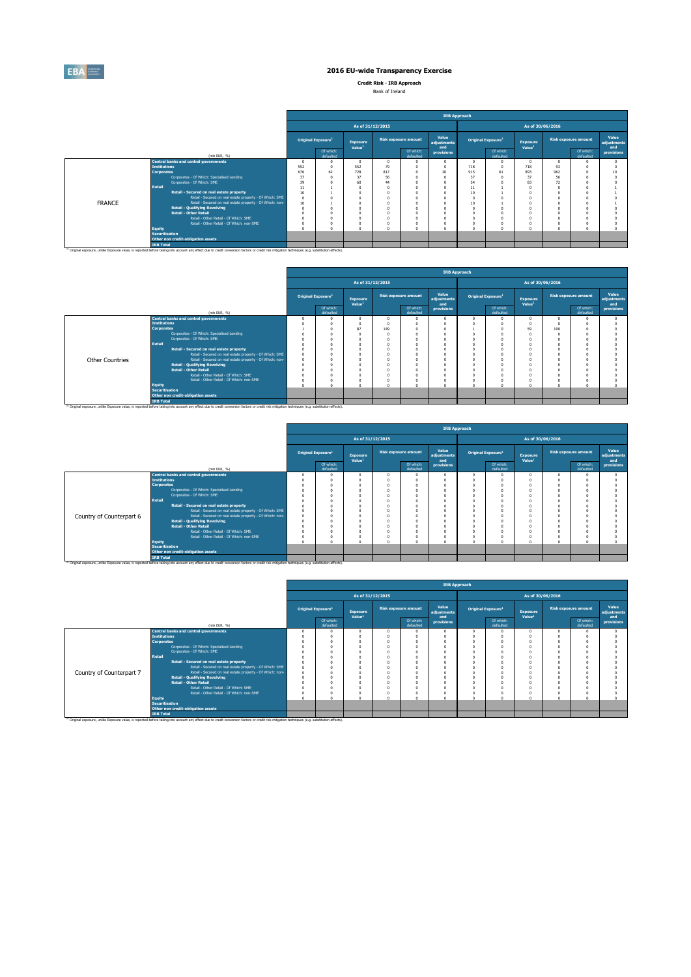

**Credit Risk - IRB Approach** Bank of Ireland

|               |                                                           |                                |                        |                                |                             |                        | <b>IRB Approach</b>         |                                      |                        |                                       |          |                             |                      |
|---------------|-----------------------------------------------------------|--------------------------------|------------------------|--------------------------------|-----------------------------|------------------------|-----------------------------|--------------------------------------|------------------------|---------------------------------------|----------|-----------------------------|----------------------|
|               |                                                           |                                |                        | As of 31/12/2015               |                             |                        |                             |                                      |                        | As of 30/06/2016                      |          |                             |                      |
|               |                                                           | Original Exposure <sup>1</sup> |                        | Exposure<br>Value <sup>1</sup> | <b>Risk exposure amount</b> |                        | Value<br>adjustments<br>and | <b>Original Exposure<sup>1</sup></b> |                        | <b>Exposure</b><br>Value <sup>1</sup> |          | <b>Risk exposure amount</b> | Value<br>adiustments |
|               | (min EUR, %)                                              |                                | Of which:<br>defaulted |                                |                             | Of which:<br>defaulted | provisions                  |                                      | Of which:<br>defaulted |                                       |          | Of which:<br>defaulted      | and<br>provisions    |
|               | <b>Central banks and central governments</b>              |                                |                        | $\Omega$                       | $\Omega$                    | $\Omega$               |                             | n                                    | $\Omega$               |                                       | $\Omega$ | n                           |                      |
|               | <b>Institutions</b>                                       | 552                            |                        | 552                            | 79                          | $\Omega$               |                             | 718                                  |                        | 718                                   | 93       | n                           |                      |
|               | <b>Corporates</b>                                         | 676                            | 62                     | 728                            | 817                         | $\Omega$               | 20                          | 915                                  | 61                     | 893                                   | 962      | $\Omega$                    | 19                   |
|               | Corporates - Of Which: Specialised Lending                | 37                             |                        | 37                             | 56                          | n                      |                             | 37                                   |                        | 37                                    | 56       | n                           |                      |
|               | Corporates - Of Which: SME                                | 39                             |                        | 60                             | 44                          |                        |                             | 54                                   |                        | 83                                    | 72       |                             |                      |
|               | <b>Retail</b>                                             | 11                             |                        |                                |                             |                        |                             | 11                                   |                        |                                       |          |                             |                      |
|               | Retail - Secured on real estate property                  | 10                             |                        | £.                             |                             | ń                      |                             | 10                                   |                        |                                       |          | $\theta$                    |                      |
|               | Retail - Secured on real estate property - Of Which: SME  | $\Omega$                       |                        |                                |                             |                        |                             |                                      |                        |                                       |          |                             |                      |
| <b>FRANCE</b> | Retail - Secured on real estate property - Of Which: non- | 10                             |                        |                                |                             |                        |                             | 10                                   |                        |                                       |          |                             |                      |
|               | <b>Retail - Qualifying Revolving</b>                      |                                |                        |                                |                             |                        |                             |                                      |                        |                                       |          | n                           |                      |
|               | <b>Retail - Other Retail</b>                              |                                |                        |                                |                             | n                      |                             |                                      |                        |                                       |          | n                           |                      |
|               | Retail - Other Retail - Of Which: SME                     |                                |                        | O                              |                             | n                      |                             |                                      |                        |                                       |          | n                           |                      |
|               | Retail - Other Retail - Of Which: non-SME                 |                                |                        |                                |                             | n                      |                             |                                      |                        |                                       |          |                             |                      |
|               | Equity                                                    |                                |                        | $\Omega$                       |                             | $\alpha$               |                             |                                      | $\Omega$               |                                       |          | $\theta$                    |                      |
|               | <b>Securitisation</b>                                     |                                |                        |                                |                             |                        |                             |                                      |                        |                                       |          |                             |                      |
|               | Other non credit-obligation assets                        |                                |                        |                                |                             |                        |                             |                                      |                        |                                       |          |                             |                      |
|               | <b>IRB Total</b>                                          |                                |                        |                                |                             |                        |                             |                                      |                        |                                       |          |                             |                      |

|                        |                       |                                                           |                                                                                                                                                                                                                                                                          |                                |                                |                  |                             | <b>IRB Approach</b>         |  |                                |                                       |     |                             |                             |
|------------------------|-----------------------|-----------------------------------------------------------|--------------------------------------------------------------------------------------------------------------------------------------------------------------------------------------------------------------------------------------------------------------------------|--------------------------------|--------------------------------|------------------|-----------------------------|-----------------------------|--|--------------------------------|---------------------------------------|-----|-----------------------------|-----------------------------|
|                        |                       |                                                           |                                                                                                                                                                                                                                                                          |                                |                                | As of 31/12/2015 |                             |                             |  |                                | As of 30/06/2016                      |     |                             |                             |
|                        |                       |                                                           |                                                                                                                                                                                                                                                                          | Original Exposure <sup>1</sup> | Exposure<br>Value <sup>1</sup> |                  | <b>Risk exposure amount</b> | Value<br>adjustments<br>and |  | Original Exposure <sup>1</sup> | <b>Exposure</b><br>Value <sup>1</sup> |     |                             | Value<br>adjustments<br>and |
|                        |                       | (min EUR. %)                                              |                                                                                                                                                                                                                                                                          | Of which:<br>defaulted         |                                |                  | Of which:<br>defaulted      | provisions                  |  | Of which:<br>defaulted         |                                       |     | Of which:<br>defaulted      | provisions                  |
|                        |                       | <b>Central banks and central governments</b>              |                                                                                                                                                                                                                                                                          |                                |                                |                  |                             | $\Omega$                    |  |                                |                                       |     |                             |                             |
|                        | <b>Institutions</b>   |                                                           |                                                                                                                                                                                                                                                                          |                                |                                |                  |                             | $^{\circ}$                  |  |                                |                                       |     |                             |                             |
|                        | <b>Corporates</b>     |                                                           |                                                                                                                                                                                                                                                                          |                                |                                |                  |                             | $\Omega$                    |  |                                | 59                                    | 100 |                             |                             |
|                        |                       | Corporates - Of Which: Specialised Lending                |                                                                                                                                                                                                                                                                          |                                |                                |                  |                             | $\Omega$                    |  |                                |                                       |     |                             |                             |
|                        |                       | Corporates - Of Which: SME                                |                                                                                                                                                                                                                                                                          |                                |                                |                  |                             | $\Omega$                    |  |                                |                                       |     |                             |                             |
|                        | <b>Retail</b>         |                                                           |                                                                                                                                                                                                                                                                          |                                |                                |                  |                             | $\Omega$                    |  |                                |                                       |     |                             |                             |
|                        |                       | Retail - Secured on real estate property                  |                                                                                                                                                                                                                                                                          |                                |                                |                  |                             | $\Omega$                    |  |                                |                                       |     |                             |                             |
|                        |                       | Retail - Secured on real estate property - Of Which: SME  |                                                                                                                                                                                                                                                                          |                                |                                |                  |                             | $\Omega$                    |  |                                |                                       |     |                             |                             |
| <b>Other Countries</b> |                       | Retail - Secured on real estate property - Of Which: non- |                                                                                                                                                                                                                                                                          |                                |                                |                  |                             | $\Omega$                    |  |                                |                                       |     |                             |                             |
|                        |                       | <b>Retail - Qualifying Revolving</b>                      |                                                                                                                                                                                                                                                                          |                                |                                |                  |                             | $\Omega$                    |  |                                |                                       |     |                             |                             |
|                        |                       | <b>Retail - Other Retail</b>                              |                                                                                                                                                                                                                                                                          |                                |                                |                  |                             | $\Omega$                    |  |                                |                                       |     |                             |                             |
|                        |                       | Retail - Other Retail - Of Which: SME                     |                                                                                                                                                                                                                                                                          |                                |                                |                  |                             | $\Omega$                    |  |                                |                                       |     |                             |                             |
|                        |                       |                                                           |                                                                                                                                                                                                                                                                          |                                |                                |                  |                             | $^{\circ}$                  |  |                                |                                       |     |                             |                             |
|                        | <b>Equity</b>         |                                                           |                                                                                                                                                                                                                                                                          |                                |                                |                  |                             | $\Omega$                    |  |                                |                                       |     |                             |                             |
|                        | <b>Securitisation</b> |                                                           |                                                                                                                                                                                                                                                                          |                                |                                |                  |                             |                             |  |                                |                                       |     |                             |                             |
|                        |                       | Other non credit-obligation assets                        |                                                                                                                                                                                                                                                                          |                                |                                |                  |                             |                             |  |                                |                                       |     | $\theta$                    |                             |
|                        | <b>IRB Total</b>      |                                                           |                                                                                                                                                                                                                                                                          |                                |                                |                  |                             |                             |  |                                |                                       |     | <b>Risk exposure amount</b> |                             |
|                        |                       |                                                           | 87<br>149<br>$\Omega$<br>Retail - Other Retail - Of Which: non-SME<br>(1) Original exposure, unlike Exposure value, is reported before taking into account any effect due to credit conversion factors or credit risk mitigation techniques (e.g. substitution effects). |                                |                                |                  |                             |                             |  |                                |                                       |     |                             |                             |

|                          |                       |                                                                                                                                                                                                               |                                       |                                |                      |                        | <b>IRB Approach</b>  |          |                                |                                       |                  |                             |                      |
|--------------------------|-----------------------|---------------------------------------------------------------------------------------------------------------------------------------------------------------------------------------------------------------|---------------------------------------|--------------------------------|----------------------|------------------------|----------------------|----------|--------------------------------|---------------------------------------|------------------|-----------------------------|----------------------|
|                          |                       |                                                                                                                                                                                                               |                                       |                                | As of 31/12/2015     |                        |                      |          |                                |                                       | As of 30/06/2016 |                             |                      |
|                          |                       |                                                                                                                                                                                                               | <b>Original Exposure</b> <sup>1</sup> | Exposure<br>Value <sup>1</sup> | Risk exposure amount |                        | Value<br>adjustments |          | Original Exposure <sup>1</sup> | <b>Exposure</b><br>Value <sup>1</sup> |                  | <b>Risk exposure amount</b> | Value<br>adjustments |
|                          |                       | (min EUR, %)                                                                                                                                                                                                  | Of which:<br>defaulted                |                                |                      | Of which:<br>defaulted | and<br>provisions    |          | Of which:<br>defaulted         |                                       |                  | Of which:<br>defaulted      | and<br>provisions    |
|                          |                       | <b>Central banks and central governments</b>                                                                                                                                                                  |                                       | n                              |                      |                        | $\Omega$             | n        |                                |                                       |                  |                             |                      |
|                          | <b>Institutions</b>   |                                                                                                                                                                                                               |                                       |                                |                      |                        |                      |          |                                |                                       |                  |                             |                      |
|                          | <b>Corporates</b>     |                                                                                                                                                                                                               |                                       |                                |                      |                        |                      |          |                                |                                       |                  |                             |                      |
|                          |                       | Corporates - Of Which: Specialised Lending                                                                                                                                                                    |                                       |                                |                      |                        |                      |          |                                |                                       |                  |                             |                      |
|                          |                       | Corporates - Of Which: SME                                                                                                                                                                                    |                                       |                                |                      |                        |                      |          |                                |                                       |                  |                             |                      |
|                          | <b>Retail</b>         |                                                                                                                                                                                                               |                                       |                                |                      |                        |                      |          |                                |                                       |                  |                             |                      |
|                          |                       | Retail - Secured on real estate property                                                                                                                                                                      |                                       |                                |                      |                        |                      |          |                                |                                       |                  |                             |                      |
|                          |                       | Retail - Secured on real estate property - Of Which: SME                                                                                                                                                      |                                       |                                |                      |                        |                      |          |                                |                                       |                  |                             |                      |
| Country of Counterpart 6 |                       | Retail - Secured on real estate property - Of Which: non-                                                                                                                                                     |                                       |                                |                      |                        |                      |          |                                |                                       |                  |                             |                      |
|                          |                       | <b>Retail - Qualifying Revolving</b><br><b>Retail - Other Retail</b>                                                                                                                                          |                                       |                                |                      |                        |                      |          |                                |                                       |                  |                             |                      |
|                          |                       | Retail - Other Retail - Of Which: SME                                                                                                                                                                         |                                       |                                |                      |                        |                      |          |                                |                                       |                  |                             |                      |
|                          |                       | Retail - Other Retail - Of Which: non-SME                                                                                                                                                                     |                                       |                                |                      | $\Omega$               | $\Omega$             | O        |                                |                                       |                  |                             |                      |
|                          | Equity                |                                                                                                                                                                                                               |                                       | $\Delta$                       |                      | $\Omega$               | $\theta$             | $\theta$ |                                |                                       |                  |                             |                      |
|                          | <b>Securitisation</b> |                                                                                                                                                                                                               |                                       |                                |                      |                        |                      |          |                                |                                       |                  |                             |                      |
|                          |                       | Other non credit-obligation assets                                                                                                                                                                            |                                       |                                |                      |                        |                      |          |                                |                                       |                  |                             |                      |
|                          | <b>IRB Total</b>      |                                                                                                                                                                                                               |                                       |                                |                      |                        |                      |          |                                |                                       |                  |                             |                      |
|                          |                       | <sup>(1)</sup> Original exposure, unlike Exposure value, is reported before taking into account any effect due to credit conversion factors or credit risk mitigation techniques (e.g. substitution effects). |                                       |                                |                      |                        |                      |          |                                |                                       |                  |                             |                      |

|                          |                       |                                                                                                                                                                                                               | <b>IRB Approach</b> |                                       |                                       |  |                             |                             |                  |                                |                                       |                             |                        |                             |  |  |
|--------------------------|-----------------------|---------------------------------------------------------------------------------------------------------------------------------------------------------------------------------------------------------------|---------------------|---------------------------------------|---------------------------------------|--|-----------------------------|-----------------------------|------------------|--------------------------------|---------------------------------------|-----------------------------|------------------------|-----------------------------|--|--|
|                          |                       |                                                                                                                                                                                                               |                     |                                       | As of 31/12/2015                      |  |                             |                             | As of 30/06/2016 |                                |                                       |                             |                        |                             |  |  |
|                          |                       |                                                                                                                                                                                                               |                     | <b>Original Exposure</b> <sup>1</sup> | <b>Exposure</b><br>Value <sup>1</sup> |  | <b>Risk exposure amount</b> | Value<br>adjustments<br>and |                  | Original Exposure <sup>1</sup> | <b>Exposure</b><br>Value <sup>1</sup> | <b>Risk exposure amount</b> |                        | Value<br>adjustments<br>and |  |  |
|                          |                       | (mln EUR. %)                                                                                                                                                                                                  |                     | Of which:<br>defaulted                |                                       |  | Of which:<br>defaulted      | provisions                  |                  | Of which:<br>defaulted         |                                       |                             | Of which:<br>defaulted | provisions                  |  |  |
|                          |                       | <b>Central banks and central governments</b>                                                                                                                                                                  |                     |                                       | $\Omega$                              |  |                             | O                           | $\Omega$         |                                |                                       |                             |                        |                             |  |  |
|                          | <b>Institutions</b>   |                                                                                                                                                                                                               |                     |                                       |                                       |  |                             |                             |                  |                                |                                       |                             |                        |                             |  |  |
|                          | <b>Corporates</b>     |                                                                                                                                                                                                               |                     |                                       |                                       |  |                             |                             |                  |                                |                                       |                             |                        |                             |  |  |
|                          |                       | Corporates - Of Which: Specialised Lending                                                                                                                                                                    |                     |                                       |                                       |  |                             | n                           |                  |                                |                                       |                             |                        |                             |  |  |
|                          |                       | Corporates - Of Which: SME                                                                                                                                                                                    |                     |                                       |                                       |  |                             |                             |                  |                                |                                       |                             |                        |                             |  |  |
|                          | <b>Retail</b>         |                                                                                                                                                                                                               |                     |                                       |                                       |  |                             |                             |                  |                                |                                       |                             |                        |                             |  |  |
|                          |                       | Retail - Secured on real estate property                                                                                                                                                                      |                     |                                       |                                       |  |                             | $\Omega$                    |                  |                                |                                       |                             |                        |                             |  |  |
|                          |                       | Retail - Secured on real estate property - Of Which: SME                                                                                                                                                      |                     |                                       |                                       |  |                             |                             |                  |                                |                                       |                             |                        |                             |  |  |
| Country of Counterpart 7 |                       | Retail - Secured on real estate property - Of Which: non-                                                                                                                                                     |                     |                                       |                                       |  |                             |                             |                  |                                |                                       |                             |                        |                             |  |  |
|                          |                       | <b>Retail - Qualifying Revolving</b>                                                                                                                                                                          |                     |                                       |                                       |  |                             | $\Omega$                    |                  |                                |                                       |                             |                        |                             |  |  |
|                          |                       | <b>Retail - Other Retail</b>                                                                                                                                                                                  |                     |                                       |                                       |  |                             | $\Omega$                    |                  |                                |                                       |                             |                        |                             |  |  |
|                          |                       | Retail - Other Retail - Of Which: SME                                                                                                                                                                         |                     |                                       |                                       |  |                             | $\Omega$                    |                  |                                |                                       |                             |                        |                             |  |  |
|                          |                       | Retail - Other Retail - Of Which: non-SME                                                                                                                                                                     |                     |                                       |                                       |  |                             | $\Omega$                    | o                |                                |                                       |                             |                        |                             |  |  |
|                          | <b>Equity</b>         |                                                                                                                                                                                                               |                     |                                       |                                       |  |                             | Ò                           | n                |                                |                                       |                             |                        |                             |  |  |
|                          | <b>Securitisation</b> |                                                                                                                                                                                                               |                     |                                       |                                       |  |                             |                             |                  |                                |                                       |                             |                        |                             |  |  |
|                          |                       | Other non credit-obligation assets                                                                                                                                                                            |                     |                                       |                                       |  |                             |                             |                  |                                |                                       |                             |                        |                             |  |  |
|                          | <b>IRB Total</b>      |                                                                                                                                                                                                               |                     |                                       |                                       |  |                             |                             |                  |                                |                                       |                             |                        |                             |  |  |
|                          |                       | <sup>(1)</sup> Original exposure, unlike Exposure value, is reported before taking into account any effect due to credit conversion factors or credit risk mitigation techniques (e.g. substitution effects). |                     |                                       |                                       |  |                             |                             |                  |                                |                                       |                             |                        |                             |  |  |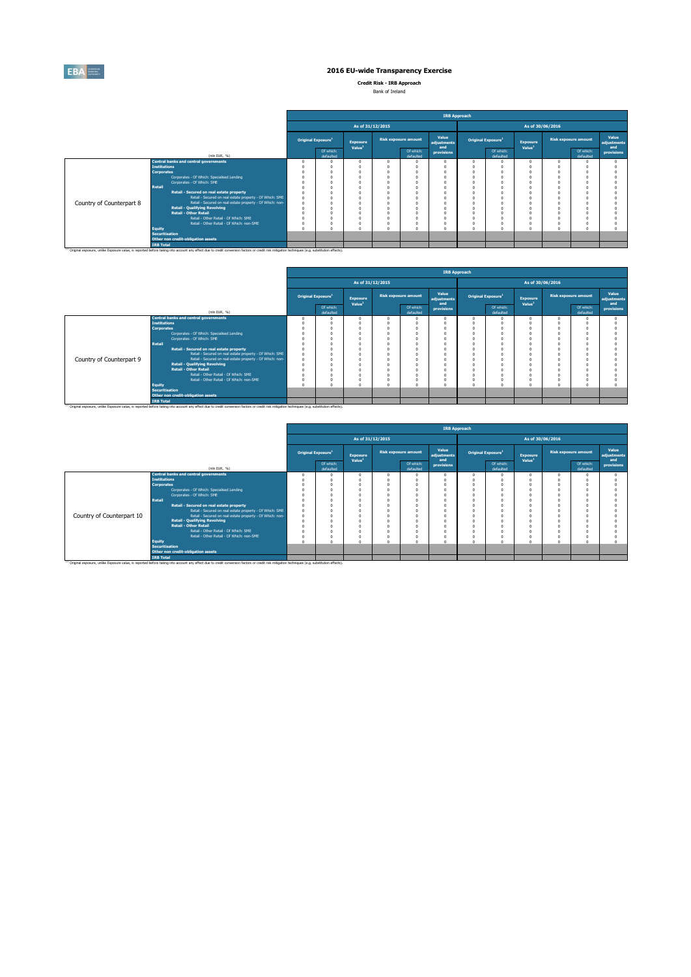

**Credit Risk - IRB Approach** Bank of Ireland

|  | <b>DATIK OF ITERRITY</b> |  |
|--|--------------------------|--|
|  |                          |  |
|  |                          |  |

|                          |                                                                                                                                                                                                                                                                                                                                                                                                                                                                      | <b>IRB Approach</b> |                                       |                    |                             |                        |                                |                                                                                                                            |                        |                    |                             |                        |                   |  |  |
|--------------------------|----------------------------------------------------------------------------------------------------------------------------------------------------------------------------------------------------------------------------------------------------------------------------------------------------------------------------------------------------------------------------------------------------------------------------------------------------------------------|---------------------|---------------------------------------|--------------------|-----------------------------|------------------------|--------------------------------|----------------------------------------------------------------------------------------------------------------------------|------------------------|--------------------|-----------------------------|------------------------|-------------------|--|--|
|                          |                                                                                                                                                                                                                                                                                                                                                                                                                                                                      |                     |                                       | As of 31/12/2015   | As of 30/06/2016            |                        |                                |                                                                                                                            |                        |                    |                             |                        |                   |  |  |
|                          |                                                                                                                                                                                                                                                                                                                                                                                                                                                                      |                     | <b>Original Exposure</b> <sup>1</sup> | <b>Exposure</b>    | <b>Risk exposure amount</b> | Value<br>adjustments   | Original Exposure <sup>1</sup> |                                                                                                                            | <b>Exposure</b>        |                    | <b>Risk exposure amount</b> | Value<br>adiustments   |                   |  |  |
|                          | (mln EUR, %)                                                                                                                                                                                                                                                                                                                                                                                                                                                         |                     | Of which:<br>defaulted                | Value <sup>1</sup> |                             | Of which:<br>defaulted | and<br>provisions              |                                                                                                                            | Of which:<br>defaulted | Value <sup>1</sup> |                             | Of which:<br>defaulted | and<br>provisions |  |  |
| Country of Counterpart 8 | <b>Central banks and central governments</b><br><b>Institutions</b><br><b>Corporates</b><br>Corporates - Of Which: Specialised Lending<br>Corporates - Of Which: SME<br>Retail<br>Retail - Secured on real estate property<br>Retail - Secured on real estate property - Of Which: SME<br>Retail - Secured on real estate property - Of Which: non-<br><b>Retail - Qualifying Revolving</b><br><b>Retail - Other Retail</b><br>Retail - Other Retail - Of Which: SME |                     |                                       |                    |                             | n<br>n                 |                                | $\Omega$<br>$\Omega$<br>O<br>$\mathbf 0$<br>$\theta$<br>$\Omega$<br>$\Omega$<br>$\Omega$<br>$\Omega$<br>O<br>n<br>$\theta$ | $\Omega$<br>$\Omega$   |                    |                             |                        |                   |  |  |
|                          | Retail - Other Retail - Of Which: non-SME<br><b>Equity</b><br><b>Securitisation</b><br>Other non credit-obligation assets                                                                                                                                                                                                                                                                                                                                            |                     |                                       |                    |                             | $\Omega$<br>$\theta$   |                                | $^{\circ}$<br>$\Omega$                                                                                                     | 0<br>$\Omega$          |                    |                             |                        |                   |  |  |
|                          | <b>IRB Total</b><br>(1) Original exposure, unlike Exposure value, is reported before taking into account any effect due to credit conversion factors or credit risk mitigation techniques (e.g. substitution effects).                                                                                                                                                                                                                                               |                     |                                       |                    |                             |                        |                                |                                                                                                                            |                        |                    |                             |                        |                   |  |  |

|                          |                       |                                                                                                                                                                                                    | <b>IRB Approach</b> |                                |                                       |                  |                             |                             |                  |                                |                                       |                             |                        |                             |  |  |
|--------------------------|-----------------------|----------------------------------------------------------------------------------------------------------------------------------------------------------------------------------------------------|---------------------|--------------------------------|---------------------------------------|------------------|-----------------------------|-----------------------------|------------------|--------------------------------|---------------------------------------|-----------------------------|------------------------|-----------------------------|--|--|
|                          |                       |                                                                                                                                                                                                    |                     |                                |                                       | As of 31/12/2015 |                             |                             | As of 30/06/2016 |                                |                                       |                             |                        |                             |  |  |
|                          |                       |                                                                                                                                                                                                    |                     | Original Exposure <sup>1</sup> | <b>Exposure</b><br>Value <sup>1</sup> |                  | <b>Risk exposure amount</b> | Value<br>adjustments<br>and |                  | Original Exposure <sup>1</sup> | <b>Exposure</b><br>Value <sup>1</sup> | <b>Risk exposure amount</b> |                        | Value<br>adiustments<br>and |  |  |
|                          |                       | (mln EUR. %)                                                                                                                                                                                       |                     | Of which:<br>defaulted         |                                       |                  | Of which:<br>defaulted      | provisions                  |                  | Of which:<br>defaulted         |                                       |                             | Of which:<br>defaulted | provisions                  |  |  |
|                          |                       | <b>Central banks and central governments</b>                                                                                                                                                       |                     |                                |                                       |                  |                             |                             | $\Omega$         | $\Omega$                       |                                       |                             |                        |                             |  |  |
|                          | <b>Institutions</b>   |                                                                                                                                                                                                    |                     |                                |                                       |                  |                             |                             |                  |                                |                                       |                             |                        |                             |  |  |
|                          | <b>Corporates</b>     |                                                                                                                                                                                                    |                     |                                |                                       |                  |                             |                             |                  |                                |                                       |                             |                        |                             |  |  |
|                          |                       | Corporates - Of Which: Specialised Lending                                                                                                                                                         |                     |                                |                                       |                  |                             |                             | $\Omega$         |                                |                                       |                             |                        |                             |  |  |
|                          |                       | Corporates - Of Which: SME                                                                                                                                                                         |                     |                                |                                       |                  |                             |                             |                  |                                |                                       |                             |                        |                             |  |  |
|                          | <b>Retail</b>         |                                                                                                                                                                                                    |                     |                                |                                       |                  |                             |                             | $\Omega$         | $\Omega$                       |                                       |                             |                        |                             |  |  |
|                          |                       | Retail - Secured on real estate property                                                                                                                                                           |                     |                                |                                       |                  |                             |                             |                  |                                |                                       |                             |                        |                             |  |  |
|                          |                       | Retail - Secured on real estate property - Of Which: SME                                                                                                                                           |                     |                                |                                       |                  |                             |                             |                  | $\Omega$                       |                                       |                             |                        |                             |  |  |
| Country of Counterpart 9 |                       | Retail - Secured on real estate property - Of Which: non-                                                                                                                                          |                     |                                |                                       |                  |                             |                             |                  |                                |                                       |                             |                        |                             |  |  |
|                          |                       | <b>Retail - Qualifying Revolving</b>                                                                                                                                                               |                     |                                |                                       |                  |                             |                             |                  |                                |                                       |                             |                        |                             |  |  |
|                          |                       | <b>Retail - Other Retail</b>                                                                                                                                                                       |                     |                                |                                       |                  |                             |                             |                  |                                |                                       |                             |                        |                             |  |  |
|                          |                       | Retail - Other Retail - Of Which: SME                                                                                                                                                              |                     |                                |                                       |                  |                             |                             |                  |                                |                                       |                             |                        |                             |  |  |
|                          |                       | Retail - Other Retail - Of Which: non-SME                                                                                                                                                          |                     |                                |                                       |                  |                             |                             | $^{\circ}$       | $\Omega$                       |                                       |                             |                        |                             |  |  |
|                          | <b>Equity</b>         |                                                                                                                                                                                                    |                     |                                |                                       |                  |                             |                             | $\Omega$         | $\Omega$                       |                                       |                             |                        |                             |  |  |
|                          | <b>Securitisation</b> |                                                                                                                                                                                                    |                     |                                |                                       |                  |                             |                             |                  |                                |                                       |                             |                        |                             |  |  |
|                          |                       | Other non credit-obligation assets                                                                                                                                                                 |                     |                                |                                       |                  |                             |                             |                  |                                |                                       |                             |                        |                             |  |  |
|                          | <b>IRB Total</b>      |                                                                                                                                                                                                    |                     |                                |                                       |                  |                             |                             |                  |                                |                                       |                             |                        |                             |  |  |
|                          |                       | (1) Original exposure, unlike Exposure value, is reported before taking into account any effect due to credit conversion factors or credit risk mitigation techniques (e.g. substitution effects). |                     |                                |                                       |                  |                             |                             |                  |                                |                                       |                             |                        |                             |  |  |

|                           |                       |                                                                                                                                                                                                               |                                       |                                       |                  |                             | <b>IRB Approach</b>         |                                |                        |                                       |                             |                        |                             |  |  |
|---------------------------|-----------------------|---------------------------------------------------------------------------------------------------------------------------------------------------------------------------------------------------------------|---------------------------------------|---------------------------------------|------------------|-----------------------------|-----------------------------|--------------------------------|------------------------|---------------------------------------|-----------------------------|------------------------|-----------------------------|--|--|
|                           |                       |                                                                                                                                                                                                               |                                       |                                       | As of 31/12/2015 |                             |                             | As of 30/06/2016               |                        |                                       |                             |                        |                             |  |  |
|                           |                       |                                                                                                                                                                                                               | <b>Original Exposure</b> <sup>1</sup> | <b>Exposure</b><br>Value <sup>1</sup> |                  | <b>Risk exposure amount</b> | Value<br>adjustments<br>and | Original Exposure <sup>1</sup> |                        | <b>Exposure</b><br>Value <sup>1</sup> | <b>Risk exposure amount</b> |                        | Value<br>adjustments<br>and |  |  |
|                           |                       | (min EUR, %)                                                                                                                                                                                                  | Of which:<br>defaulted                |                                       |                  | Of which:<br>defaulted      | provisions                  |                                | Of which:<br>defaulted |                                       |                             | Of which:<br>defaulted | provisions                  |  |  |
|                           |                       | <b>Central banks and central governments</b>                                                                                                                                                                  |                                       |                                       |                  |                             |                             |                                |                        |                                       |                             |                        |                             |  |  |
|                           | <b>Institutions</b>   |                                                                                                                                                                                                               |                                       |                                       |                  |                             |                             |                                |                        |                                       |                             |                        |                             |  |  |
|                           | <b>Corporates</b>     |                                                                                                                                                                                                               |                                       |                                       |                  |                             |                             |                                |                        |                                       |                             |                        |                             |  |  |
|                           |                       | Corporates - Of Which: Specialised Lending                                                                                                                                                                    |                                       |                                       |                  |                             |                             |                                |                        |                                       |                             |                        |                             |  |  |
|                           |                       | Corporates - Of Which: SME                                                                                                                                                                                    |                                       |                                       |                  |                             |                             |                                |                        |                                       |                             |                        |                             |  |  |
|                           | Retail                |                                                                                                                                                                                                               |                                       |                                       |                  |                             |                             |                                |                        |                                       |                             |                        |                             |  |  |
|                           |                       | Retail - Secured on real estate property                                                                                                                                                                      |                                       |                                       |                  |                             |                             |                                |                        |                                       |                             |                        |                             |  |  |
|                           |                       | Retail - Secured on real estate property - Of Which: SME                                                                                                                                                      |                                       |                                       |                  |                             |                             |                                |                        |                                       |                             |                        |                             |  |  |
| Country of Counterpart 10 |                       | Retail - Secured on real estate property - Of Which: non-                                                                                                                                                     |                                       |                                       |                  |                             |                             |                                |                        |                                       |                             |                        |                             |  |  |
|                           |                       | <b>Retail - Qualifying Revolving</b>                                                                                                                                                                          |                                       |                                       |                  |                             |                             |                                |                        |                                       |                             |                        |                             |  |  |
|                           |                       | <b>Retail - Other Retail</b>                                                                                                                                                                                  |                                       |                                       |                  |                             |                             |                                |                        |                                       |                             |                        |                             |  |  |
|                           |                       | Retail - Other Retail - Of Which: SME                                                                                                                                                                         |                                       |                                       |                  |                             |                             |                                |                        |                                       |                             |                        |                             |  |  |
|                           |                       | Retail - Other Retail - Of Which: non-SME                                                                                                                                                                     |                                       |                                       |                  |                             |                             |                                |                        |                                       |                             |                        |                             |  |  |
|                           | <b>Equity</b>         |                                                                                                                                                                                                               |                                       |                                       |                  | $\sim$                      |                             |                                |                        |                                       |                             |                        |                             |  |  |
|                           | <b>Securitisation</b> |                                                                                                                                                                                                               |                                       |                                       |                  |                             |                             |                                |                        |                                       |                             |                        |                             |  |  |
|                           |                       | Other non credit-obligation assets                                                                                                                                                                            |                                       |                                       |                  |                             |                             |                                |                        |                                       |                             |                        |                             |  |  |
|                           | <b>IRB Total</b>      |                                                                                                                                                                                                               |                                       |                                       |                  |                             |                             |                                |                        |                                       |                             |                        |                             |  |  |
|                           |                       | <sup>(1)</sup> Original exposure, unlike Exposure value, is reported before taking into account any effect due to credit conversion factors or credit risk mitigation techniques (e.g. substitution effects). |                                       |                                       |                  |                             |                             |                                |                        |                                       |                             |                        |                             |  |  |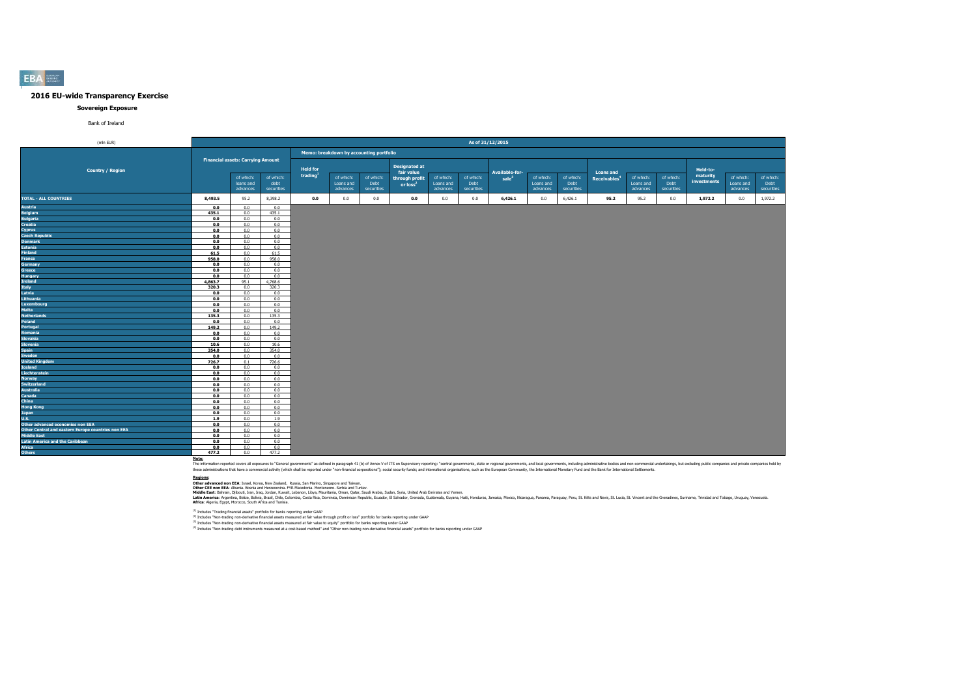#### **Sovereign Exposure**

#### Bank of Ireland

| (mln EUR)                                                                                                                                                                                                                                                                                                |                |                                                                    |                       |                                         |                                         |                   | As of 31/12/2015                                                             |                        |                   |                                            |                        |                       |                                              |                        |                   |                                     |                        |                       |
|----------------------------------------------------------------------------------------------------------------------------------------------------------------------------------------------------------------------------------------------------------------------------------------------------------|----------------|--------------------------------------------------------------------|-----------------------|-----------------------------------------|-----------------------------------------|-------------------|------------------------------------------------------------------------------|------------------------|-------------------|--------------------------------------------|------------------------|-----------------------|----------------------------------------------|------------------------|-------------------|-------------------------------------|------------------------|-----------------------|
|                                                                                                                                                                                                                                                                                                          |                |                                                                    |                       |                                         | Memo: breakdown by accounting portfolio |                   |                                                                              |                        |                   |                                            |                        |                       |                                              |                        |                   |                                     |                        |                       |
| <b>Country / Region</b>                                                                                                                                                                                                                                                                                  |                | <b>Financial assets: Carrying Amount</b><br>of which:<br>loans and | of which:<br>debt     | <b>Held for</b><br>trading <sup>1</sup> | of which:<br>Loans and                  | of which:<br>Debt | <b>Designated at</b><br>fair value<br>through profit<br>or loss <sup>2</sup> | of which:<br>Loans and | of which:<br>Debt | <b>Available-for-</b><br>sale <sup>3</sup> | of which:<br>Loans and | of which:<br>Debt     | <b>Loans and</b><br>Receivables <sup>4</sup> | of which:<br>Loans and | of which:<br>Debt | Held-to-<br>maturity<br>investments | of which:<br>Loans and | of which:<br>Debt     |
| <b>TOTAL - ALL COUNTRIES</b><br>TOTAL - ALL COUNTRIES<br>Austria<br>Regiants<br>Regiants<br>Crossita<br>Crossita<br>Crossita<br>Crossita<br>Crossita<br>Crossita<br>Crossita<br>External<br>Granac<br>Granaca<br>Granaca<br>Granaca<br>Supplement<br>Helpan<br>Helpan<br>Regiants<br>Regiants<br>Regiant | 8,493.5        | advances<br>95.2                                                   | securities<br>8,398.2 | 0.0                                     | advances<br>0.0                         | securities<br>0.0 | 0.0                                                                          | advances<br>0.0        | securities<br>0.0 | 6,426.1                                    | advances<br>0.0        | securities<br>6,426.1 | 95.2                                         | advances<br>95.2       | securities<br>0.0 | 1,972.2                             | advances<br>0.0        | securities<br>1,972.2 |
|                                                                                                                                                                                                                                                                                                          |                |                                                                    |                       |                                         |                                         |                   |                                                                              |                        |                   |                                            |                        |                       |                                              |                        |                   |                                     |                        |                       |
|                                                                                                                                                                                                                                                                                                          | 0.0            | 0.0                                                                | 0.0                   |                                         |                                         |                   |                                                                              |                        |                   |                                            |                        |                       |                                              |                        |                   |                                     |                        |                       |
|                                                                                                                                                                                                                                                                                                          | 435.1          | 0.0<br>0.0                                                         | 435.1<br>0.0          |                                         |                                         |                   |                                                                              |                        |                   |                                            |                        |                       |                                              |                        |                   |                                     |                        |                       |
|                                                                                                                                                                                                                                                                                                          | 0.0            |                                                                    | 0.0                   |                                         |                                         |                   |                                                                              |                        |                   |                                            |                        |                       |                                              |                        |                   |                                     |                        |                       |
|                                                                                                                                                                                                                                                                                                          | 0.0<br>0.0     | 0.0<br>0.0                                                         | 0.0                   |                                         |                                         |                   |                                                                              |                        |                   |                                            |                        |                       |                                              |                        |                   |                                     |                        |                       |
|                                                                                                                                                                                                                                                                                                          |                |                                                                    | 0.0                   |                                         |                                         |                   |                                                                              |                        |                   |                                            |                        |                       |                                              |                        |                   |                                     |                        |                       |
|                                                                                                                                                                                                                                                                                                          | 0.0            | 0.0                                                                |                       |                                         |                                         |                   |                                                                              |                        |                   |                                            |                        |                       |                                              |                        |                   |                                     |                        |                       |
|                                                                                                                                                                                                                                                                                                          | 0.0            | 0.0                                                                | 0.0                   |                                         |                                         |                   |                                                                              |                        |                   |                                            |                        |                       |                                              |                        |                   |                                     |                        |                       |
|                                                                                                                                                                                                                                                                                                          | 0.0            | 0.0                                                                | 0.0                   |                                         |                                         |                   |                                                                              |                        |                   |                                            |                        |                       |                                              |                        |                   |                                     |                        |                       |
|                                                                                                                                                                                                                                                                                                          | 61.5           | 0.0<br>0.0                                                         | 61.5<br>958.0         |                                         |                                         |                   |                                                                              |                        |                   |                                            |                        |                       |                                              |                        |                   |                                     |                        |                       |
|                                                                                                                                                                                                                                                                                                          | 958.0<br>0.0   | 0.0                                                                | 0.0                   |                                         |                                         |                   |                                                                              |                        |                   |                                            |                        |                       |                                              |                        |                   |                                     |                        |                       |
|                                                                                                                                                                                                                                                                                                          | 0.0            | 0.0                                                                | 0.0                   |                                         |                                         |                   |                                                                              |                        |                   |                                            |                        |                       |                                              |                        |                   |                                     |                        |                       |
|                                                                                                                                                                                                                                                                                                          |                | 0.0                                                                | 0.0                   |                                         |                                         |                   |                                                                              |                        |                   |                                            |                        |                       |                                              |                        |                   |                                     |                        |                       |
|                                                                                                                                                                                                                                                                                                          | 0.0<br>4.863.7 | 95.1                                                               | 4.768.6               |                                         |                                         |                   |                                                                              |                        |                   |                                            |                        |                       |                                              |                        |                   |                                     |                        |                       |
|                                                                                                                                                                                                                                                                                                          | 320.3          | 0.0                                                                | 320.3                 |                                         |                                         |                   |                                                                              |                        |                   |                                            |                        |                       |                                              |                        |                   |                                     |                        |                       |
|                                                                                                                                                                                                                                                                                                          | 0.0            | 0.0                                                                | 0.0                   |                                         |                                         |                   |                                                                              |                        |                   |                                            |                        |                       |                                              |                        |                   |                                     |                        |                       |
|                                                                                                                                                                                                                                                                                                          | 0.0            | 0.0                                                                | 0.0                   |                                         |                                         |                   |                                                                              |                        |                   |                                            |                        |                       |                                              |                        |                   |                                     |                        |                       |
|                                                                                                                                                                                                                                                                                                          | 0.0            | 0.0                                                                | 0.0                   |                                         |                                         |                   |                                                                              |                        |                   |                                            |                        |                       |                                              |                        |                   |                                     |                        |                       |
|                                                                                                                                                                                                                                                                                                          | 0.0            | 0.0                                                                | 0.0                   |                                         |                                         |                   |                                                                              |                        |                   |                                            |                        |                       |                                              |                        |                   |                                     |                        |                       |
|                                                                                                                                                                                                                                                                                                          | 135.3          | 0.0                                                                | 135.3                 |                                         |                                         |                   |                                                                              |                        |                   |                                            |                        |                       |                                              |                        |                   |                                     |                        |                       |
|                                                                                                                                                                                                                                                                                                          | 0.0            | 0.0                                                                | 0.0                   |                                         |                                         |                   |                                                                              |                        |                   |                                            |                        |                       |                                              |                        |                   |                                     |                        |                       |
|                                                                                                                                                                                                                                                                                                          | 149.2          | 0.0                                                                | 149.2                 |                                         |                                         |                   |                                                                              |                        |                   |                                            |                        |                       |                                              |                        |                   |                                     |                        |                       |
|                                                                                                                                                                                                                                                                                                          | 0.0            | 0.0                                                                | 0.0                   |                                         |                                         |                   |                                                                              |                        |                   |                                            |                        |                       |                                              |                        |                   |                                     |                        |                       |
|                                                                                                                                                                                                                                                                                                          | 0.0            | 0.0                                                                | 0.0                   |                                         |                                         |                   |                                                                              |                        |                   |                                            |                        |                       |                                              |                        |                   |                                     |                        |                       |
|                                                                                                                                                                                                                                                                                                          | 10.6           | 0.0                                                                | 10.6                  |                                         |                                         |                   |                                                                              |                        |                   |                                            |                        |                       |                                              |                        |                   |                                     |                        |                       |
|                                                                                                                                                                                                                                                                                                          | 354.0          | 0.0                                                                | 354.0                 |                                         |                                         |                   |                                                                              |                        |                   |                                            |                        |                       |                                              |                        |                   |                                     |                        |                       |
|                                                                                                                                                                                                                                                                                                          | 0.0            | 0.0                                                                | 0.0                   |                                         |                                         |                   |                                                                              |                        |                   |                                            |                        |                       |                                              |                        |                   |                                     |                        |                       |
|                                                                                                                                                                                                                                                                                                          | 726.7          | 0.1                                                                | 726.6                 |                                         |                                         |                   |                                                                              |                        |                   |                                            |                        |                       |                                              |                        |                   |                                     |                        |                       |
|                                                                                                                                                                                                                                                                                                          | 0.0            | 0.0                                                                | 0.0                   |                                         |                                         |                   |                                                                              |                        |                   |                                            |                        |                       |                                              |                        |                   |                                     |                        |                       |
|                                                                                                                                                                                                                                                                                                          | 0.0            | 0.0                                                                | 0.0                   |                                         |                                         |                   |                                                                              |                        |                   |                                            |                        |                       |                                              |                        |                   |                                     |                        |                       |
|                                                                                                                                                                                                                                                                                                          | 0.0            | 0.0                                                                | 0.0                   |                                         |                                         |                   |                                                                              |                        |                   |                                            |                        |                       |                                              |                        |                   |                                     |                        |                       |
|                                                                                                                                                                                                                                                                                                          | 0.0            | 0.0                                                                | 0.0                   |                                         |                                         |                   |                                                                              |                        |                   |                                            |                        |                       |                                              |                        |                   |                                     |                        |                       |
|                                                                                                                                                                                                                                                                                                          | 0.0            | 0.0                                                                | 0.0                   |                                         |                                         |                   |                                                                              |                        |                   |                                            |                        |                       |                                              |                        |                   |                                     |                        |                       |
|                                                                                                                                                                                                                                                                                                          | 0.0            | 0.0                                                                | 0.0                   |                                         |                                         |                   |                                                                              |                        |                   |                                            |                        |                       |                                              |                        |                   |                                     |                        |                       |
|                                                                                                                                                                                                                                                                                                          | 0.0            | 0.0                                                                | 0.0                   |                                         |                                         |                   |                                                                              |                        |                   |                                            |                        |                       |                                              |                        |                   |                                     |                        |                       |
|                                                                                                                                                                                                                                                                                                          | 0.0            | 0.0                                                                | 0.0                   |                                         |                                         |                   |                                                                              |                        |                   |                                            |                        |                       |                                              |                        |                   |                                     |                        |                       |
|                                                                                                                                                                                                                                                                                                          | 0.0            | 0.0                                                                | 0.0                   |                                         |                                         |                   |                                                                              |                        |                   |                                            |                        |                       |                                              |                        |                   |                                     |                        |                       |
|                                                                                                                                                                                                                                                                                                          | 1.9            | 0.0                                                                | 1.9                   |                                         |                                         |                   |                                                                              |                        |                   |                                            |                        |                       |                                              |                        |                   |                                     |                        |                       |
|                                                                                                                                                                                                                                                                                                          | 0.0            | 0.0                                                                | 0.0                   |                                         |                                         |                   |                                                                              |                        |                   |                                            |                        |                       |                                              |                        |                   |                                     |                        |                       |
|                                                                                                                                                                                                                                                                                                          | 0.0            | 0.0                                                                | 0.0                   |                                         |                                         |                   |                                                                              |                        |                   |                                            |                        |                       |                                              |                        |                   |                                     |                        |                       |
|                                                                                                                                                                                                                                                                                                          | 0.0            | 0.0                                                                | 0.0                   |                                         |                                         |                   |                                                                              |                        |                   |                                            |                        |                       |                                              |                        |                   |                                     |                        |                       |
|                                                                                                                                                                                                                                                                                                          | 0.0            | 0.0                                                                | 0.0                   |                                         |                                         |                   |                                                                              |                        |                   |                                            |                        |                       |                                              |                        |                   |                                     |                        |                       |
|                                                                                                                                                                                                                                                                                                          | 0.0            | 0.0                                                                | 0.0                   |                                         |                                         |                   |                                                                              |                        |                   |                                            |                        |                       |                                              |                        |                   |                                     |                        |                       |
|                                                                                                                                                                                                                                                                                                          | 477.2          | 0.0                                                                | 477.2                 |                                         |                                         |                   |                                                                              |                        |                   |                                            |                        |                       |                                              |                        |                   |                                     |                        |                       |
|                                                                                                                                                                                                                                                                                                          |                |                                                                    |                       |                                         |                                         |                   |                                                                              |                        |                   |                                            |                        |                       |                                              |                        |                   |                                     |                        |                       |

Note:<br>The information reported covers all exposures to "General governments" as defined in paraggin 41 (b) of Annex V of ITS on Supervisory reporting: "central governments, state or regional governments, and both governmen

**Redions:**<br>Other afvanced non EEA: Israel, Korea, New Zealand, Russia, San Marino, Singore and Taiwan.<br>Middle East: Bahain, Dilouti, Iran, Iran, Jordan, Kuran, Libya, Mewhamenn: Semina, Oman, Suna, Suna, Suna, United Arab

(1) Includes "Trading financial assets" portfolio for banks reporting under GAAP

<sup>(2)</sup> Includes "Non-trading non-derivative financial assets measured at fair value through profit or loss" portfolio for banks reporting under GAAP<br><sup>03</sup> Includes "Non-trading non-derivative financial and and the major bank

#### **EBA**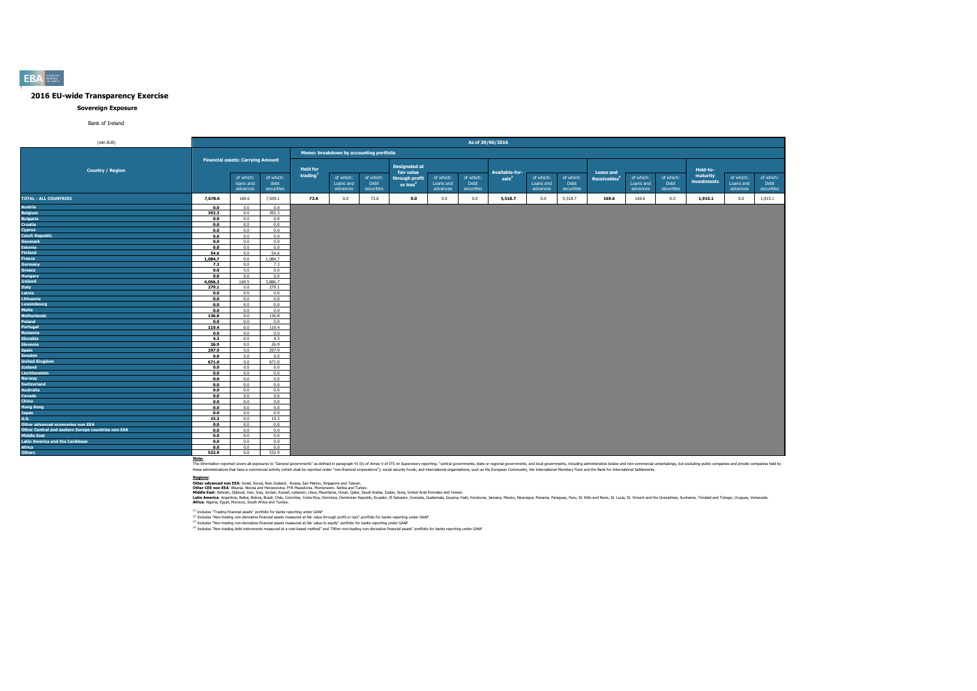#### **Sovereign Exposure**

#### Bank of Ireland

| (mln EUR)                                          |                |                                          |                                 |                 |                                         |                                 |                                                      |                                    | As of 30/06/2016                |                                     |                                    |                                 |                                              |                                    |                                 |                         |                                    |                                 |
|----------------------------------------------------|----------------|------------------------------------------|---------------------------------|-----------------|-----------------------------------------|---------------------------------|------------------------------------------------------|------------------------------------|---------------------------------|-------------------------------------|------------------------------------|---------------------------------|----------------------------------------------|------------------------------------|---------------------------------|-------------------------|------------------------------------|---------------------------------|
|                                                    |                |                                          |                                 |                 | Memo: breakdown by accounting portfolio |                                 |                                                      |                                    |                                 |                                     |                                    |                                 |                                              |                                    |                                 |                         |                                    |                                 |
| <b>Country / Region</b>                            |                | <b>Financial assets: Carrying Amount</b> |                                 | <b>Held for</b> |                                         |                                 | <b>Designated at</b>                                 |                                    |                                 |                                     |                                    |                                 |                                              |                                    |                                 | Held-to-                |                                    |                                 |
|                                                    |                | of which:<br>loans and<br>advances       | of which:<br>debt<br>securities | trading         | of which:<br>Loans and<br>advances      | of which:<br>Debt<br>securities | fair value<br>through profit<br>or loss <sup>2</sup> | of which:<br>Loans and<br>advances | of which:<br>Debt<br>securities | Available-for-<br>sale <sup>3</sup> | of which:<br>Loans and<br>advances | of which:<br>Debt<br>securities | <b>Loans and</b><br>Receivables <sup>4</sup> | of which:<br>Loans and<br>advances | of which:<br>Debt<br>securities | maturity<br>investments | of which:<br>Loans and<br>advances | of which:<br>Debt<br>securities |
| <b>TOTAL - ALL COUNTRIES</b>                       | 7,678.6        | 169.6                                    | 7,509.1                         | 73.6            | 0.0                                     | 73.6                            | 0.0                                                  | 0.0                                | 0.0                             | 5,518.7                             | 0.0                                | 5,518.7                         | 169.6                                        | 169.6                              | 0.0                             | 1,915.1                 | 0.0                                | 1,915.1                         |
| <b>Austria</b>                                     | 0.0            | 0.0                                      | 0.0                             |                 |                                         |                                 |                                                      |                                    |                                 |                                     |                                    |                                 |                                              |                                    |                                 |                         |                                    |                                 |
| <b>Belgium</b>                                     | 392.3          | 0.0                                      | 392.3                           |                 |                                         |                                 |                                                      |                                    |                                 |                                     |                                    |                                 |                                              |                                    |                                 |                         |                                    |                                 |
| <b>Bulgaria</b>                                    | 0.0            | 0.0                                      | 0.0                             |                 |                                         |                                 |                                                      |                                    |                                 |                                     |                                    |                                 |                                              |                                    |                                 |                         |                                    |                                 |
| <b>Croatia</b>                                     | 0.0            | 0.0                                      | 0.0                             |                 |                                         |                                 |                                                      |                                    |                                 |                                     |                                    |                                 |                                              |                                    |                                 |                         |                                    |                                 |
| Cyprus                                             | 0.0            | 0.0                                      | 0.0                             |                 |                                         |                                 |                                                      |                                    |                                 |                                     |                                    |                                 |                                              |                                    |                                 |                         |                                    |                                 |
| <b>Czech Republic</b>                              | 0.0            | 0.0                                      | 0.0                             |                 |                                         |                                 |                                                      |                                    |                                 |                                     |                                    |                                 |                                              |                                    |                                 |                         |                                    |                                 |
| <b>Denmark</b>                                     | 0.0            | 0.0                                      | 0.0                             |                 |                                         |                                 |                                                      |                                    |                                 |                                     |                                    |                                 |                                              |                                    |                                 |                         |                                    |                                 |
| <b>Estonia</b>                                     | 0.0            | 0.0                                      | 0.0                             |                 |                                         |                                 |                                                      |                                    |                                 |                                     |                                    |                                 |                                              |                                    |                                 |                         |                                    |                                 |
| <b>Finland</b>                                     | 54.6           | 0.0<br>0.0                               | 54.6                            |                 |                                         |                                 |                                                      |                                    |                                 |                                     |                                    |                                 |                                              |                                    |                                 |                         |                                    |                                 |
| France                                             | 1,084.7<br>7.3 | 0.0                                      | 1,084.7<br>7.3                  |                 |                                         |                                 |                                                      |                                    |                                 |                                     |                                    |                                 |                                              |                                    |                                 |                         |                                    |                                 |
| Germany<br>Greece                                  | 0.0            | 0.0                                      | 0.0                             |                 |                                         |                                 |                                                      |                                    |                                 |                                     |                                    |                                 |                                              |                                    |                                 |                         |                                    |                                 |
| <b>Hungary</b>                                     | 0.0            | 0.0                                      | 0.0                             |                 |                                         |                                 |                                                      |                                    |                                 |                                     |                                    |                                 |                                              |                                    |                                 |                         |                                    |                                 |
| <b>Ireland</b>                                     | 4,056.3        | 169.5                                    | 3,886.7                         |                 |                                         |                                 |                                                      |                                    |                                 |                                     |                                    |                                 |                                              |                                    |                                 |                         |                                    |                                 |
| Italy                                              | 279.1          | 0.0                                      | 279.1                           |                 |                                         |                                 |                                                      |                                    |                                 |                                     |                                    |                                 |                                              |                                    |                                 |                         |                                    |                                 |
| Latvia                                             | 0.0            | 0.0                                      | 0.0                             |                 |                                         |                                 |                                                      |                                    |                                 |                                     |                                    |                                 |                                              |                                    |                                 |                         |                                    |                                 |
| Lithuania                                          | 0.0            | 0.0                                      | 0.0                             |                 |                                         |                                 |                                                      |                                    |                                 |                                     |                                    |                                 |                                              |                                    |                                 |                         |                                    |                                 |
| Luxembourg                                         | 0.0            | 0.0                                      | 0.0                             |                 |                                         |                                 |                                                      |                                    |                                 |                                     |                                    |                                 |                                              |                                    |                                 |                         |                                    |                                 |
| <b>Malta</b>                                       | 0.0            | 0.0                                      | 0.0                             |                 |                                         |                                 |                                                      |                                    |                                 |                                     |                                    |                                 |                                              |                                    |                                 |                         |                                    |                                 |
| <b>Netherlands</b>                                 | 136.8          | 0.0                                      | 136.8                           |                 |                                         |                                 |                                                      |                                    |                                 |                                     |                                    |                                 |                                              |                                    |                                 |                         |                                    |                                 |
| Poland                                             | 0.0            | 0.0                                      | 0.0                             |                 |                                         |                                 |                                                      |                                    |                                 |                                     |                                    |                                 |                                              |                                    |                                 |                         |                                    |                                 |
| Portugal                                           | 119.4          | 0.0                                      | 119.4                           |                 |                                         |                                 |                                                      |                                    |                                 |                                     |                                    |                                 |                                              |                                    |                                 |                         |                                    |                                 |
| Romania                                            | 0.0            | 0.0                                      | 0.0                             |                 |                                         |                                 |                                                      |                                    |                                 |                                     |                                    |                                 |                                              |                                    |                                 |                         |                                    |                                 |
| <b>Slovakia</b>                                    | 4.3            | 0.0                                      | 4.3                             |                 |                                         |                                 |                                                      |                                    |                                 |                                     |                                    |                                 |                                              |                                    |                                 |                         |                                    |                                 |
| <b>Slovenia</b>                                    | 26.9           | 0.0                                      | 26.9                            |                 |                                         |                                 |                                                      |                                    |                                 |                                     |                                    |                                 |                                              |                                    |                                 |                         |                                    |                                 |
| <b>Spain</b><br>Sweden                             | 297.9<br>0.0   | 0.0<br>0.0                               | 297.9<br>0.0                    |                 |                                         |                                 |                                                      |                                    |                                 |                                     |                                    |                                 |                                              |                                    |                                 |                         |                                    |                                 |
| <b>United Kingdom</b>                              | 671.0          | 0.0                                      | 671.0                           |                 |                                         |                                 |                                                      |                                    |                                 |                                     |                                    |                                 |                                              |                                    |                                 |                         |                                    |                                 |
| <b>Iceland</b>                                     | 0.0            | 0.0                                      | 0.0                             |                 |                                         |                                 |                                                      |                                    |                                 |                                     |                                    |                                 |                                              |                                    |                                 |                         |                                    |                                 |
| Liechtenstein                                      | 0.0            | 0.0                                      | 0.0                             |                 |                                         |                                 |                                                      |                                    |                                 |                                     |                                    |                                 |                                              |                                    |                                 |                         |                                    |                                 |
| <b>Norway</b>                                      | 0.0            | 0.0                                      | 0.0                             |                 |                                         |                                 |                                                      |                                    |                                 |                                     |                                    |                                 |                                              |                                    |                                 |                         |                                    |                                 |
| <b>Switzerland</b>                                 | 0.0            | 0.0                                      | 0.0                             |                 |                                         |                                 |                                                      |                                    |                                 |                                     |                                    |                                 |                                              |                                    |                                 |                         |                                    |                                 |
| <b>Australia</b>                                   | 0.0            | 0.0                                      | 0.0                             |                 |                                         |                                 |                                                      |                                    |                                 |                                     |                                    |                                 |                                              |                                    |                                 |                         |                                    |                                 |
| Canada                                             | 0.0            | 0.0                                      | 0.0                             |                 |                                         |                                 |                                                      |                                    |                                 |                                     |                                    |                                 |                                              |                                    |                                 |                         |                                    |                                 |
| <b>China</b>                                       | 0.0            | 0.0                                      | 0.0                             |                 |                                         |                                 |                                                      |                                    |                                 |                                     |                                    |                                 |                                              |                                    |                                 |                         |                                    |                                 |
| <b>Hong Kong</b>                                   | 0.0            | 0.0                                      | 0.0                             |                 |                                         |                                 |                                                      |                                    |                                 |                                     |                                    |                                 |                                              |                                    |                                 |                         |                                    |                                 |
| <b>Japan</b>                                       | 0.0            | 0.0                                      | 0.0                             |                 |                                         |                                 |                                                      |                                    |                                 |                                     |                                    |                                 |                                              |                                    |                                 |                         |                                    |                                 |
| <b>U.S.</b>                                        | 15.3           | 0.0                                      | 15.3                            |                 |                                         |                                 |                                                      |                                    |                                 |                                     |                                    |                                 |                                              |                                    |                                 |                         |                                    |                                 |
| Other advanced economies non EEA                   | 0.0            | 0.0                                      | 0.0                             |                 |                                         |                                 |                                                      |                                    |                                 |                                     |                                    |                                 |                                              |                                    |                                 |                         |                                    |                                 |
| Other Central and eastern Europe countries non EEA | 0.0            | 0.0                                      | 0.0                             |                 |                                         |                                 |                                                      |                                    |                                 |                                     |                                    |                                 |                                              |                                    |                                 |                         |                                    |                                 |
| <b>Middle East</b>                                 | 0.0            | 0.0                                      | 0.0                             |                 |                                         |                                 |                                                      |                                    |                                 |                                     |                                    |                                 |                                              |                                    |                                 |                         |                                    |                                 |
| <b>Latin America and the Caribbean</b>             | 0.0            | 0.0                                      | 0.0                             |                 |                                         |                                 |                                                      |                                    |                                 |                                     |                                    |                                 |                                              |                                    |                                 |                         |                                    |                                 |
| <b>Africa</b><br><b>Others</b>                     | 0.0<br>532.9   | 0.0<br>0.0                               | 0.0<br>532.9                    |                 |                                         |                                 |                                                      |                                    |                                 |                                     |                                    |                                 |                                              |                                    |                                 |                         |                                    |                                 |
|                                                    |                |                                          |                                 |                 |                                         |                                 |                                                      |                                    |                                 |                                     |                                    |                                 |                                              |                                    |                                 |                         |                                    |                                 |

Note:<br>The information reported covers all exposures to "General governments" as defined in paraggin 41 (b) of Annex V of ITS on Supervisory reporting: "central governments, state or regional governments, and both governmen

**Redions:**<br>Other afvanced non EEA: Israel, Korea, New Zealand, Russia, San Marino, Singore and Taiwan.<br>Middle East: Bahain, Dilouti, Iran, Iran, Jordan, Kuran, Libya, Mewhamenn: Semina, Oman, Suna, Suna, Suna, United Arab

(1) Includes "Trading financial assets" portfolio for banks reporting under GAAP

<sup>(2)</sup> Includes "Non-trading non-derivative financial assets measured at fair value through profit or loss" portfolio for banks reporting under GAAP<br><sup>03</sup> Includes "Non-trading non-derivative financial and and the major bank

**EBA**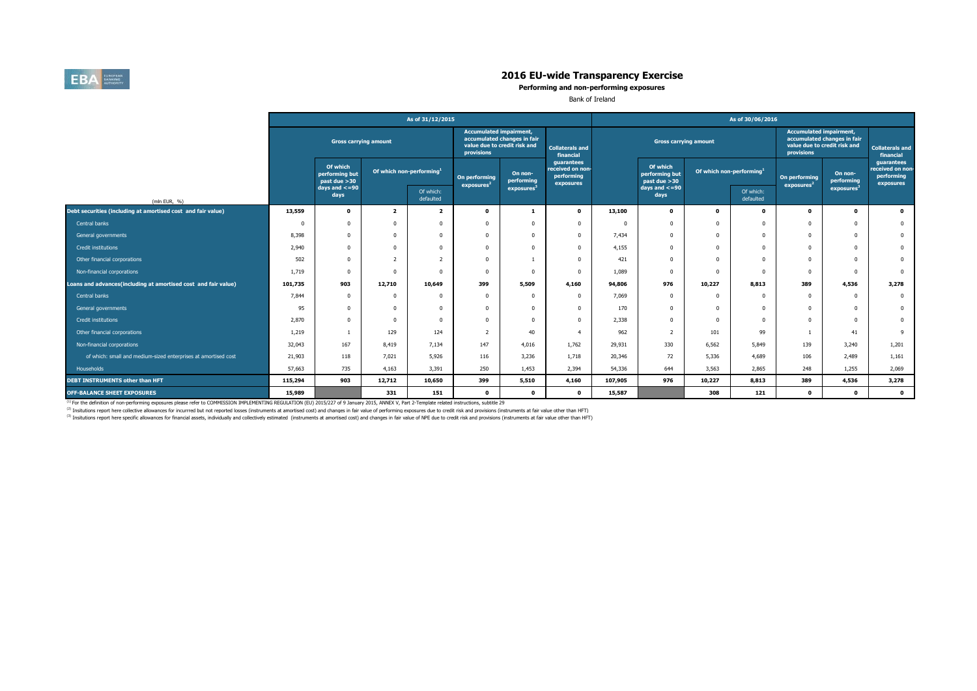

**Performing and non-performing exposures**

Bank of Ireland

|                                                                |                           |                                            |                                      | As of 31/12/2015        |                                              |                                                             |                                                           | As of 30/06/2016 |                                            |                                      |                        |                                              |                                                             |                                                           |  |  |
|----------------------------------------------------------------|---------------------------|--------------------------------------------|--------------------------------------|-------------------------|----------------------------------------------|-------------------------------------------------------------|-----------------------------------------------------------|------------------|--------------------------------------------|--------------------------------------|------------------------|----------------------------------------------|-------------------------------------------------------------|-----------------------------------------------------------|--|--|
|                                                                |                           | <b>Gross carrying amount</b>               |                                      |                         | <b>Accumulated impairment,</b><br>provisions | accumulated changes in fair<br>value due to credit risk and | <b>Collaterals and</b><br>financial                       |                  | <b>Gross carrying amount</b>               |                                      |                        | <b>Accumulated impairment,</b><br>provisions | accumulated changes in fair<br>value due to credit risk and | <b>Collaterals and</b><br>financial                       |  |  |
|                                                                |                           | Of which<br>performing but<br>past due >30 | Of which non-performing <sup>1</sup> |                         | On performing<br>exposures <sup>2</sup>      | On non-<br>performing                                       | guarantees<br>received on non-<br>performing<br>exposures |                  | Of which<br>performing but<br>past due >30 | Of which non-performing <sup>1</sup> |                        | On performing<br>exposures <sup>2</sup>      | On non-<br>performing                                       | guarantees<br>received on non-<br>performing<br>exposures |  |  |
| (mln EUR, %)                                                   | $days$ and $<=90$<br>days |                                            |                                      | Of which:<br>defaulted  |                                              | exposures                                                   |                                                           |                  | days and $\lt$ =90<br>days                 |                                      | Of which:<br>defaulted |                                              | exposures <sup>3</sup>                                      |                                                           |  |  |
| Debt securities (including at amortised cost and fair value)   | 13,559                    | $\mathbf{o}$                               | $\overline{2}$                       | $\overline{\mathbf{z}}$ | $\Omega$                                     | -1                                                          | $\mathbf 0$                                               | 13,100           | $\mathbf{o}$                               | $\Omega$                             | $\mathbf 0$            | $\Omega$                                     | $\mathbf{0}$                                                | $\bullet$                                                 |  |  |
| Central banks                                                  |                           | $\Omega$                                   |                                      | $\Omega$                | $\Omega$                                     | $\Omega$                                                    | $\Omega$                                                  | $\Omega$         | $\Omega$                                   |                                      | $\Omega$               | $^{\circ}$                                   | $\Omega$                                                    | $\mathbf{0}$                                              |  |  |
| General governments                                            | 8,398                     | 0                                          |                                      | $\Omega$                |                                              |                                                             | $\Omega$                                                  | 7,434            | $\Omega$                                   |                                      | $\Omega$               | $^{\circ}$                                   | $\Omega$                                                    | $\mathbf{0}$                                              |  |  |
| Credit institutions                                            | 2,940                     | 0                                          |                                      | $\Omega$                |                                              |                                                             | $\Omega$                                                  | 4,155            | $\Omega$                                   |                                      | $\Omega$               | $\Omega$                                     | $\Omega$                                                    | $\mathbf{0}$                                              |  |  |
| Other financial corporations                                   | 502                       | $\Omega$                                   |                                      | $\overline{2}$          | $\Omega$                                     |                                                             | $\Omega$                                                  | 421              | $\Omega$                                   |                                      | $\Omega$               | $\Omega$                                     | $\Omega$                                                    | $\mathbf{0}$                                              |  |  |
| Non-financial corporations                                     | 1,719                     | $\Omega$                                   |                                      | $\Omega$                |                                              |                                                             | $\Omega$                                                  | 1,089            | $\Omega$                                   |                                      | $\Omega$               | $\overline{0}$                               | $\Omega$                                                    | $\overline{0}$                                            |  |  |
| Loans and advances(including at amortised cost and fair value) | 101,735                   | 903                                        | 12,710                               | 10,649                  | 399                                          | 5,509                                                       | 4,160                                                     | 94,806           | 976                                        | 10,227                               | 8,813                  | 389                                          | 4,536                                                       | 3,278                                                     |  |  |
| Central banks                                                  | 7,844                     | $\Omega$                                   | $\Omega$                             | $\Omega$                | $\Omega$                                     | $\Omega$                                                    | $\Omega$                                                  | 7,069            | $\mathbf{0}$                               |                                      | $\Omega$               | $^{\circ}$                                   | $\Omega$                                                    | $\mathbf 0$                                               |  |  |
| General governments                                            | 95                        | $\Omega$                                   |                                      | $\Omega$                | $\Omega$                                     | $\Omega$                                                    | $\Omega$                                                  | 170              | $\Omega$                                   | n                                    | $\Omega$               | $^{\circ}$                                   | $\Omega$                                                    | $\bf{0}$                                                  |  |  |
| Credit institutions                                            | 2,870                     | 0                                          |                                      | $\Omega$                | $\Omega$                                     |                                                             | $\Omega$                                                  | 2,338            | $\Omega$                                   |                                      | $\Omega$               | $\Omega$                                     | $\Omega$                                                    | $\bf{0}$                                                  |  |  |
| Other financial corporations                                   | 1,219                     |                                            | 129                                  | 124                     |                                              | 40                                                          | $\overline{4}$                                            | 962              |                                            | 101                                  | 99                     |                                              | 41                                                          | 9                                                         |  |  |
| Non-financial corporations                                     | 32,043                    | 167                                        | 8,419                                | 7,134                   | 147                                          | 4,016                                                       | 1,762                                                     | 29,931           | 330                                        | 6,562                                | 5,849                  | 139                                          | 3,240                                                       | 1,201                                                     |  |  |
| of which: small and medium-sized enterprises at amortised cost | 21,903                    | 118                                        | 7,021                                | 5,926                   | 116                                          | 3,236                                                       | 1,718                                                     | 20,346           | 72                                         | 5,336                                | 4,689                  | 106                                          | 2,489                                                       | 1,161                                                     |  |  |
| Households                                                     | 57,663                    | 735                                        | 4,163                                | 3,391                   | 250                                          | 1,453                                                       | 2,394                                                     | 54,336           | 644                                        | 3,563                                | 2,865                  | 248                                          | 1,255                                                       | 2,069                                                     |  |  |
| DEBT INSTRUMENTS other than HFT                                | 115,294                   | 903                                        | 12,712                               | 10,650                  | 399                                          | 5,510                                                       | 4,160                                                     | 107,905          | 976                                        | 10,227                               | 8,813                  | 389                                          | 4,536                                                       | 3,278                                                     |  |  |
| <b>OFF-BALANCE SHEET EXPOSURES</b>                             | 15,989                    |                                            | 331                                  | 151                     | $^{\circ}$                                   | $\mathbf{0}$                                                | $\mathbf{0}$                                              | 15,587           |                                            | 308                                  | 121                    | $\Omega$                                     | $\mathbf{0}$                                                | $\bullet$                                                 |  |  |

<sup>(1)</sup> For the definition of non-performing exposures please refer to COMMISSION IMPLEMENTING REGULATION (EU) 2015/227 of 9 January 2015, ANNEX V, Part 2-Template related instructions, subtitle 29

<sup>(2)</sup> Insitutions report here collective allowances for incurrred but not reported losses (instruments at amortised cost) and changes in fair value of performing exposures due to credit risk and provisions (instruments at

<sup>(3)</sup> Insitutions report here specific allowances for financial assets, individually and collectively estimated (instruments at amortised cost) and changes in fair value of NPE due to credit risk and provisions (instrument